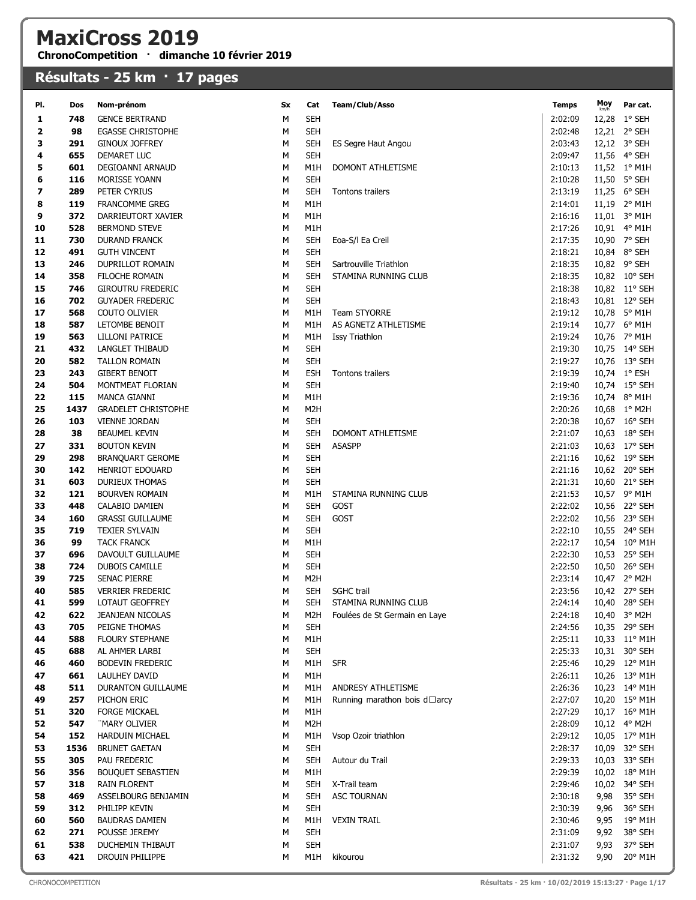## MaxiCross 2019

ChronoCompetition · dimanche 10 février 2019

## Résultats - 25 km · 17 pages

| PI.                      | Dos         | Nom-prénom                              | Sx     | Cat                     | Team/Club/Asso                | <b>Temps</b>       | Moy  | Par cat.                       |
|--------------------------|-------------|-----------------------------------------|--------|-------------------------|-------------------------------|--------------------|------|--------------------------------|
| 1                        | 748         | <b>GENCE BERTRAND</b>                   | M      | <b>SEH</b>              |                               | 2:02:09            |      | 12,28 1° SEH                   |
| 2                        | 98          | <b>EGASSE CHRISTOPHE</b>                | М      | <b>SEH</b>              |                               | 2:02:48            |      | 12,21 2° SEH                   |
| 3                        | 291         | <b>GINOUX JOFFREY</b>                   | M      | <b>SEH</b>              | ES Segre Haut Angou           | 2:03:43            |      | 12,12 3° SEH                   |
| 4                        | 655         | DEMARET LUC                             | M      | <b>SEH</b>              |                               | 2:09:47            |      | 11,56 4° SEH                   |
| 5                        | 601         | DEGIOANNI ARNAUD                        | М      | M1H                     | DOMONT ATHLETISME             | 2:10:13            |      | 11,52 1° M1H                   |
| 6                        | 116         | MORISSE YOANN                           | М      | <b>SEH</b>              |                               | 2:10:28            |      | 11,50 5° SEH                   |
| $\overline{\phantom{a}}$ | 289         | PETER CYRIUS                            | M      | <b>SEH</b>              | Tontons trailers              | 2:13:19            |      | 11,25 6° SEH                   |
| 8                        | 119         | <b>FRANCOMME GREG</b>                   | М      | M1H                     |                               | 2:14:01            |      | 11,19 2° M1H                   |
| 9                        | 372         | DARRIEUTORT XAVIER                      | М      | M1H                     |                               | 2:16:16            |      | 11,01 3° M1H                   |
| 10                       | 528         | <b>BERMOND STEVE</b>                    | М      | M1H                     |                               | 2:17:26            |      | 10,91 4° M1H                   |
| 11                       | 730         | <b>DURAND FRANCK</b>                    | M      | <b>SEH</b>              | Eoa-S/I Ea Creil              | 2:17:35            |      | 10,90 7° SEH                   |
| 12                       | 491         | <b>GUTH VINCENT</b>                     | M      | <b>SEH</b>              |                               | 2:18:21            |      | 10,84 8° SEH                   |
| 13                       | 246         | <b>DUPRILLOT ROMAIN</b>                 | M      | <b>SEH</b>              | Sartrouville Triathlon        | 2:18:35            |      | 10,82 9° SEH                   |
| 14                       | 358         | FILOCHE ROMAIN                          | M      | <b>SEH</b>              | STAMINA RUNNING CLUB          | 2:18:35            |      | 10,82 10° SEH                  |
| 15                       | 746         | <b>GIROUTRU FREDERIC</b>                | M      | <b>SEH</b>              |                               | 2:18:38            |      | 10,82 11° SEH                  |
| 16                       | 702         | <b>GUYADER FREDERIC</b>                 | M      | <b>SEH</b>              |                               | 2:18:43            |      | 10,81 12° SEH                  |
| 17                       | 568         | COUTO OLIVIER                           | М      | M1H                     | <b>Team STYORRE</b>           | 2:19:12            |      | 10,78 5° M1H                   |
| 18                       | 587         | LETOMBE BENOIT                          | М      | M1H                     | AS AGNETZ ATHLETISME          | 2:19:14            |      | 10,77 6° M1H                   |
| 19                       | 563         | LILLONI PATRICE                         | М      | M1H                     | <b>Issy Triathlon</b>         | 2:19:24            |      | 10,76 7° M1H                   |
| 21                       | 432         | LANGLET THIBAUD                         | M      | <b>SEH</b>              |                               | 2:19:30            |      | 10,75 14° SEH                  |
| 20                       | 582         | <b>TALLON ROMAIN</b>                    | M      | <b>SEH</b>              |                               | 2:19:27            |      | 10,76 13° SEH                  |
| 23                       | 243         | <b>GIBERT BENOIT</b>                    | M      | <b>ESH</b>              | Tontons trailers              | 2:19:39            |      | 10,74 1° ESH                   |
| 24                       | 504         | MONTMEAT FLORIAN<br><b>MANCA GIANNI</b> | M<br>M | <b>SEH</b>              |                               | 2:19:40            |      | 10,74 15° SEH                  |
| 22<br>25                 | 115<br>1437 | <b>GRADELET CHRISTOPHE</b>              | M      | M1H<br>M <sub>2</sub> H |                               | 2:19:36<br>2:20:26 |      | 10,74 8° M1H<br>10,68 1° M2H   |
| 26                       | 103         | <b>VIENNE JORDAN</b>                    | M      | <b>SEH</b>              |                               | 2:20:38            |      | 10,67 16° SEH                  |
| 28                       | 38          | <b>BEAUMEL KEVIN</b>                    | М      | <b>SEH</b>              | DOMONT ATHLETISME             | 2:21:07            |      | 10,63 18° SEH                  |
| 27                       | 331         | <b>BOUTON KEVIN</b>                     | М      | <b>SEH</b>              | <b>ASASPP</b>                 | 2:21:03            |      | 10,63 17° SEH                  |
| 29                       | 298         | <b>BRANQUART GEROME</b>                 | M      | <b>SEH</b>              |                               | 2:21:16            |      | 10,62 19° SEH                  |
| 30                       | 142         | HENRIOT EDOUARD                         | M      | <b>SEH</b>              |                               | 2:21:16            |      | 10,62 20° SEH                  |
| 31                       | 603         | <b>DURIEUX THOMAS</b>                   | M      | <b>SEH</b>              |                               | 2:21:31            |      | 10,60 21° SEH                  |
| 32                       | 121         | <b>BOURVEN ROMAIN</b>                   | M      | M1H                     | STAMINA RUNNING CLUB          | 2:21:53            |      | 10,57 9° M1H                   |
| 33                       | 448         | CALABIO DAMIEN                          | M      | <b>SEH</b>              | <b>GOST</b>                   | 2:22:02            |      | 10,56 22° SEH                  |
| 34                       | 160         | <b>GRASSI GUILLAUME</b>                 | M      | <b>SEH</b>              | GOST                          | 2:22:02            |      | 10,56 23° SEH                  |
| 35                       | 719         | <b>TEXIER SYLVAIN</b>                   | M      | <b>SEH</b>              |                               | 2:22:10            |      | 10,55 24° SEH                  |
| 36                       | 99          | <b>TACK FRANCK</b>                      | М      | M1H                     |                               | 2:22:17            |      | 10,54 10° M1H                  |
| 37                       | 696         | DAVOULT GUILLAUME                       | М      | <b>SEH</b>              |                               | 2:22:30            |      | 10,53 25° SEH                  |
| 38                       | 724         | <b>DUBOIS CAMILLE</b>                   | М      | <b>SEH</b>              |                               | 2:22:50            |      | 10,50 26° SEH                  |
| 39                       | 725         | <b>SENAC PIERRE</b>                     | М      | M <sub>2</sub> H        |                               | 2:23:14            |      | 10,47 2° M2H                   |
| 40                       | 585         | <b>VERRIER FREDERIC</b>                 | М      | <b>SEH</b>              | <b>SGHC</b> trail             | 2:23:56            |      | 10,42 27° SEH                  |
| 41                       | 599         | LOTAUT GEOFFREY                         | M      | SEH                     | STAMINA RUNNING CLUB          | 2:24:14            |      | 10,40 28° SEH                  |
| 42                       | 622         | <b>JEANJEAN NICOLAS</b>                 | М      | M2H                     | Foulées de St Germain en Laye | 2:24:18            |      | 10,40 3° M2H                   |
| 43                       | 705         | PEIGNE THOMAS                           | M      | <b>SEH</b>              |                               | 2:24:56            |      | 10,35 29° SEH                  |
| 44                       | 588         | <b>FLOURY STEPHANE</b>                  | M      | M1H                     |                               | 2:25:11            |      | 10,33 11° M1H                  |
| 45                       | 688         | AL AHMER LARBI                          | М      | <b>SEH</b>              |                               | 2:25:33            |      | 10,31 30° SEH                  |
| 46                       | 460         | <b>BODEVIN FREDERIC</b>                 | М      | M1H                     | <b>SFR</b>                    | 2:25:46            |      | 10,29 12° M1H                  |
| 47                       | 661         | LAULHEY DAVID                           | М      | M1H                     |                               | 2:26:11            |      | 10,26 13° M1H                  |
| 48                       | 511         | DURANTON GUILLAUME                      | М      | M1H                     | ANDRESY ATHLETISME            | 2:26:36            |      | 10,23 14° M1H                  |
| 49                       | 257         | PICHON ERIC                             | M      | M1H                     | Running marathon bois d□arcy  | 2:27:07<br>2:27:29 |      | 10,20 15° M1H<br>10,17 16° M1H |
| 51<br>52                 | 320<br>547  | <b>FORGE MICKAEL</b><br>"MARY OLIVIER   | М<br>М | M1H<br>M <sub>2</sub> H |                               | 2:28:09            |      | 10,12 4° M2H                   |
| 54                       | 152         | HARDUIN MICHAEL                         | М      | M1H                     | Vsop Ozoir triathlon          | 2:29:12            |      | 10,05 17° M1H                  |
| 53                       | 1536        | <b>BRUNET GAETAN</b>                    | M      | <b>SEH</b>              |                               | 2:28:37            |      | 10,09 32° SEH                  |
| 55                       | 305         | PAU FREDERIC                            | М      | <b>SEH</b>              | Autour du Trail               | 2:29:33            |      | 10,03 33° SEH                  |
| 56                       | 356         | <b>BOUQUET SEBASTIEN</b>                | М      | M1H                     |                               | 2:29:39            |      | 10,02 18° M1H                  |
| 57                       | 318         | <b>RAIN FLORENT</b>                     | М      | <b>SEH</b>              | X-Trail team                  | 2:29:46            |      | 10,02 34° SEH                  |
| 58                       | 469         | ASSELBOURG BENJAMIN                     | М      | <b>SEH</b>              | <b>ASC TOURNAN</b>            | 2:30:18            | 9,98 | 35° SEH                        |
| 59                       | 312         | PHILIPP KEVIN                           | М      | <b>SEH</b>              |                               | 2:30:39            | 9,96 | 36° SEH                        |
| 60                       | 560         | <b>BAUDRAS DAMIEN</b>                   | М      | M1H                     | <b>VEXIN TRAIL</b>            | 2:30:46            | 9,95 | 19° M1H                        |
| 62                       | 271         | POUSSE JEREMY                           | М      | <b>SEH</b>              |                               | 2:31:09            | 9,92 | 38° SEH                        |
| 61                       | 538         | DUCHEMIN THIBAUT                        | М      | <b>SEH</b>              |                               | 2:31:07            | 9,93 | 37° SEH                        |
| 63                       | 421         | DROUIN PHILIPPE                         | М      | M1H                     | kikourou                      | 2:31:32            | 9,90 | 20° M1H                        |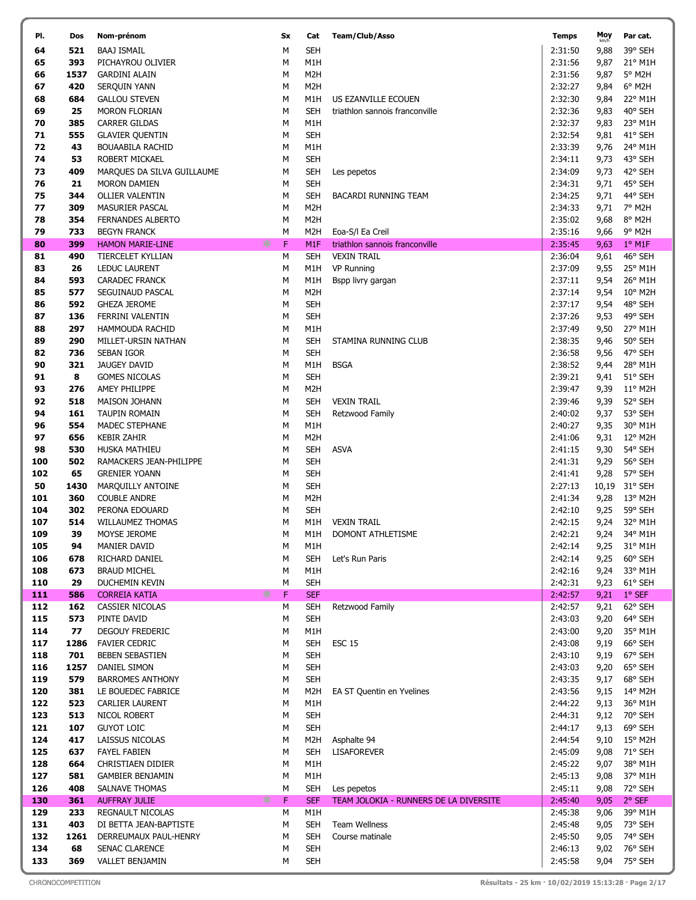| PI.        | Dos         | Nom-prénom                                               | Sx     | Cat                            | Team/Club/Asso                                       | <b>Temps</b>       | Moy          | Par cat.            |
|------------|-------------|----------------------------------------------------------|--------|--------------------------------|------------------------------------------------------|--------------------|--------------|---------------------|
| 64         | 521         | <b>BAAJ ISMAIL</b>                                       | М      | <b>SEH</b>                     |                                                      | 2:31:50            | 9,88         | 39° SEH             |
| 65         | 393         | PICHAYROU OLIVIER                                        | M      | M1H                            |                                                      | 2:31:56            | 9,87         | 21° M1H             |
| 66         | 1537        | <b>GARDINI ALAIN</b>                                     | M      | M <sub>2</sub> H               |                                                      | 2:31:56            | 9,87         | 5° M2H              |
| 67         | 420         | SERQUIN YANN                                             | М      | M <sub>2</sub> H               |                                                      | 2:32:27            | 9,84         | 6° M2H              |
| 68         | 684         | <b>GALLOU STEVEN</b>                                     | М      | M1H                            | US EZANVILLE ECOUEN                                  | 2:32:30            | 9,84         | 22° M1H             |
| 69         | 25          | <b>MORON FLORIAN</b>                                     | М      | <b>SEH</b>                     | triathlon sannois franconville                       | 2:32:36            | 9,83         | 40° SEH             |
| 70         | 385         | <b>CARRER GILDAS</b>                                     | М      | M1H                            |                                                      | 2:32:37            | 9,83         | 23° M1H             |
| 71         | 555         | <b>GLAVIER QUENTIN</b>                                   | M      | <b>SEH</b>                     |                                                      | 2:32:54            | 9,81         | 41° SEH             |
| 72         | 43          | <b>BOUAABILA RACHID</b>                                  | M      | M1H                            |                                                      | 2:33:39            | 9,76         | 24° M1H             |
| 74         | 53          | ROBERT MICKAEL                                           | M      | <b>SEH</b>                     |                                                      | 2:34:11            | 9,73         | 43° SEH             |
| 73         | 409         | MARQUES DA SILVA GUILLAUME                               | M      | <b>SEH</b>                     | Les pepetos                                          | 2:34:09            | 9,73         | 42° SEH             |
| 76         | 21          | <b>MORON DAMIEN</b>                                      | M      | <b>SEH</b>                     |                                                      | 2:34:31            | 9,71         | 45° SEH             |
| 75         | 344         | <b>OLLIER VALENTIN</b>                                   | M      | <b>SEH</b>                     | BACARDI RUNNING TEAM                                 | 2:34:25            | 9,71         | 44° SEH             |
| 77         | 309         | MASURIER PASCAL                                          | М      | M <sub>2</sub> H               |                                                      | 2:34:33            | 9,71         | 7° M2H              |
| 78         | 354         | <b>FERNANDES ALBERTO</b>                                 | М      | M <sub>2</sub> H               |                                                      | 2:35:02            | 9,68         | 8° M2H              |
| 79         | 733         | <b>BEGYN FRANCK</b>                                      | М      | M2H                            | Eoa-S/I Ea Creil                                     | 2:35:16            | 9,66         | 9° M2H              |
| 80<br>81   | 399<br>490  | ∗<br><b>HAMON MARIE-LINE</b><br><b>TIERCELET KYLLIAN</b> | F<br>М | M <sub>1F</sub><br><b>SEH</b>  | triathlon sannois franconville<br><b>VEXIN TRAIL</b> | 2:35:45<br>2:36:04 | 9,63<br>9,61 | $1°$ M1F<br>46° SEH |
| 83         | 26          | LEDUC LAURENT                                            | М      | M1H                            | VP Running                                           | 2:37:09            | 9,55         | 25° M1H             |
| 84         | 593         | <b>CARADEC FRANCK</b>                                    | M      | M1H                            | Bspp livry gargan                                    | 2:37:11            | 9,54         | 26° M1H             |
| 85         | 577         | SEGUINAUD PASCAL                                         | M      | M <sub>2</sub> H               |                                                      | 2:37:14            | 9,54         | 10° M2H             |
| 86         | 592         | <b>GHEZA JEROME</b>                                      | M      | <b>SEH</b>                     |                                                      | 2:37:17            | 9,54         | 48° SEH             |
| 87         | 136         | FERRINI VALENTIN                                         | М      | <b>SEH</b>                     |                                                      | 2:37:26            | 9,53         | 49° SEH             |
| 88         | 297         | HAMMOUDA RACHID                                          | М      | M1H                            |                                                      | 2:37:49            | 9,50         | 27° M1H             |
| 89         | 290         | MILLET-URSIN NATHAN                                      | M      | <b>SEH</b>                     | STAMINA RUNNING CLUB                                 | 2:38:35            | 9,46         | 50° SEH             |
| 82         | 736         | SEBAN IGOR                                               | М      | <b>SEH</b>                     |                                                      | 2:36:58            | 9,56         | 47° SEH             |
| 90         | 321         | JAUGEY DAVID                                             | М      | M1H                            | <b>BSGA</b>                                          | 2:38:52            | 9,44         | 28° M1H             |
| 91         | 8           | <b>GOMES NICOLAS</b>                                     | М      | <b>SEH</b>                     |                                                      | 2:39:21            | 9,41         | 51° SEH             |
| 93         | 276         | AMEY PHILIPPE                                            | M      | M <sub>2</sub> H               |                                                      | 2:39:47            | 9,39         | $11^{\circ}$ M2H    |
| 92         | 518         | <b>MAISON JOHANN</b>                                     | M      | <b>SEH</b>                     | <b>VEXIN TRAIL</b>                                   | 2:39:46            | 9,39         | 52° SEH             |
| 94         | 161         | TAUPIN ROMAIN                                            | M      | <b>SEH</b>                     | Retzwood Family                                      | 2:40:02            | 9,37         | 53° SEH             |
| 96         | 554         | MADEC STEPHANE                                           | М      | M1H                            |                                                      | 2:40:27            | 9,35         | 30° M1H             |
| 97         | 656         | <b>KEBIR ZAHIR</b>                                       | М      | M <sub>2</sub> H               |                                                      | 2:41:06            | 9,31         | 12° M2H             |
| 98         | 530         | HUSKA MATHIEU                                            | M      | <b>SEH</b>                     | <b>ASVA</b>                                          | 2:41:15            | 9,30         | 54° SEH             |
| 100        | 502         | RAMACKERS JEAN-PHILIPPE                                  | М      | <b>SEH</b>                     |                                                      | 2:41:31            | 9,29         | 56° SEH             |
| 102        | 65          | <b>GRENIER YOANN</b>                                     | М      | <b>SEH</b>                     |                                                      | 2:41:41            | 9,28         | 57° SEH             |
| 50         | 1430<br>360 | MARQUILLY ANTOINE                                        | М      | <b>SEH</b><br>M <sub>2</sub> H |                                                      | 2:27:13<br>2:41:34 | 10,19        | 31° SEH<br>13° M2H  |
| 101<br>104 | 302         | <b>COUBLE ANDRE</b><br>PERONA EDOUARD                    | М<br>М | <b>SEH</b>                     |                                                      | 2:42:10            | 9,28<br>9,25 | 59° SEH             |
| 107        | 514         | <b>WILLAUMEZ THOMAS</b>                                  | M      | M1H                            | <b>VEXIN TRAIL</b>                                   | 2:42:15            | 9,24         | 32° M1H             |
| 109        | 39          | MOYSE JEROME                                             | M      | M1H                            | DOMONT ATHLETISME                                    | 2:42:21            | 9,24         | 34° M1H             |
| 105        | 94          | <b>MANIER DAVID</b>                                      | М      | M1H                            |                                                      | 2:42:14            | 9,25         | 31° M1H             |
| 106        | 678         | RICHARD DANIEL                                           | м      | <b>SEH</b>                     | Let's Run Paris                                      | 2:42:14            | 9,25         | 60° SEH             |
| 108        | 673         | <b>BRAUD MICHEL</b>                                      | М      | M1H                            |                                                      | 2:42:16            | 9,24         | 33° M1H             |
| 110        | 29          | DUCHEMIN KEVIN                                           | М      | <b>SEH</b>                     |                                                      | 2:42:31            | 9,23         | 61° SEH             |
| 111        | 586         | ∗<br><b>CORREIA KATIA</b>                                | F      | <b>SEF</b>                     |                                                      | 2:42:57            | 9,21         | $1°$ SEF            |
| 112        | 162         | CASSIER NICOLAS                                          | М      | <b>SEH</b>                     | Retzwood Family                                      | 2:42:57            | 9,21         | 62° SEH             |
| 115        | 573         | PINTE DAVID                                              | М      | <b>SEH</b>                     |                                                      | 2:43:03            | 9,20         | 64° SEH             |
| 114        | 77          | DEGOUY FREDERIC                                          | м      | M1H                            |                                                      | 2:43:00            | 9,20         | 35° M1H             |
| 117        | 1286        | <b>FAVIER CEDRIC</b>                                     | М      | <b>SEH</b>                     | <b>ESC 15</b>                                        | 2:43:08            | 9,19         | 66° SEH             |
| 118        | 701         | BEBEN SEBASTIEN                                          | м      | <b>SEH</b>                     |                                                      | 2:43:10            | 9,19         | 67° SEH             |
| 116        | 1257        | DANIEL SIMON                                             | М      | <b>SEH</b>                     |                                                      | 2:43:03            | 9,20         | 65° SEH             |
| 119<br>120 | 579<br>381  | <b>BARROMES ANTHONY</b><br>LE BOUEDEC FABRICE            | М<br>М | <b>SEH</b><br>M <sub>2</sub> H | EA ST Quentin en Yvelines                            | 2:43:35<br>2:43:56 | 9,17<br>9,15 | 68° SEH<br>14° M2H  |
| 122        | 523         | <b>CARLIER LAURENT</b>                                   | М      | M1H                            |                                                      | 2:44:22            | 9,13         | 36° M1H             |
| 123        | 513         | NICOL ROBERT                                             | м      | <b>SEH</b>                     |                                                      | 2:44:31            | 9,12         | 70° SEH             |
| 121        | 107         | <b>GUYOT LOIC</b>                                        | М      | <b>SEH</b>                     |                                                      | 2:44:17            | 9,13         | 69° SEH             |
| 124        | 417         | LAISSUS NICOLAS                                          | М      | M2H                            | Asphalte 94                                          | 2:44:54            | 9,10         | $15^{\circ}$ M2H    |
| 125        | 637         | <b>FAYEL FABIEN</b>                                      | М      | <b>SEH</b>                     | <b>LISAFOREVER</b>                                   | 2:45:09            | 9,08         | 71° SEH             |
| 128        | 664         | CHRISTIAEN DIDIER                                        | М      | M1H                            |                                                      | 2:45:22            | 9,07         | 38° M1H             |
| 127        | 581         | <b>GAMBIER BENJAMIN</b>                                  | М      | M1H                            |                                                      | 2:45:13            | 9,08         | 37° M1H             |
| 126        | 408         | SALNAVE THOMAS                                           | М      | SEH                            | Les pepetos                                          | 2:45:11            | 9,08         | 72° SEH             |
| 130        | 361         | ∗<br><b>AUFFRAY JULIE</b>                                | F      | <b>SEF</b>                     | TEAM JOLOKIA - RUNNERS DE LA DIVERSITE               | 2:45:40            | 9,05         | 2° SEF              |
| 129        | 233         | <b>REGNAULT NICOLAS</b>                                  | М      | M1H                            |                                                      | 2:45:38            | 9,06         | 39° M1H             |
| 131        | 403         | DI BETTA JEAN-BAPTISTE                                   | М      | <b>SEH</b>                     | Team Wellness                                        | 2:45:48            | 9,05         | 73° SEH             |
| 132        | 1261        | DERREUMAUX PAUL-HENRY                                    | М      | SEH                            | Course matinale                                      | 2:45:50            | 9,05         | 74° SEH             |
| 134        | 68          | SENAC CLARENCE                                           | м      | <b>SEH</b>                     |                                                      | 2:46:13            | 9,02         | 76° SEH             |
| 133        | 369         | VALLET BENJAMIN                                          | М      | <b>SEH</b>                     |                                                      | 2:45:58            | 9,04         | 75° SEH             |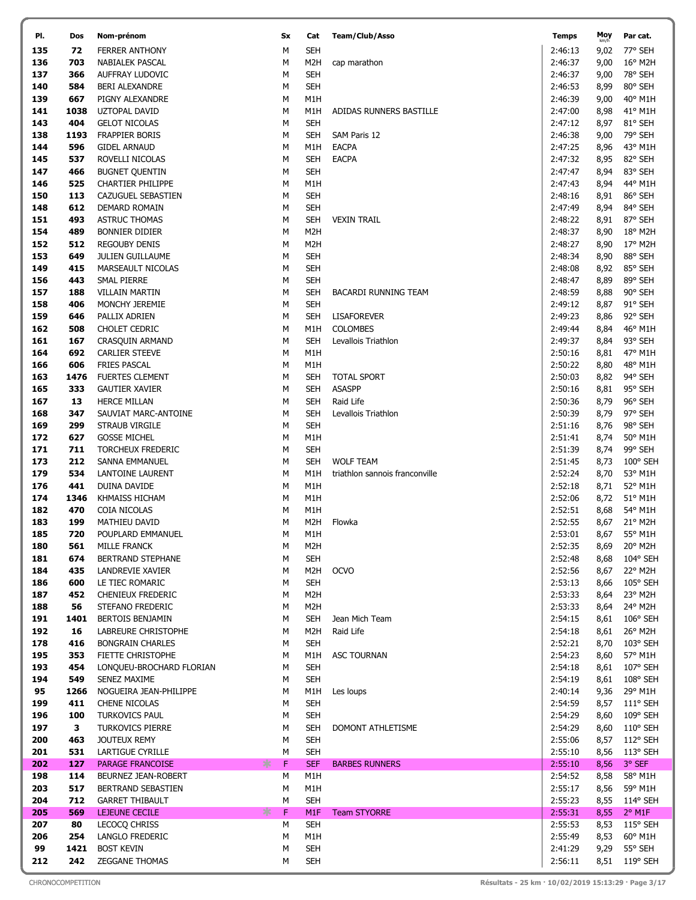| PI.        | Dos        | Nom-prénom                                      | <b>Sx</b> | Cat               | Team/Club/Asso                 | <b>Temps</b>       | Moy<br>km/h  | Par cat.           |
|------------|------------|-------------------------------------------------|-----------|-------------------|--------------------------------|--------------------|--------------|--------------------|
| 135        | 72         | <b>FERRER ANTHONY</b>                           | М         | <b>SEH</b>        |                                | 2:46:13            | 9,02         | 77° SEH            |
| 136        | 703        | NABIALEK PASCAL                                 | M         | M2H               | cap marathon                   | 2:46:37            | 9,00         | 16° M2H            |
| 137        | 366        | AUFFRAY LUDOVIC                                 | M         | <b>SEH</b>        |                                | 2:46:37            | 9,00         | 78° SEH            |
| 140        | 584        | BERI ALEXANDRE                                  | M         | <b>SEH</b>        |                                | 2:46:53            | 8,99         | 80° SEH            |
| 139        | 667        | PIGNY ALEXANDRE                                 | M         | M1H               |                                | 2:46:39            | 9,00         | 40° M1H            |
| 141        | 1038       | <b>UZTOPAL DAVID</b>                            | M         | M1H               | ADIDAS RUNNERS BASTILLE        | 2:47:00            | 8,98         | 41° M1H            |
| 143        | 404        | <b>GELOT NICOLAS</b>                            | М         | <b>SEH</b>        |                                | 2:47:12            | 8,97         | 81° SEH            |
| 138        | 1193       | FRAPPIER BORIS                                  | М         | <b>SEH</b>        | SAM Paris 12                   | 2:46:38            | 9,00         | 79° SEH            |
| 144        | 596        | <b>GIDEL ARNAUD</b>                             | М         | M1H               | <b>EACPA</b>                   | 2:47:25            | 8,96         | 43° M1H            |
| 145        | 537        | ROVELLI NICOLAS                                 | М         | <b>SEH</b>        | <b>EACPA</b>                   | 2:47:32            | 8,95         | 82° SEH            |
| 147        | 466        | <b>BUGNET QUENTIN</b>                           | М         | <b>SEH</b>        |                                | 2:47:47            | 8,94         | 83° SEH            |
| 146        | 525        | <b>CHARTIER PHILIPPE</b>                        | М         | M <sub>1</sub> H  |                                | 2:47:43            | 8,94         | 44° M1H            |
| 150        | 113        | CAZUGUEL SEBASTIEN                              | М         | <b>SEH</b>        |                                | 2:48:16            | 8,91         | 86° SEH            |
| 148        | 612        | DEMARD ROMAIN                                   | M         | <b>SEH</b>        |                                | 2:47:49            | 8,94         | 84° SEH            |
| 151        | 493        | <b>ASTRUC THOMAS</b>                            | M         | <b>SEH</b>        | <b>VEXIN TRAIL</b>             | 2:48:22            | 8,91         | 87° SEH            |
| 154        | 489        | <b>BONNIER DIDIER</b>                           | M         | M <sub>2</sub> H  |                                | 2:48:37            | 8,90         | 18° M2H            |
| 152        | 512        | <b>REGOUBY DENIS</b>                            | M         | M <sub>2</sub> H  |                                | 2:48:27            | 8,90         | 17° M2H            |
| 153        | 649        | JULIEN GUILLAUME                                | M         | <b>SEH</b>        |                                | 2:48:34            | 8,90         | 88° SEH            |
| 149        | 415        | MARSEAULT NICOLAS                               | M         | <b>SEH</b>        |                                | 2:48:08            | 8,92         | 85° SEH            |
| 156        | 443        | SMAL PIERRE                                     | M         | <b>SEH</b>        |                                | 2:48:47            | 8,89         | 89° SEH            |
| 157        | 188        | <b>VILLAIN MARTIN</b>                           | М         | <b>SEH</b>        | <b>BACARDI RUNNING TEAM</b>    | 2:48:59            | 8,88         | 90° SEH            |
| 158        | 406        | MONCHY JEREMIE                                  | М         | SEH               |                                | 2:49:12            | 8,87         | 91° SEH            |
| 159        | 646        | PALLIX ADRIEN                                   | М         | <b>SEH</b>        | <b>LISAFOREVER</b>             | 2:49:23            | 8,86         | 92° SEH            |
| 162        | 508        | <b>CHOLET CEDRIC</b>                            | M         | M1H               | <b>COLOMBES</b>                | 2:49:44            | 8,84         | 46° M1H            |
| 161        | 167        | CRASQUIN ARMAND                                 | M         | <b>SEH</b>        | Levallois Triathlon            | 2:49:37            | 8,84         | 93° SEH            |
| 164        | 692        | <b>CARLIER STEEVE</b>                           | M         | M1H               |                                | 2:50:16            | 8,81         | 47° M1H            |
| 166        | 606        | <b>FRIES PASCAL</b>                             | M         | M1H               |                                | 2:50:22            | 8,80         | 48° M1H            |
| 163        | 1476       | <b>FUERTES CLEMENT</b>                          | М         | <b>SEH</b>        | <b>TOTAL SPORT</b>             | 2:50:03            | 8,82         | 94° SEH            |
| 165        | 333        | <b>GAUTIER XAVIER</b>                           | M         | <b>SEH</b>        | <b>ASASPP</b>                  | 2:50:16            | 8,81         | 95° SEH            |
| 167        | 13         | <b>HERCE MILLAN</b>                             | M         | <b>SEH</b>        | Raid Life                      | 2:50:36<br>2:50:39 | 8,79         | 96° SEH            |
| 168        | 347        | SAUVIAT MARC-ANTOINE                            | М         | SEH               | Levallois Triathlon            |                    | 8,79         | 97° SEH            |
| 169<br>172 | 299<br>627 | STRAUB VIRGILE                                  | М<br>М    | <b>SEH</b><br>M1H |                                | 2:51:16<br>2:51:41 | 8,76         | 98° SEH<br>50° M1H |
| 171        | 711        | <b>GOSSE MICHEL</b><br><b>TORCHEUX FREDERIC</b> | M         | <b>SEH</b>        |                                | 2:51:39            | 8,74<br>8,74 | 99° SEH            |
| 173        | 212        | SANNA EMMANUEL                                  | M         | <b>SEH</b>        | <b>WOLF TEAM</b>               | 2:51:45            | 8,73         | $100^\circ$ SEH    |
| 179        | 534        | LANTOINE LAURENT                                | М         | M1H               | triathlon sannois franconville | 2:52:24            | 8,70         | 53° M1H            |
| 176        | 441        | DUINA DAVIDE                                    | M         | M1H               |                                | 2:52:18            | 8,71         | 52° M1H            |
| 174        | 1346       | KHMAISS HICHAM                                  | M         | M1H               |                                | 2:52:06            | 8,72         | 51° M1H            |
| 182        | 470        | COIA NICOLAS                                    | М         | M1H               |                                | 2:52:51            | 8,68         | 54° M1H            |
| 183        | 199        | MATHIEU DAVID                                   | М         | M <sub>2</sub> H  | Flowka                         | 2:52:55            | 8,67         | $21^{\circ}$ M2H   |
| 185        | 720        | POUPLARD EMMANUEL                               | М         | M1H               |                                | 2:53:01            | 8,67         | 55° M1H            |
| 180        | 561        | <b>MILLE FRANCK</b>                             | М         | M2H               |                                | 2:52:35            | 8,69         | 20° M2H            |
| 181        | 674        | BERTRAND STEPHANE                               | М         | <b>SEH</b>        |                                | 2:52:48            | 8,68         | 104° SEH           |
| 184        | 435        | LANDREVIE XAVIER                                | М         | M2H               | <b>OCVO</b>                    | 2:52:56            | 8,67         | 22° M2H            |
| 186        | 600        | LE TIEC ROMARIC                                 | М         | <b>SEH</b>        |                                | 2:53:13            | 8,66         | 105° SEH           |
| 187        | 452        | CHENIEUX FREDERIC                               | M         | M <sub>2</sub> H  |                                | 2:53:33            | 8,64         | 23° M2H            |
| 188        | 56         | STEFANO FREDERIC                                | М         | M <sub>2</sub> H  |                                | 2:53:33            | 8,64         | 24° M2H            |
| 191        | 1401       | BERTOIS BENJAMIN                                | М         | <b>SEH</b>        | Jean Mich Team                 | 2:54:15            | 8,61         | 106° SEH           |
| 192        | 16         | LABREURE CHRISTOPHE                             | М         | M <sub>2</sub> H  | Raid Life                      | 2:54:18            | 8,61         | 26° M2H            |
| 178        | 416        | <b>BONGRAIN CHARLES</b>                         | М         | <b>SEH</b>        |                                | 2:52:21            | 8,70         | 103° SEH           |
| 195        | 353        | FIETTE CHRISTOPHE                               | М         | M1H               | <b>ASC TOURNAN</b>             | 2:54:23            | 8,60         | 57° M1H            |
| 193        | 454        | LONQUEU-BROCHARD FLORIAN                        | М         | <b>SEH</b>        |                                | 2:54:18            | 8,61         | $107^{\circ}$ SEH  |
| 194        | 549        | <b>SENEZ MAXIME</b>                             | М         | <b>SEH</b>        |                                | 2:54:19            | 8,61         | $108^{\circ}$ SEH  |
| 95         | 1266       | NOGUEIRA JEAN-PHILIPPE                          | М         | M1H               | Les loups                      | 2:40:14            | 9,36         | 29° M1H            |
| 199        | 411        | CHENE NICOLAS                                   | М         | <b>SEH</b>        |                                | 2:54:59            | 8,57         | 111° SEH           |
| 196        | 100        | <b>TURKOVICS PAUL</b>                           | М         | <b>SEH</b>        |                                | 2:54:29            | 8,60         | 109° SEH           |
| 197        | 3          | TURKOVICS PIERRE                                | М         | <b>SEH</b>        | DOMONT ATHLETISME              | 2:54:29            | 8,60         | $110^{\circ}$ SEH  |
| 200        | 463        | JOUTEUX REMY                                    | М         | <b>SEH</b>        |                                | 2:55:06            | 8,57         | 112° SEH           |
| 201        | 531        | LARTIGUE CYRILLE                                | М         | <b>SEH</b>        |                                | 2:55:10            | 8,56         | 113° SEH           |
| 202        | 127        | *<br><b>PARAGE FRANCOISE</b>                    | F         | <b>SEF</b>        | <b>BARBES RUNNERS</b>          | 2:55:10            | 8,56         | 3° SEF             |
| 198        | 114        | BEURNEZ JEAN-ROBERT                             | М         | M1H               |                                | 2:54:52            | 8,58         | 58° M1H            |
| 203        | 517        | BERTRAND SEBASTIEN                              | М         | M1H               |                                | 2:55:17            | 8,56         | 59° M1H            |
| 204        | 712        | <b>GARRET THIBAULT</b>                          | М         | <b>SEH</b>        |                                | 2:55:23            | 8,55         | $114^{\circ}$ SEH  |
| 205        | 569        | ∗<br>LEJEUNE CECILE                             | F         | M1F               | <b>Team STYORRE</b>            | 2:55:31            | 8,55         | $2°$ M1F           |
| 207        | 80         | LECOCQ CHRISS                                   | М         | <b>SEH</b>        |                                | 2:55:53            | 8,53         | $115^{\circ}$ SEH  |
| 206        | 254        | LANGLO FREDERIC                                 | м         | M1H               |                                | 2:55:49            | 8,53         | $60^{\circ}$ M1H   |
| 99         | 1421       | <b>BOST KEVIN</b>                               | М         | <b>SEH</b>        |                                | 2:41:29            | 9,29         | 55° SEH            |
| 212        | 242        | ZEGGANE THOMAS                                  | М         | <b>SEH</b>        |                                | 2:56:11            |              | 8,51 119° SEH      |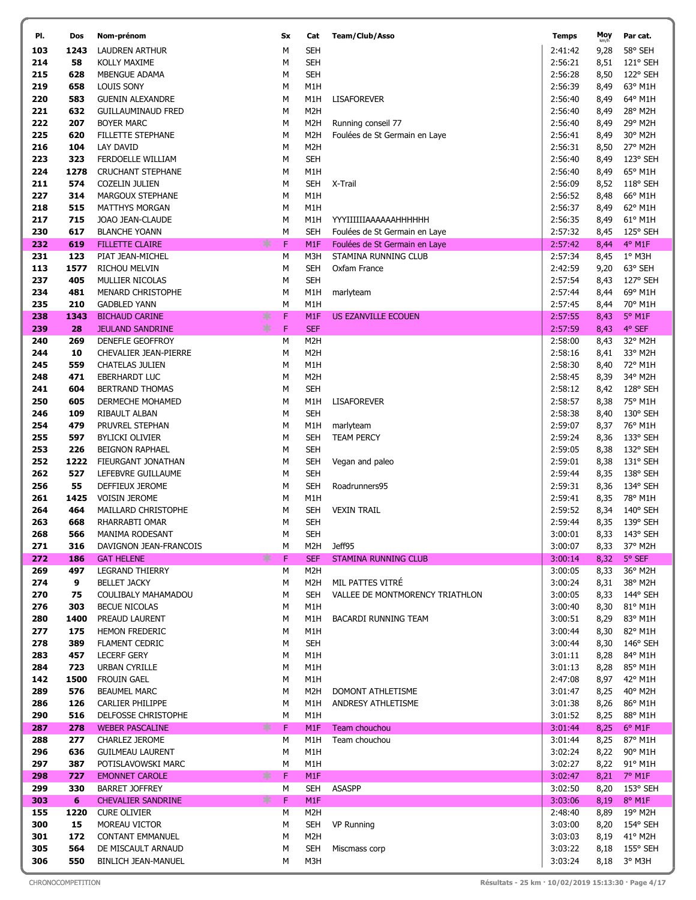| PI.        | Dos        | Nom-prénom                                     |     | Sx     | Cat               | Team/Club/Asso                                                 | <b>Temps</b>       | Moy          | Par cat.            |
|------------|------------|------------------------------------------------|-----|--------|-------------------|----------------------------------------------------------------|--------------------|--------------|---------------------|
| 103        | 1243       | <b>LAUDREN ARTHUR</b>                          |     | M      | <b>SEH</b>        |                                                                | 2:41:42            | 9,28         | 58° SEH             |
| 214        | 58         | KOLLY MAXIME                                   |     | М      | <b>SEH</b>        |                                                                | 2:56:21            | 8,51         | 121° SEH            |
| 215        | 628        | MBENGUE ADAMA                                  |     | М      | <b>SEH</b>        |                                                                | 2:56:28            | 8,50         | 122° SEH            |
| 219        | 658        | <b>LOUIS SONY</b>                              |     | М      | M1H               |                                                                | 2:56:39            | 8,49         | 63° M1H             |
| 220        | 583        | <b>GUENIN ALEXANDRE</b>                        |     | М      | M1H               | <b>LISAFOREVER</b>                                             | 2:56:40            | 8,49         | 64° M1H             |
| 221        | 632        | <b>GUILLAUMINAUD FRED</b>                      |     | М      | M <sub>2</sub> H  |                                                                | 2:56:40            | 8,49         | 28° M2H             |
| 222        | 207        | <b>BOYER MARC</b>                              |     | М      | M <sub>2</sub> H  | Running conseil 77                                             | 2:56:40            | 8,49         | 29° M2H             |
| 225        | 620        | FILLETTE STEPHANE                              |     | М      | M <sub>2</sub> H  | Foulées de St Germain en Laye                                  | 2:56:41            | 8,49         | 30° M2H             |
| 216        | 104        | LAY DAVID                                      |     | М      | M <sub>2</sub> H  |                                                                | 2:56:31            | 8,50         | 27° M2H             |
| 223        | 323        | FERDOELLE WILLIAM                              |     | М      | <b>SEH</b>        |                                                                | 2:56:40            | 8,49         | 123° SEH            |
| 224        | 1278       | <b>CRUCHANT STEPHANE</b>                       |     | М      | M1H               |                                                                | 2:56:40            | 8,49         | 65° M1H             |
| 211        | 574        | <b>COZELIN JULIEN</b>                          |     | М      | <b>SEH</b>        | X-Trail                                                        | 2:56:09            | 8,52         | 118° SEH            |
| 227        | 314        | <b>MARGOUX STEPHANE</b>                        |     | М      | M1H               |                                                                | 2:56:52            | 8,48         | 66° M1H             |
| 218        | 515        | <b>MATTHYS MORGAN</b>                          |     | М      | M1H               |                                                                | 2:56:37            | 8,49         | 62° M1H             |
| 217<br>230 | 715<br>617 | JOAO JEAN-CLAUDE                               |     | М      | M1H<br><b>SEH</b> | YYYIIIIIIAAAAAAHHHHHH                                          | 2:56:35<br>2:57:32 | 8,49         | 61° M1H<br>125° SEH |
| 232        | 619        | <b>BLANCHE YOANN</b><br><b>FILLETTE CLAIRE</b> | ∗   | М<br>F | M <sub>1</sub> F  | Foulées de St Germain en Laye<br>Foulées de St Germain en Laye | 2:57:42            | 8,45<br>8,44 | 4° M1F              |
| 231        | 123        | PIAT JEAN-MICHEL                               |     | М      | M3H               | STAMINA RUNNING CLUB                                           | 2:57:34            | 8,45         | $1^\circ$ M3H       |
| 113        | 1577       | RICHOU MELVIN                                  |     | М      | <b>SEH</b>        | Oxfam France                                                   | 2:42:59            | 9,20         | 63° SEH             |
| 237        | 405        | MULLIER NICOLAS                                |     | М      | <b>SEH</b>        |                                                                | 2:57:54            | 8,43         | 127° SEH            |
| 234        | 481        | MENARD CHRISTOPHE                              |     | М      | M1H               | marlyteam                                                      | 2:57:44            | 8,44         | 69° M1H             |
| 235        | 210        | <b>GADBLED YANN</b>                            |     | M      | M1H               |                                                                | 2:57:45            | 8,44         | 70° M1H             |
| 238        | 1343       | <b>BICHAUD CARINE</b>                          | ∗   | F      | M <sub>1</sub> F  | <b>US EZANVILLE ECOUEN</b>                                     | 2:57:55            | 8,43         | 5° M1F              |
| 239        | 28         | <b>JEULAND SANDRINE</b>                        | $*$ | F      | <b>SEF</b>        |                                                                | 2:57:59            | 8,43         | 4° SEF              |
| 240        | 269        | DENEFLE GEOFFROY                               |     | М      | M <sub>2</sub> H  |                                                                | 2:58:00            | 8,43         | 32° M2H             |
| 244        | 10         | CHEVALIER JEAN-PIERRE                          |     | М      | M <sub>2</sub> H  |                                                                | 2:58:16            | 8,41         | 33° M2H             |
| 245        | 559        | <b>CHATELAS JULIEN</b>                         |     | М      | M1H               |                                                                | 2:58:30            | 8,40         | 72° M1H             |
| 248        | 471        | EBERHARDT LUC                                  |     | М      | M <sub>2</sub> H  |                                                                | 2:58:45            | 8,39         | 34° M2H             |
| 241        | 604        | <b>BERTRAND THOMAS</b>                         |     | М      | <b>SEH</b>        |                                                                | 2:58:12            | 8,42         | 128° SEH            |
| 250        | 605        | DERMECHE MOHAMED                               |     | М      | M1H               | <b>LISAFOREVER</b>                                             | 2:58:57            | 8,38         | 75° M1H             |
| 246        | 109        | RIBAULT ALBAN                                  |     | М      | <b>SEH</b>        |                                                                | 2:58:38            | 8,40         | 130° SEH            |
| 254        | 479        | PRUVREL STEPHAN                                |     | М      | M1H               | marlyteam                                                      | 2:59:07            | 8,37         | 76° M1H             |
| 255        | 597        | <b>BYLICKI OLIVIER</b>                         |     | М      | <b>SEH</b>        | <b>TEAM PERCY</b>                                              | 2:59:24            | 8,36         | 133° SEH            |
| 253        | 226        | <b>BEIGNON RAPHAEL</b>                         |     | М      | <b>SEH</b>        |                                                                | 2:59:05            | 8,38         | 132° SEH            |
| 252        | 1222       | FIEURGANT JONATHAN                             |     | М      | <b>SEH</b>        | Vegan and paleo                                                | 2:59:01            | 8,38         | 131° SEH            |
| 262        | 527<br>55  | LEFEBVRE GUILLAUME                             |     | М      | <b>SEH</b>        |                                                                | 2:59:44            | 8,35         | 138° SEH            |
| 256<br>261 | 1425       | DEFFIEUX JEROME<br><b>VOISIN JEROME</b>        |     | М<br>М | <b>SEH</b><br>M1H | Roadrunners95                                                  | 2:59:31<br>2:59:41 | 8,36<br>8,35 | 134° SEH<br>78° M1H |
| 264        | 464        | MAILLARD CHRISTOPHE                            |     | М      | SEH               | <b>VEXIN TRAIL</b>                                             | 2:59:52            | 8,34         | 140° SEH            |
| 263        | 668        | RHARRABTI OMAR                                 |     | М      | <b>SEH</b>        |                                                                | 2:59:44            | 8,35         | 139° SEH            |
| 268        | 566        | MANIMA RODESANT                                |     | м      | <b>SEH</b>        |                                                                | 3:00:01            | 8,33         | 143° SEH            |
| 271        | 316        | DAVIGNON JEAN-FRANCOIS                         |     | М      | M2H               | Jeff95                                                         | 3:00:07            | 8,33         | 37° M2H             |
| 272        | 186        | <b>GAT HELENE</b>                              | ∗   | F      | <b>SEF</b>        | <b>STAMINA RUNNING CLUB</b>                                    | 3:00:14            | 8,32         | 5° SEF              |
| 269        | 497        | <b>LEGRAND THIERRY</b>                         |     | М      | M <sub>2</sub> H  |                                                                | 3:00:05            | 8,33         | 36° M2H             |
| 274        | 9          | <b>BELLET JACKY</b>                            |     | М      | M <sub>2</sub> H  | MIL PATTES VITRE                                               | 3:00:24            | 8,31         | 38° M2H             |
| 270        | 75         | COULIBALY MAHAMADOU                            |     | М      | <b>SEH</b>        | VALLEE DE MONTMORENCY TRIATHLON                                | 3:00:05            | 8,33         | 144° SEH            |
| 276        | 303        | <b>BECUE NICOLAS</b>                           |     | М      | M1H               |                                                                | 3:00:40            | 8,30         | 81° M1H             |
| 280        | 1400       | PREAUD LAURENT                                 |     | м      | M1H               | <b>BACARDI RUNNING TEAM</b>                                    | 3:00:51            | 8,29         | 83° M1H             |
| 277        | 175        | <b>HEMON FREDERIC</b>                          |     | М      | M1H               |                                                                | 3:00:44            | 8,30         | 82° M1H             |
| 278        | 389        | <b>FLAMENT CEDRIC</b>                          |     | м      | <b>SEH</b>        |                                                                | 3:00:44            | 8,30         | 146° SEH            |
| 283        | 457        | <b>LECERF GERY</b>                             |     | М      | M1H               |                                                                | 3:01:11            | 8,28         | 84° M1H             |
| 284        | 723        | URBAN CYRILLE                                  |     | М      | M1H               |                                                                | 3:01:13            | 8,28         | 85° M1H             |
| 142        | 1500       | <b>FROUIN GAEL</b>                             |     | М      | M1H               |                                                                | 2:47:08            | 8,97         | 42° M1H             |
| 289        | 576        | <b>BEAUMEL MARC</b>                            |     | М      | M <sub>2</sub> H  | DOMONT ATHLETISME                                              | 3:01:47            | 8,25         | 40° M2H             |
| 286<br>290 | 126<br>516 | CARLIER PHILIPPE<br>DELFOSSE CHRISTOPHE        |     | М<br>М | M1H<br>M1H        | ANDRESY ATHLETISME                                             | 3:01:38<br>3:01:52 | 8,26<br>8,25 | 86° M1H<br>88° M1H  |
| 287        | 278        | <b>WEBER PASCALINE</b>                         | ∗   | F      | M <sub>1</sub> F  | Team chouchou                                                  | 3:01:44            | 8,25         | $6^{\circ}$ M1F     |
| 288        | 277        | CHARLEZ JEROME                                 |     | М      | M1H               | Team chouchou                                                  | 3:01:44            | 8,25         | 87° M1H             |
| 296        | 636        | <b>GUILMEAU LAURENT</b>                        |     | М      | M1H               |                                                                | 3:02:24            | 8,22         | 90° M1H             |
| 297        | 387        | POTISLAVOWSKI MARC                             |     | М      | M1H               |                                                                | 3:02:27            | 8,22         | 91° M1H             |
| 298        | 727        | <b>EMONNET CAROLE</b>                          | ∗   | F      | M <sub>1</sub> F  |                                                                | 3:02:47            | 8,21         | 7° M1F              |
| 299        | 330        | <b>BARRET JOFFREY</b>                          |     | М      | <b>SEH</b>        | <b>ASASPP</b>                                                  | 3:02:50            | 8,20         | 153° SEH            |
| 303        | 6          | <b>CHEVALIER SANDRINE</b>                      | ∗   | F      | M <sub>1</sub> F  |                                                                | 3:03:06            | 8,19         | 8° M1F              |
| 155        | 1220       | <b>CURE OLIVIER</b>                            |     | М      | M <sub>2</sub> H  |                                                                | 2:48:40            | 8,89         | 19° M2H             |
| 300        | 15         | MOREAU VICTOR                                  |     | М      | <b>SEH</b>        | <b>VP Running</b>                                              | 3:03:00            | 8,20         | 154° SEH            |
| 301        | 172        | <b>CONTANT EMMANUEL</b>                        |     | М      | M <sub>2</sub> H  |                                                                | 3:03:03            | 8,19         | 41° M2H             |
| 305        | 564        | DE MISCAULT ARNAUD                             |     | М      | SEH               | Miscmass corp                                                  | 3:03:22            | 8,18         | $155^{\circ}$ SEH   |
| 306        | 550        | <b>BINLICH JEAN-MANUEL</b>                     |     | м      | M3H               |                                                                | 3:03:24            | 8,18         | 3° M3H              |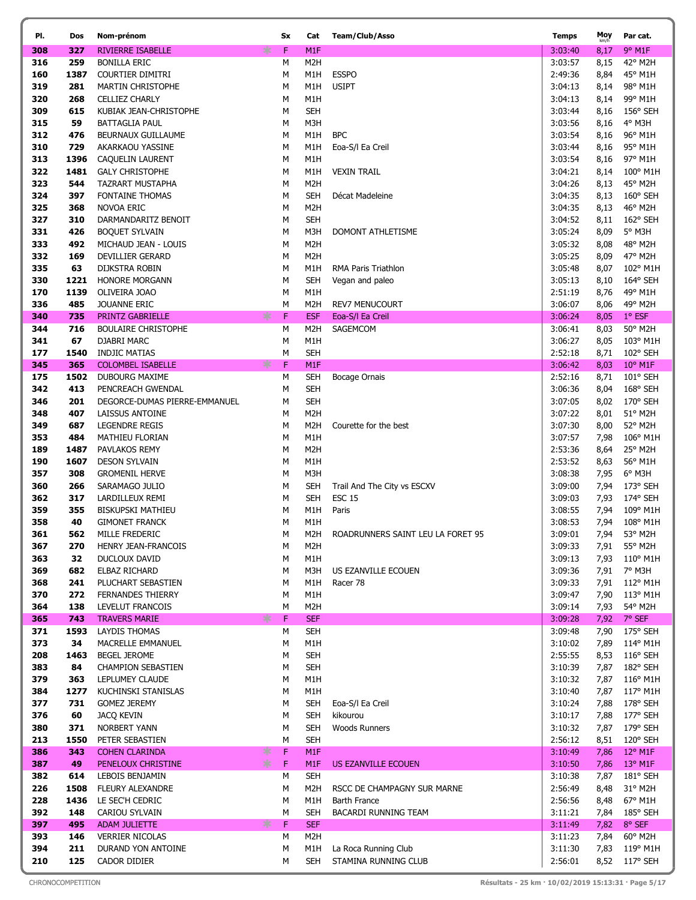| PI.        | Dos         | Nom-prénom                                            | Sx               | Cat                            | Team/Club/Asso                    | <b>Temps</b>       | Moy<br>km/h  | Par cat.                              |
|------------|-------------|-------------------------------------------------------|------------------|--------------------------------|-----------------------------------|--------------------|--------------|---------------------------------------|
| 308        | 327         | ∗<br>RIVIERRE ISABELLE                                | F.               | M <sub>1</sub> F               |                                   | 3:03:40            | 8,17         | 9° M1F                                |
| 316        | 259         | <b>BONILLA ERIC</b>                                   | М                | M <sub>2</sub> H               |                                   | 3:03:57            | 8,15         | 42° M2H                               |
| 160        | 1387        | COURTIER DIMITRI                                      | М                | M1H                            | <b>ESSPO</b>                      | 2:49:36            | 8,84         | 45° M1H                               |
| 319        | 281         | <b>MARTIN CHRISTOPHE</b>                              | М                | M1H                            | <b>USIPT</b>                      | 3:04:13            | 8,14         | 98° M1H                               |
| 320        | 268         | <b>CELLIEZ CHARLY</b>                                 | М                | M1H                            |                                   | 3:04:13            | 8,14         | 99° M1H                               |
| 309        | 615         | KUBIAK JEAN-CHRISTOPHE                                | М                | <b>SEH</b>                     |                                   | 3:03:44            | 8,16         | 156° SEH                              |
| 315        | 59          | <b>BATTAGLIA PAUL</b>                                 | М                | M3H                            |                                   | 3:03:56            | 8,16         | $4^{\circ}$ M3H                       |
| 312        | 476         | BEURNAUX GUILLAUME                                    | М                | M1H                            | <b>BPC</b>                        | 3:03:54            | 8,16         | 96° M1H                               |
| 310        | 729         | AKARKAOU YASSINE                                      | М                | M1H                            | Eoa-S/I Ea Creil                  | 3:03:44            | 8,16         | 95° M1H                               |
| 313        | 1396        | CAQUELIN LAURENT                                      | М                | M1H                            |                                   | 3:03:54            | 8,16         | 97° M1H                               |
| 322        | 1481        | <b>GALY CHRISTOPHE</b>                                | M                | M1H                            | <b>VEXIN TRAIL</b>                | 3:04:21            | 8,14         | 100° M1H                              |
| 323        | 544         | TAZRART MUSTAPHA                                      | M                | M <sub>2</sub> H               |                                   | 3:04:26            | 8,13         | 45° M2H                               |
| 324        | 397         | <b>FONTAINE THOMAS</b>                                | М                | <b>SEH</b>                     | Décat Madeleine                   | 3:04:35            | 8,13         | 160° SEH                              |
| 325        | 368         | NOVOA ERIC                                            | M                | M <sub>2</sub> H               |                                   | 3:04:35            | 8,13         | 46° M2H                               |
| 327        | 310         | DARMANDARITZ BENOIT                                   | М                | <b>SEH</b>                     |                                   | 3:04:52            | 8,11         | 162° SEH                              |
| 331        | 426         | <b>BOQUET SYLVAIN</b>                                 | M                | M3H                            | DOMONT ATHLETISME                 | 3:05:24            | 8,09         | 5° M3H                                |
| 333        | 492         | MICHAUD JEAN - LOUIS                                  | М                | M <sub>2</sub> H               |                                   | 3:05:32            | 8,08         | 48° M2H                               |
| 332        | 169         | DEVILLIER GERARD                                      | М                | M <sub>2</sub> H               |                                   | 3:05:25            | 8,09         | 47° M2H                               |
| 335        | 63          | DIJKSTRA ROBIN                                        | М                | M1H                            | RMA Paris Triathlon               | 3:05:48            | 8,07         | 102° M1H                              |
| 330        | 1221        | <b>HONORE MORGANN</b>                                 | М                | <b>SEH</b>                     | Vegan and paleo                   | 3:05:13            | 8,10         | 164° SEH                              |
| 170        | 1139        | OLIVEIRA JOAO                                         | M                | M1H                            |                                   | 2:51:19            | 8,76         | 49° M1H                               |
| 336        | 485         | <b>JOUANNE ERIC</b>                                   | M                | M2H                            | <b>REV7 MENUCOURT</b>             | 3:06:07            | 8,06         | 49° M2H                               |
| 340        | 735         | ∗<br>PRINTZ GABRIELLE                                 | F                | <b>ESF</b>                     | Eoa-S/I Ea Creil                  | 3:06:24            | 8,05         | $1°$ ESF                              |
| 344        | 716         | <b>BOULAIRE CHRISTOPHE</b>                            | М                | M <sub>2</sub> H               | SAGEMCOM                          | 3:06:41            | 8,03         | 50° M2H                               |
| 341        | 67          | DJABRI MARC                                           | М                | M1H                            |                                   | 3:06:27            | 8,05         | 103° M1H                              |
| 177<br>345 | 1540<br>365 | <b>INDJIC MATIAS</b><br>∗<br><b>COLOMBEL ISABELLE</b> | М<br>$\mathsf F$ | <b>SEH</b><br>M <sub>1</sub> F |                                   | 2:52:18<br>3:06:42 | 8,71<br>8,03 | 102° SEH<br>$10^{\circ}$ M1F          |
| 175        | 1502        | <b>DUBOURG MAXIME</b>                                 | М                | <b>SEH</b>                     | Bocage Ornais                     | 2:52:16            | 8,71         | 101° SEH                              |
| 342        | 413         | PENCREACH GWENDAL                                     | М                | <b>SEH</b>                     |                                   | 3:06:36            | 8,04         | 168° SEH                              |
| 346        | 201         | DEGORCE-DUMAS PIERRE-EMMANUEL                         | М                | <b>SEH</b>                     |                                   | 3:07:05            | 8,02         | 170° SEH                              |
| 348        | 407         | LAISSUS ANTOINE                                       | M                | M <sub>2</sub> H               |                                   | 3:07:22            | 8,01         | 51° M2H                               |
| 349        | 687         | <b>LEGENDRE REGIS</b>                                 | M                | M <sub>2</sub> H               | Courette for the best             | 3:07:30            | 8,00         | 52° M2H                               |
| 353        | 484         | <b>MATHIEU FLORIAN</b>                                | M                | M1H                            |                                   | 3:07:57            | 7,98         | 106° M1H                              |
| 189        | 1487        | PAVLAKOS REMY                                         | М                | M <sub>2</sub> H               |                                   | 2:53:36            | 8,64         | 25° M2H                               |
| 190        | 1607        | <b>DESON SYLVAIN</b>                                  | M                | M1H                            |                                   | 2:53:52            | 8,63         | 56° M1H                               |
| 357        | 308         | <b>GROMENIL HERVE</b>                                 | М                | M3H                            |                                   | 3:08:38            | 7,95         | 6° M3H                                |
| 360        | 266         | SARAMAGO JULIO                                        | М                | <b>SEH</b>                     | Trail And The City vs ESCXV       | 3:09:00            | 7,94         | 173° SEH                              |
| 362        | 317         | LARDILLEUX REMI                                       | М                | <b>SEH</b>                     | <b>ESC 15</b>                     | 3:09:03            | 7,93         | 174° SEH                              |
| 359        | 355         | <b>BISKUPSKI MATHIEU</b>                              | М                | M1H                            | Paris                             | 3:08:55            | 7,94         | 109° M1H                              |
| 358        | 40          | <b>GIMONET FRANCK</b>                                 | М                | M1H                            |                                   | 3:08:53            | 7,94         | 108° M1H                              |
| 361        | 562         | MILLE FREDERIC                                        | М                | M <sub>2</sub> H               | ROADRUNNERS SAINT LEU LA FORET 95 | 3:09:01            | 7,94         | 53° M2H                               |
| 367        | 270         | HENRY JEAN-FRANCOIS                                   | М                | M <sub>2</sub> H               |                                   | 3:09:33            |              | 7,91 55° M2H                          |
| 363        | 32          | DUCLOUX DAVID                                         | М                | M1H                            |                                   | 3:09:13            | 7,93         | 110° M1H                              |
| 369        | 682         | <b>ELBAZ RICHARD</b>                                  | М                | M3H                            | US EZANVILLE ECOUEN               | 3:09:36            | 7,91         | 7° M3H                                |
| 368        | 241         | PLUCHART SEBASTIEN                                    | М                | M1H                            | Racer 78                          | 3:09:33            | 7,91         | 112° M1H                              |
| 370        | 272         | <b>FERNANDES THIERRY</b>                              | М                | M1H                            |                                   | 3:09:47            | 7,90         | 113° M1H                              |
| 364        | 138         | LEVELUT FRANCOIS                                      | М                | M <sub>2</sub> H               |                                   | 3:09:14            | 7,93         | 54° M2H                               |
| 365        | 743         | *<br><b>TRAVERS MARIE</b>                             | $\mathsf F$      | <b>SEF</b>                     |                                   | 3:09:28            | 7,92         | 7° SEF                                |
| 371        | 1593        | <b>LAYDIS THOMAS</b>                                  | М                | <b>SEH</b>                     |                                   | 3:09:48            | 7,90         | 175° SEH                              |
| 373        | 34          | MACRELLE EMMANUEL                                     | М                | M1H                            |                                   | 3:10:02            | 7,89         | 114° M1H                              |
| 208        | 1463        | <b>BEGEL JEROME</b>                                   | М                | <b>SEH</b>                     |                                   | 2:55:55            | 8,53         | $116^{\circ}$ SEH                     |
| 383        | 84          | <b>CHAMPION SEBASTIEN</b>                             | М                | <b>SEH</b>                     |                                   | 3:10:39            | 7,87         | 182° SEH                              |
| 379        | 363         | LEPLUMEY CLAUDE                                       | М                | M1H                            |                                   | 3:10:32            | 7,87         | 116° M1H                              |
| 384        | 1277        | KUCHINSKI STANISLAS                                   | М                | M1H                            |                                   | 3:10:40            | 7,87         | 117° M1H                              |
| 377        | 731         | <b>GOMEZ JEREMY</b>                                   | М                | <b>SEH</b>                     | Eoa-S/I Ea Creil                  | 3:10:24            | 7,88         | 178° SEH                              |
| 376<br>380 | 60<br>371   | <b>JACQ KEVIN</b>                                     | М<br>М           | <b>SEH</b><br><b>SEH</b>       | kikourou                          | 3:10:17<br>3:10:32 | 7,88         | 177° SEH<br>179° SEH                  |
|            |             | NORBERT YANN                                          |                  |                                | <b>Woods Runners</b>              |                    | 7,87         |                                       |
| 213<br>386 | 1550<br>343 | PETER SEBASTIEN<br>∗<br><b>COHEN CLARINDA</b>         | М<br>F           | <b>SEH</b><br>M <sub>1</sub> F |                                   | 2:56:12<br>3:10:49 | 8,51<br>7,86 | $120^{\circ}$ SEH<br>$12^{\circ}$ M1F |
| 387        | 49          | $*$<br>PENELOUX CHRISTINE                             | $\mathsf F$      | M <sub>1</sub> F               | US EZANVILLE ECOUEN               | 3:10:50            | 7,86         | $13^{\circ}$ M1F                      |
| 382        | 614         | LEBOIS BENJAMIN                                       | М                | <b>SEH</b>                     |                                   | 3:10:38            | 7,87         | 181° SEH                              |
| 226        | 1508        | FLEURY ALEXANDRE                                      | М                | M2H                            | RSCC DE CHAMPAGNY SUR MARNE       | 2:56:49            | 8,48         | 31° M2H                               |
| 228        | 1436        | LE SEC'H CEDRIC                                       | М                | M1H                            | Barth France                      | 2:56:56            | 8,48         | 67° M1H                               |
| 392        | 148         | CARIOU SYLVAIN                                        | M                | <b>SEH</b>                     | BACARDI RUNNING TEAM              | 3:11:21            | 7,84         | $185^\circ$ SEH                       |
| 397        | 495         | ∗<br><b>ADAM JULIETTE</b>                             | $\mathsf F$      | <b>SEF</b>                     |                                   | 3:11:49            | 7,82         | 8° SEF                                |
| 393        | 146         | <b>VERRIER NICOLAS</b>                                | М                | M <sub>2</sub> H               |                                   | 3:11:23            | 7,84         | 60° M2H                               |
| 394        | 211         | DURAND YON ANTOINE                                    | М                | M1H                            | La Roca Running Club              | 3:11:30            | 7,83         | 119° M1H                              |
| 210        | 125         | CADOR DIDIER                                          | М                | <b>SEH</b>                     | STAMINA RUNNING CLUB              | 2:56:01            |              | 8,52 117° SEH                         |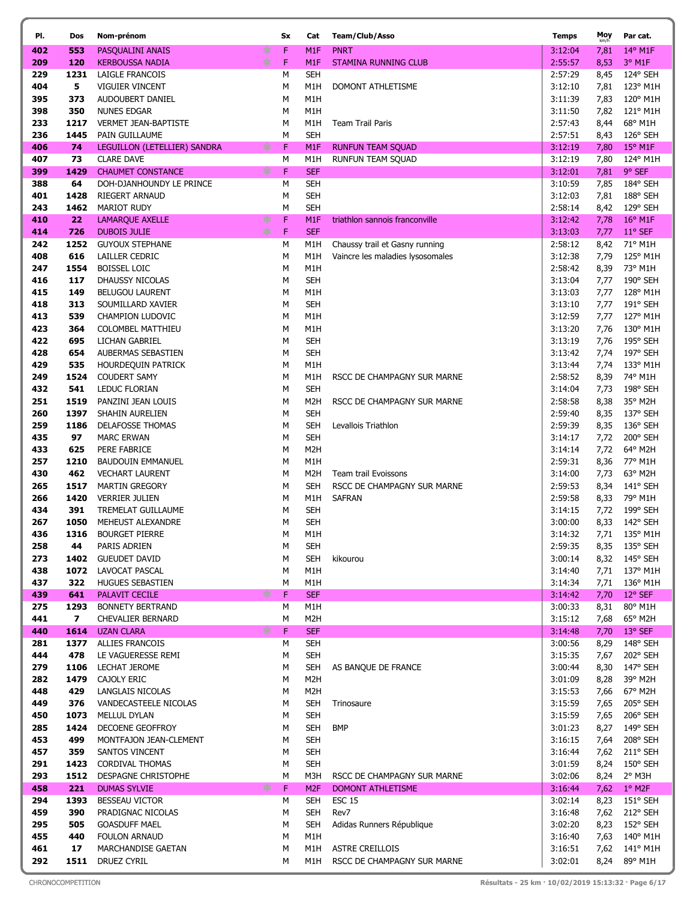| PI.        | Dos                             | Nom-prénom                                        | Sx                      | Cat                      | Team/Club/Asso                                | <b>Temps</b>       | Moy          | Par cat.                     |
|------------|---------------------------------|---------------------------------------------------|-------------------------|--------------------------|-----------------------------------------------|--------------------|--------------|------------------------------|
| 402        | 553                             | PASQUALINI ANAIS                                  | ∗<br>F                  | M <sub>1</sub> F         | <b>PNRT</b>                                   | 3:12:04            | 7,81         | 14° M1F                      |
| 209        | 120                             | <b>KERBOUSSA NADIA</b>                            | $*$<br>$\mathsf F$      | M <sub>1</sub> F         | <b>STAMINA RUNNING CLUB</b>                   | 2:55:57            | 8,53         | 3° M1F                       |
| 229        | 1231                            | LAIGLE FRANCOIS                                   | M                       | <b>SEH</b>               |                                               | 2:57:29            | 8,45         | 124° SEH                     |
| 404        | 5                               | <b>VIGUIER VINCENT</b>                            | М                       | M1H                      | DOMONT ATHLETISME                             | 3:12:10            | 7,81         | 123° M1H                     |
| 395        | 373                             | AUDOUBERT DANIEL                                  | М                       | M1H                      |                                               | 3:11:39            | 7,83         | 120° M1H                     |
| 398        | 350                             | <b>NUNES EDGAR</b>                                | М                       | M1H                      |                                               | 3:11:50            | 7,82         | 121° M1H                     |
| 233        | 1217                            | VERMET JEAN-BAPTISTE                              | M                       | M1H                      | <b>Team Trail Paris</b>                       | 2:57:43            | 8,44         | 68° M1H                      |
| 236        | 1445                            | PAIN GUILLAUME                                    | М                       | <b>SEH</b>               |                                               | 2:57:51            | 8,43         | 126° SEH                     |
| 406<br>407 | 74<br>73                        | LEGUILLON (LETELLIER) SANDRA<br><b>CLARE DAVE</b> | $*$<br>$\mathsf F$<br>М | M <sub>1</sub> F<br>M1H  | <b>RUNFUN TEAM SQUAD</b><br>RUNFUN TEAM SQUAD | 3:12:19<br>3:12:19 | 7,80         | $15^{\circ}$ M1F<br>124° M1H |
| 399        | 1429                            | <b>CHAUMET CONSTANCE</b>                          | ∗<br>F                  | <b>SEF</b>               |                                               | 3:12:01            | 7,80<br>7,81 | 9° SEF                       |
| 388        | 64                              | DOH-DJANHOUNDY LE PRINCE                          | M                       | <b>SEH</b>               |                                               | 3:10:59            | 7,85         | 184° SEH                     |
| 401        | 1428                            | <b>RIEGERT ARNAUD</b>                             | М                       | <b>SEH</b>               |                                               | 3:12:03            | 7,81         | 188° SEH                     |
| 243        | 1462                            | <b>MARIOT RUDY</b>                                | M                       | <b>SEH</b>               |                                               | 2:58:14            | 8,42         | 129° SEH                     |
| 410        | 22                              | <b>LAMARQUE AXELLE</b>                            | ∗<br>$\mathsf F$        | M <sub>1</sub> F         | triathlon sannois franconville                | 3:12:42            | 7,78         | $16^{\circ}$ M1F             |
| 414        | 726                             | <b>DUBOIS JULIE</b>                               | $*$<br>$\mathsf F$      | <b>SEF</b>               |                                               | 3:13:03            | 7,77         | 11° SEF                      |
| 242        | 1252                            | <b>GUYOUX STEPHANE</b>                            | М                       | M1H                      | Chaussy trail et Gasny running                | 2:58:12            | 8,42         | 71° M1H                      |
| 408        | 616                             | LAILLER CEDRIC                                    | М                       | M1H                      | Vaincre les maladies lysosomales              | 3:12:38            | 7,79         | 125° M1H                     |
| 247        | 1554                            | <b>BOISSEL LOIC</b>                               | М                       | M1H                      |                                               | 2:58:42            | 8,39         | 73° M1H                      |
| 416        | 117                             | DHAUSSY NICOLAS                                   | М                       | <b>SEH</b>               |                                               | 3:13:04            | 7,77         | 190° SEH                     |
| 415        | 149                             | <b>BELUGOU LAURENT</b>                            | М                       | M1H                      |                                               | 3:13:03            | 7,77         | 128° M1H                     |
| 418        | 313                             | SOUMILLARD XAVIER                                 | М                       | <b>SEH</b>               |                                               | 3:13:10            | 7,77         | 191° SEH                     |
| 413<br>423 | 539<br>364                      | CHAMPION LUDOVIC<br>COLOMBEL MATTHIEU             | М<br>M                  | M1H<br>M1H               |                                               | 3:12:59<br>3:13:20 | 7,77         | 127° M1H<br>130° M1H         |
| 422        | 695                             | LICHAN GABRIEL                                    | М                       | <b>SEH</b>               |                                               | 3:13:19            | 7,76<br>7,76 | 195° SEH                     |
| 428        | 654                             | AUBERMAS SEBASTIEN                                | М                       | <b>SEH</b>               |                                               | 3:13:42            | 7,74         | 197° SEH                     |
| 429        | 535                             | <b>HOURDEQUIN PATRICK</b>                         | М                       | M1H                      |                                               | 3:13:44            | 7,74         | 133° M1H                     |
| 249        | 1524                            | <b>COUDERT SAMY</b>                               | М                       | M1H                      | RSCC DE CHAMPAGNY SUR MARNE                   | 2:58:52            | 8,39         | 74° M1H                      |
| 432        | 541                             | LEDUC FLORIAN                                     | М                       | <b>SEH</b>               |                                               | 3:14:04            | 7,73         | 198° SEH                     |
| 251        | 1519                            | PANZINI JEAN LOUIS                                | М                       | M2H                      | RSCC DE CHAMPAGNY SUR MARNE                   | 2:58:58            | 8,38         | 35° M2H                      |
| 260        | 1397                            | SHAHIN AURELIEN                                   | М                       | <b>SEH</b>               |                                               | 2:59:40            | 8,35         | 137° SEH                     |
| 259        | 1186                            | <b>DELAFOSSE THOMAS</b>                           | М                       | <b>SEH</b>               | Levallois Triathlon                           | 2:59:39            | 8,35         | 136° SEH                     |
| 435        | 97                              | <b>MARC ERWAN</b>                                 | М                       | <b>SEH</b>               |                                               | 3:14:17            | 7,72         | 200° SEH                     |
| 433        | 625                             | PERE FABRICE                                      | M                       | M <sub>2</sub> H         |                                               | 3:14:14            | 7,72         | 64° M2H                      |
| 257        | 1210                            | <b>BAUDOUIN EMMANUEL</b>                          | М                       | M1H                      |                                               | 2:59:31            | 8,36         | 77° M1H                      |
| 430        | 462                             | <b>VECHART LAURENT</b>                            | M                       | M2H                      | Team trail Evoissons                          | 3:14:00            | 7,73         | 63° M2H                      |
| 265<br>266 | 1517<br>1420                    | <b>MARTIN GREGORY</b><br><b>VERRIER JULIEN</b>    | М<br>М                  | <b>SEH</b><br>M1H        | RSCC DE CHAMPAGNY SUR MARNE<br><b>SAFRAN</b>  | 2:59:53<br>2:59:58 | 8,34<br>8,33 | 141° SEH<br>79° M1H          |
| 434        | 391                             | TREMELAT GUILLAUME                                | М                       | <b>SEH</b>               |                                               | 3:14:15            | 7,72         | 199° SEH                     |
| 267        | 1050                            | MEHEUST ALEXANDRE                                 | М                       | <b>SEH</b>               |                                               | 3:00:00            | 8,33         | 142° SEH                     |
| 436        | 1316                            | <b>BOURGET PIERRE</b>                             | M                       | M1H                      |                                               | 3:14:32            | 7,71         | 135° M1H                     |
| 258        | 44                              | PARIS ADRIEN                                      | М                       | <b>SEH</b>               |                                               | 2:59:35            | 8,35         | 135° SEH                     |
| 273        | 1402                            | <b>GUEUDET DAVID</b>                              | М                       | <b>SEH</b>               | kikourou                                      | 3:00:14            | 8,32         | 145° SEH                     |
| 438        | 1072                            | LAVOCAT PASCAL                                    | М                       | M1H                      |                                               | 3:14:40            | 7,71         | 137° M1H                     |
| 437        | 322                             | <b>HUGUES SEBASTIEN</b>                           | M                       | M1H                      |                                               | 3:14:34            | 7,71         | 136° M1H                     |
| 439        | 641                             | PALAVIT CECILE                                    | ∗<br>F                  | <b>SEF</b>               |                                               | 3:14:42            | 7,70         | 12° SEF                      |
| 275        | 1293                            | BONNETY BERTRAND                                  | М                       | M1H                      |                                               | 3:00:33            | 8,31         | 80° M1H                      |
| 441<br>440 | $\overline{\mathbf{z}}$<br>1614 | <b>CHEVALIER BERNARD</b><br><b>UZAN CLARA</b>     | М<br>$*$<br>F           | M2H<br><b>SEF</b>        |                                               | 3:15:12<br>3:14:48 | 7,68<br>7,70 | 65° M2H<br>13° SEF           |
| 281        | 1377                            | <b>ALLIES FRANCOIS</b>                            | М                       | <b>SEH</b>               |                                               | 3:00:56            | 8,29         | 148° SEH                     |
| 444        | 478                             | LE VAGUERESSE REMI                                | М                       | <b>SEH</b>               |                                               | 3:15:35            | 7,67         | 202° SEH                     |
| 279        | 1106                            | <b>LECHAT JEROME</b>                              | М                       | <b>SEH</b>               | AS BANQUE DE FRANCE                           | 3:00:44            | 8,30         | 147° SEH                     |
| 282        | 1479                            | CAJOLY ERIC                                       | M                       | M <sub>2</sub> H         |                                               | 3:01:09            | 8,28         | 39° M2H                      |
| 448        | 429                             | LANGLAIS NICOLAS                                  | М                       | M <sub>2</sub> H         |                                               | 3:15:53            | 7,66         | 67° M2H                      |
| 449        | 376                             | VANDECASTEELE NICOLAS                             | М                       | <b>SEH</b>               | Trinosaure                                    | 3:15:59            | 7,65         | 205° SEH                     |
| 450        | 1073                            | MELLUL DYLAN                                      | М                       | <b>SEH</b>               |                                               | 3:15:59            | 7,65         | 206° SEH                     |
| 285        | 1424                            | DECOENE GEOFFROY                                  | М                       | <b>SEH</b>               | <b>BMP</b>                                    | 3:01:23            | 8,27         | 149° SEH                     |
| 453        | 499                             | MONTFAJON JEAN-CLEMENT                            | М                       | <b>SEH</b>               |                                               | 3:16:15            | 7,64         | 208° SEH                     |
| 457        | 359<br>1423                     | SANTOS VINCENT                                    | М<br>М                  | <b>SEH</b><br><b>SEH</b> |                                               | 3:16:44<br>3:01:59 | 7,62         | 211° SEH<br>150° SEH         |
| 291<br>293 | 1512                            | <b>CORDIVAL THOMAS</b><br>DESPAGNE CHRISTOPHE     | М                       | M3H                      | RSCC DE CHAMPAGNY SUR MARNE                   | 3:02:06            | 8,24<br>8,24 | 2° M3H                       |
| 458        | 221                             | <b>DUMAS SYLVIE</b>                               | $*$<br>$\mathsf F$      | M <sub>2F</sub>          | DOMONT ATHLETISME                             | 3:16:44            | 7,62         | $1°$ M2F                     |
| 294        | 1393                            | <b>BESSEAU VICTOR</b>                             | М                       | <b>SEH</b>               | <b>ESC 15</b>                                 | 3:02:14            | 8,23         | $151^{\circ}$ SEH            |
| 459        | 390                             | PRADIGNAC NICOLAS                                 | М                       | <b>SEH</b>               | Rev7                                          | 3:16:48            | 7,62         | 212° SEH                     |
| 295        | 505                             | <b>GOASDUFF MAEL</b>                              | М                       | <b>SEH</b>               | Adidas Runners République                     | 3:02:20            | 8,23         | 152° SEH                     |
| 455        | 440                             | <b>FOULON ARNAUD</b>                              | М                       | M1H                      |                                               | 3:16:40            | 7,63         | 140° M1H                     |
| 461        | 17                              | MARCHANDISE GAETAN                                | М                       | M1H                      | ASTRE CREILLOIS                               | 3:16:51            | 7,62         | 141° M1H                     |
| 292        | 1511                            | DRUEZ CYRIL                                       | М                       | M1H                      | RSCC DE CHAMPAGNY SUR MARNE                   | 3:02:01            | 8,24         | 89° M1H                      |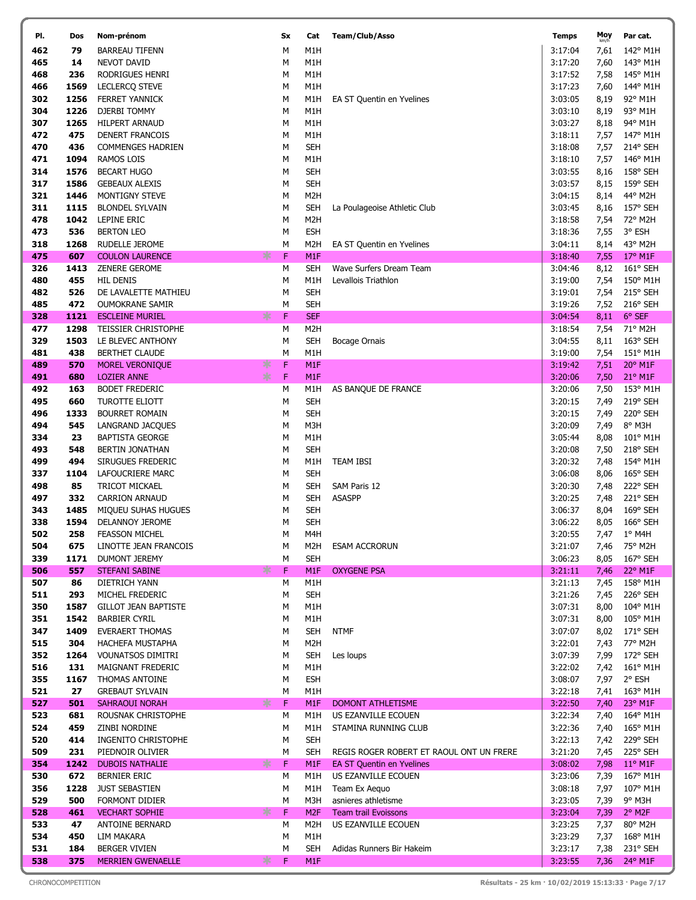| PI.        | Dos          | Nom-prénom                                     | Sx          | Cat                            | Team/Club/Asso                           | <b>Temps</b>       | Moy          | Par cat.                     |
|------------|--------------|------------------------------------------------|-------------|--------------------------------|------------------------------------------|--------------------|--------------|------------------------------|
| 462        | 79           | <b>BARREAU TIFENN</b>                          | М           | M <sub>1</sub> H               |                                          | 3:17:04            | 7,61         | 142° M1H                     |
| 465        | 14           | NEVOT DAVID                                    | М           | M1H                            |                                          | 3:17:20            | 7,60         | 143° M1H                     |
| 468        | 236          | RODRIGUES HENRI                                | М           | M1H                            |                                          | 3:17:52            | 7,58         | 145° M1H                     |
| 466        | 1569         | LECLERCQ STEVE                                 | М           | M <sub>1</sub> H               |                                          | 3:17:23            | 7,60         | 144° M1H                     |
| 302        | 1256         | <b>FERRET YANNICK</b>                          | М           | M1H                            | EA ST Quentin en Yvelines                | 3:03:05            | 8,19         | 92° M1H                      |
| 304        | 1226         | <b>DJERBI TOMMY</b>                            | М           | M1H                            |                                          | 3:03:10            | 8,19         | 93° M1H                      |
| 307        | 1265         | <b>HILPERT ARNAUD</b>                          | М           | M1H                            |                                          | 3:03:27            | 8,18         | 94° M1H                      |
| 472        | 475          | DENERT FRANCOIS                                | М           | M <sub>1</sub> H               |                                          | 3:18:11            | 7,57         | 147° M1H                     |
| 470        | 436          | <b>COMMENGES HADRIEN</b>                       | М           | <b>SEH</b>                     |                                          | 3:18:08            | 7,57         | 214° SEH                     |
| 471        | 1094         | RAMOS LOIS                                     | М           | M1H                            |                                          | 3:18:10            | 7,57         | 146° M1H                     |
| 314        | 1576         | <b>BECART HUGO</b>                             | М           | <b>SEH</b>                     |                                          | 3:03:55            | 8,16         | 158° SEH                     |
| 317        | 1586         | <b>GEBEAUX ALEXIS</b>                          | М           | <b>SEH</b>                     |                                          | 3:03:57            | 8,15         | 159° SEH                     |
| 321        | 1446         | MONTIGNY STEVE                                 | М           | M <sub>2</sub> H               |                                          | 3:04:15            | 8,14         | 44° M2H                      |
| 311        | 1115         | <b>BLONDEL SYLVAIN</b>                         | М           | SEH                            | La Poulageoise Athletic Club             | 3:03:45            | 8,16         | 157° SEH                     |
| 478        | 1042         | LEPINE ERIC                                    | М           | M <sub>2</sub> H               |                                          | 3:18:58            | 7,54         | 72° M2H                      |
| 473        | 536          | <b>BERTON LEO</b>                              | М           | <b>ESH</b>                     |                                          | 3:18:36            | 7,55         | 3° ESH                       |
| 318        | 1268         | RUDELLE JEROME                                 | м<br>∗<br>F | M2H                            | EA ST Quentin en Yvelines                | 3:04:11            | 8,14         | 43° M2H                      |
| 475<br>326 | 607<br>1413  | <b>COULON LAURENCE</b><br><b>ZENERE GEROME</b> | м           | M <sub>1</sub> F<br><b>SEH</b> | Wave Surfers Dream Team                  | 3:18:40<br>3:04:46 | 7,55<br>8,12 | $17^{\circ}$ M1F<br>161° SEH |
| 480        | 455          | <b>HIL DENIS</b>                               | М           | M1H                            | Levallois Triathlon                      | 3:19:00            | 7,54         | 150° M1H                     |
| 482        | 526          | DE LAVALETTE MATHIEU                           | М           | <b>SEH</b>                     |                                          | 3:19:01            | 7,54         | 215° SEH                     |
| 485        | 472          | <b>OUMOKRANE SAMIR</b>                         | М           | <b>SEH</b>                     |                                          | 3:19:26            | 7,52         | 216° SEH                     |
| 328        | 1121         | <b>ESCLEINE MURIEL</b>                         | ∗<br>F      | <b>SEF</b>                     |                                          | 3:04:54            | 8,11         | 6° SEF                       |
| 477        | 1298         | <b>TEISSIER CHRISTOPHE</b>                     | М           | M <sub>2</sub> H               |                                          | 3:18:54            | 7,54         | 71° M2H                      |
| 329        | 1503         | LE BLEVEC ANTHONY                              | М           | <b>SEH</b>                     | Bocage Ornais                            | 3:04:55            | 8,11         | 163° SEH                     |
| 481        | 438          | <b>BERTHET CLAUDE</b>                          | м           | M <sub>1</sub> H               |                                          | 3:19:00            | 7,54         | 151° M1H                     |
| 489        | 570          | MOREL VERONIQUE                                | ∗<br>F      | M <sub>1</sub> F               |                                          | 3:19:42            | 7,51         | 20° M1F                      |
| 491        | 680          | <b>LOZIER ANNE</b>                             | ∗<br>F      | M <sub>1</sub> F               |                                          | 3:20:06            | 7,50         | $21^{\circ}$ M1F             |
| 492        | 163          | <b>BODET FREDERIC</b>                          | М           | M1H                            | AS BANQUE DE FRANCE                      | 3:20:06            | 7,50         | 153° M1H                     |
| 495        | 660          | <b>TUROTTE ELIOTT</b>                          | М           | <b>SEH</b>                     |                                          | 3:20:15            | 7,49         | 219° SEH                     |
| 496        | 1333         | <b>BOURRET ROMAIN</b>                          | М           | <b>SEH</b>                     |                                          | 3:20:15            | 7,49         | 220° SEH                     |
| 494        | 545          | LANGRAND JACQUES                               | М           | M3H                            |                                          | 3:20:09            | 7,49         | 8° M3H                       |
| 334        | 23           | <b>BAPTISTA GEORGE</b>                         | М           | M1H                            |                                          | 3:05:44            | 8,08         | 101° M1H                     |
| 493        | 548          | BERTIN JONATHAN                                | М           | <b>SEH</b>                     |                                          | 3:20:08            | 7,50         | 218° SEH                     |
| 499        | 494          | SIRUGUES FREDERIC                              | М           | M1H                            | TEAM IBSI                                | 3:20:32            | 7,48         | 154° M1H                     |
| 337        | 1104         | LAFOUCRIERE MARC                               | М           | <b>SEH</b>                     |                                          | 3:06:08            | 8,06         | 165° SEH                     |
| 498        | 85           | TRICOT MICKAEL                                 | М           | <b>SEH</b>                     | SAM Paris 12                             | 3:20:30            | 7,48         | 222° SEH                     |
| 497        | 332          | <b>CARRION ARNAUD</b>                          | М           | <b>SEH</b><br><b>SEH</b>       | <b>ASASPP</b>                            | 3:20:25<br>3:06:37 | 7,48         | 221° SEH<br>169° SEH         |
| 343<br>338 | 1485<br>1594 | MIQUEU SUHAS HUGUES<br><b>DELANNOY JEROME</b>  | М<br>М      | <b>SEH</b>                     |                                          | 3:06:22            | 8,04<br>8,05 | 166° SEH                     |
| 502        | 258          | <b>FEASSON MICHEL</b>                          | M           | M4H                            |                                          | 3:20:55            | 7,47         | 1° M4H                       |
| 504        | 675          | LINOTTE JEAN FRANCOIS                          | М           | M2H                            | <b>ESAM ACCRORUN</b>                     | 3:21:07            | 7,46         | 75° M2H                      |
| 339        | 1171         | <b>DUMONT JEREMY</b>                           | М           | <b>SEH</b>                     |                                          | 3:06:23            | 8,05         | 167° SEH                     |
| 506        | 557          | <b>STEFANI SABINE</b>                          | ∗<br>F      | M <sub>1</sub> F               | <b>OXYGENE PSA</b>                       | 3:21:11            | 7,46         | 22° M1F                      |
| 507        | 86           | DIETRICH YANN                                  | М           | M1H                            |                                          | 3:21:13            | 7,45         | 158° M1H                     |
| 511        | 293          | MICHEL FREDERIC                                | м           | <b>SEH</b>                     |                                          | 3:21:26            | 7,45         | $226^\circ$ SEH              |
| 350        | 1587         | <b>GILLOT JEAN BAPTISTE</b>                    | М           | M1H                            |                                          | 3:07:31            | 8,00         | 104° M1H                     |
| 351        | 1542         | <b>BARBIER CYRIL</b>                           | М           | M1H                            |                                          | 3:07:31            | 8,00         | 105° M1H                     |
| 347        | 1409         | EVERAERT THOMAS                                | М           | SEH                            | <b>NTMF</b>                              | 3:07:07            | 8,02         | 171° SEH                     |
| 515        | 304          | HACHEFA MUSTAPHA                               | М           | M2H                            |                                          | 3:22:01            | 7,43         | 77° M2H                      |
| 352        | 1264         | <b>VOUNATSOS DIMITRI</b>                       | М           | <b>SEH</b>                     | Les loups                                | 3:07:39            | 7,99         | 172° SEH                     |
| 516        | 131          | MAIGNANT FREDERIC                              | М           | M1H                            |                                          | 3:22:02            | 7,42         | 161° M1H                     |
| 355        | 1167         | <b>THOMAS ANTOINE</b>                          | М           | <b>ESH</b>                     |                                          | 3:08:07            | 7,97         | 2° ESH                       |
| 521        | 27           | <b>GREBAUT SYLVAIN</b>                         | М           | M1H                            |                                          | 3:22:18            | 7,41         | 163° M1H                     |
| 527        | 501          | SAHRAOUI NORAH                                 | ∗<br>F      | M <sub>1</sub> F               | DOMONT ATHLETISME                        | 3:22:50            | 7,40         | 23° M1F                      |
| 523<br>524 | 681<br>459   | ROUSNAK CHRISTOPHE<br>ZINBI NORDINE            | М<br>М      | M1H<br>M1H                     | US EZANVILLE ECOUEN                      | 3:22:34<br>3:22:36 | 7,40<br>7,40 | 164° M1H<br>165° M1H         |
| 520        | 414          | <b>INGENITO CHRISTOPHE</b>                     | М           | SEH                            | STAMINA RUNNING CLUB                     | 3:22:13            | 7,42         | 229° SEH                     |
| 509        | 231          | PIEDNOIR OLIVIER                               | м           | SEH                            | REGIS ROGER ROBERT ET RAOUL ONT UN FRERE | 3:21:20            | 7,45         | 225° SEH                     |
| 354        | 1242         | <b>DUBOIS NATHALIE</b>                         | ∗<br>F      | M1F                            | <b>EA ST Quentin en Yvelines</b>         | 3:08:02            | 7,98         | $11^{\circ}$ M1F             |
| 530        | 672          | BERNIER ERIC                                   | М           | M1H                            | US EZANVILLE ECOUEN                      | 3:23:06            | 7,39         | 167° M1H                     |
| 356        | 1228         | <b>JUST SEBASTIEN</b>                          | М           | M1H                            | Team Ex Aequo                            | 3:08:18            | 7,97         | 107° M1H                     |
| 529        | 500          | FORMONT DIDIER                                 | М           | M3H                            | asnieres athletisme                      | 3:23:05            | 7,39         | $9^{\circ}$ M3H              |
| 528        | 461          | <b>VECHART SOPHIE</b>                          | ∗<br>F      | M <sub>2F</sub>                | <b>Team trail Evoissons</b>              | 3:23:04            | 7,39         | $2°$ M <sub>2F</sub>         |
| 533        | 47           | <b>ANTOINE BERNARD</b>                         | М           | M2H                            | US EZANVILLE ECOUEN                      | 3:23:25            | 7,37         | 80° M2H                      |
| 534        | 450          | LIM MAKARA                                     | м           | M1H                            |                                          | 3:23:29            | 7,37         | 168° M1H                     |
| 531        | 184          | BERGER VIVIEN                                  | М           | SEH                            | Adidas Runners Bir Hakeim                | 3:23:17            | 7,38         | 231° SEH                     |
| 538        | 375          | <b>MERRIEN GWENAELLE</b>                       | ∗<br>F      | M <sub>1</sub> F               |                                          | 3:23:55            | 7,36         | 24° M1F                      |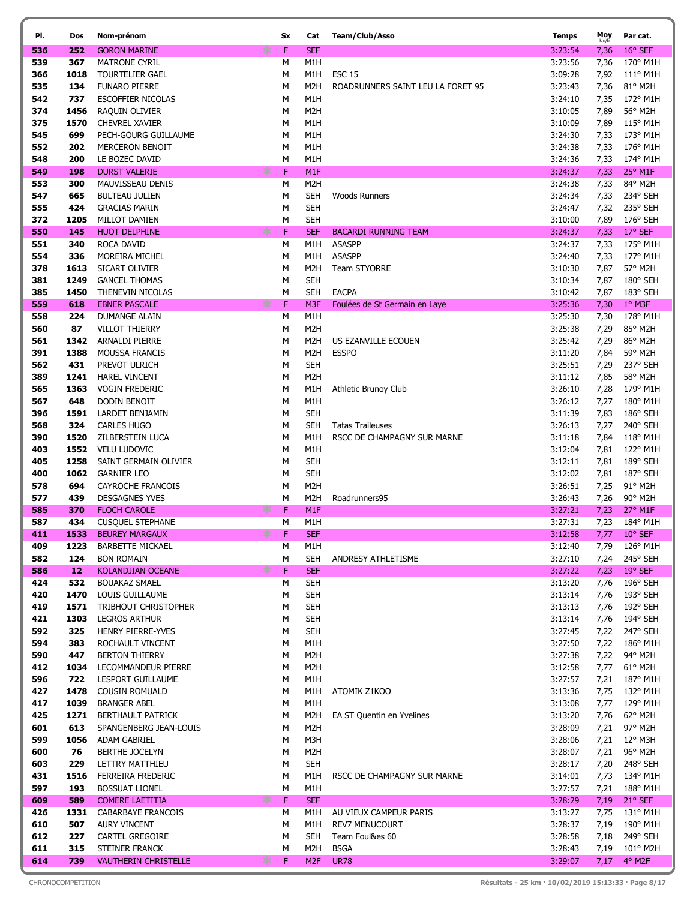| PI.        | Dos          | Nom-prénom                                  | Sx                    | Cat                      | <b>Team/Club/Asso</b>                        | <b>Temps</b>       | Moy<br>km/h  | Par cat.             |
|------------|--------------|---------------------------------------------|-----------------------|--------------------------|----------------------------------------------|--------------------|--------------|----------------------|
| 536        | 252          | <b>GORON MARINE</b>                         | ∗<br>F.               | <b>SEF</b>               |                                              | 3:23:54            | 7,36         | 16° SEF              |
| 539        | 367          | <b>MATRONE CYRIL</b>                        | М                     | M1H                      |                                              | 3:23:56            | 7,36         | 170° M1H             |
| 366        | 1018         | TOURTELIER GAEL                             | M                     | M1H                      | <b>ESC 15</b>                                | 3:09:28            | 7,92         | 111° M1H             |
| 535        | 134          | <b>FUNARO PIERRE</b>                        | M                     | M2H                      | ROADRUNNERS SAINT LEU LA FORET 95            | 3:23:43            | 7,36         | 81° M2H              |
| 542        | 737          | <b>ESCOFFIER NICOLAS</b>                    | M                     | M1H                      |                                              | 3:24:10            | 7,35         | 172° M1H             |
| 374        | 1456         | RAQUIN OLIVIER                              | М                     | M <sub>2</sub> H         |                                              | 3:10:05            | 7,89         | 56° M2H              |
| 375        | 1570         | CHEVREL XAVIER                              | М                     | M1H                      |                                              | 3:10:09            | 7,89         | 115° M1H             |
| 545        | 699          | PECH-GOURG GUILLAUME                        | М                     | M1H                      |                                              | 3:24:30            | 7,33         | 173° M1H             |
| 552        | 202          | <b>MERCERON BENOIT</b>                      | М                     | M1H                      |                                              | 3:24:38            | 7,33         | 176° M1H             |
| 548        | 200          | LE BOZEC DAVID                              | м                     | M1H                      |                                              | 3:24:36            | 7,33         | 174° M1H             |
| 549        | 198          | <b>DURST VALERIE</b>                        | $\mathsf F$<br>∗      | M <sub>1</sub> F         |                                              | 3:24:37            | 7,33         | 25° M1F              |
| 553        | 300          | MAUVISSEAU DENIS                            | M                     | M <sub>2</sub> H         |                                              | 3:24:38            | 7,33         | 84° M2H              |
| 547        | 665          | <b>BULTEAU JULIEN</b>                       | М                     | <b>SEH</b>               | <b>Woods Runners</b>                         | 3:24:34            | 7,33         | 234° SEH             |
| 555        | 424          | <b>GRACIAS MARIN</b>                        | M                     | <b>SEH</b>               |                                              | 3:24:47            | 7,32         | 235° SEH<br>176° SEH |
| 372<br>550 | 1205<br>145  | MILLOT DAMIEN                               | М<br>$\mathsf F$<br>∗ | <b>SEH</b><br><b>SEF</b> |                                              | 3:10:00<br>3:24:37 | 7,89         | 17° SEF              |
| 551        | 340          | <b>HUOT DELPHINE</b><br>ROCA DAVID          | М                     | M1H                      | <b>BACARDI RUNNING TEAM</b><br><b>ASASPP</b> | 3:24:37            | 7,33<br>7,33 | 175° M1H             |
| 554        | 336          | MOREIRA MICHEL                              | М                     | M1H                      | <b>ASASPP</b>                                | 3:24:40            | 7,33         | 177° M1H             |
| 378        | 1613         | SICART OLIVIER                              | М                     | M2H                      | <b>Team STYORRE</b>                          | 3:10:30            | 7,87         | 57° M2H              |
| 381        | 1249         | <b>GANCEL THOMAS</b>                        | М                     | <b>SEH</b>               |                                              | 3:10:34            | 7,87         | 180° SEH             |
| 385        | 1450         | THENEVIN NICOLAS                            | M                     | <b>SEH</b>               | <b>EACPA</b>                                 | 3:10:42            | 7,87         | 183° SEH             |
| 559        | 618          | <b>EBNER PASCALE</b>                        | ∗<br>$\mathsf F$      | M3F                      | Foulées de St Germain en Laye                | 3:25:36            | 7,30         | 1° M3F               |
| 558        | 224          | <b>DUMANGE ALAIN</b>                        | M                     | M1H                      |                                              | 3:25:30            | 7,30         | 178° M1H             |
| 560        | 87           | <b>VILLOT THIERRY</b>                       | M                     | M <sub>2</sub> H         |                                              | 3:25:38            | 7,29         | 85° M2H              |
| 561        | 1342         | <b>ARNALDI PIERRE</b>                       | M                     | M <sub>2</sub> H         | US EZANVILLE ECOUEN                          | 3:25:42            | 7,29         | 86° M2H              |
| 391        | 1388         | <b>MOUSSA FRANCIS</b>                       | М                     | M2H                      | <b>ESSPO</b>                                 | 3:11:20            | 7,84         | 59° M2H              |
| 562        | 431          | PREVOT ULRICH                               | М                     | <b>SEH</b>               |                                              | 3:25:51            | 7,29         | 237° SEH             |
| 389        | 1241         | <b>HAREL VINCENT</b>                        | М                     | M <sub>2</sub> H         |                                              | 3:11:12            | 7,85         | 58° M2H              |
| 565        | 1363         | <b>VOGIN FREDERIC</b>                       | M                     | M1H                      | Athletic Brunoy Club                         | 3:26:10            | 7,28         | 179° M1H             |
| 567        | 648          | DODIN BENOIT                                | М                     | M1H                      |                                              | 3:26:12            | 7,27         | 180° M1H             |
| 396        | 1591         | LARDET BENJAMIN                             | M                     | <b>SEH</b>               |                                              | 3:11:39            | 7,83         | 186° SEH             |
| 568        | 324          | <b>CARLES HUGO</b>                          | M                     | <b>SEH</b>               | <b>Tatas Traileuses</b>                      | 3:26:13            | 7,27         | 240° SEH             |
| 390        | 1520         | ZILBERSTEIN LUCA                            | M                     | M1H                      | RSCC DE CHAMPAGNY SUR MARNE                  | 3:11:18            | 7,84         | 118° M1H             |
| 403        | 1552         | <b>VELU LUDOVIC</b>                         | M                     | M1H                      |                                              | 3:12:04            | 7,81         | 122° M1H             |
| 405<br>400 | 1258<br>1062 | SAINT GERMAIN OLIVIER<br><b>GARNIER LEO</b> | М<br>М                | <b>SEH</b><br><b>SEH</b> |                                              | 3:12:11<br>3:12:02 | 7,81<br>7,81 | 189° SEH<br>187° SEH |
| 578        | 694          | CAYROCHE FRANCOIS                           | М                     | M <sub>2</sub> H         |                                              | 3:26:51            | 7,25         | 91° M2H              |
| 577        | 439          | <b>DESGAGNES YVES</b>                       | М                     | M <sub>2</sub> H         | Roadrunners95                                | 3:26:43            | 7,26         | 90° M2H              |
| 585        | 370          | <b>FLOCH CAROLE</b>                         | ∗<br>F                | M <sub>1</sub> F         |                                              | 3:27:21            | 7,23         | 27° M1F              |
| 587        | 434          | <b>CUSQUEL STEPHANE</b>                     | М                     | M1H                      |                                              | 3:27:31            | 7,23         | 184° M1H             |
| 411        | 1533         | <b>BEUREY MARGAUX</b>                       | ∗<br>F                | <b>SEF</b>               |                                              | 3:12:58            | 7,77         | $10^{\circ}$ SEF     |
| 409        | 1223         | <b>BARBETTE MICKAEL</b>                     | М                     | M1H                      |                                              | 3:12:40            | 7,79         | 126° M1H             |
| 582        | 124          | <b>BON ROMAIN</b>                           | М                     | <b>SEH</b>               | ANDRESY ATHLETISME                           | 3:27:10            | 7,24         | 245° SEH             |
| 586        | 12           | KOLANDJIAN OCEANE                           | *<br>F                | <b>SEF</b>               |                                              | 3:27:22            | 7,23         | $19°$ SEF            |
| 424        | 532          | <b>BOUAKAZ SMAEL</b>                        | M                     | <b>SEH</b>               |                                              | 3:13:20            | 7,76         | 196° SEH             |
| 420        | 1470         | LOUIS GUILLAUME                             | М                     | <b>SEH</b>               |                                              | 3:13:14            | 7,76         | 193° SEH             |
| 419        | 1571         | <b>TRIBHOUT CHRISTOPHER</b>                 | М                     | <b>SEH</b>               |                                              | 3:13:13            | 7,76         | 192° SEH             |
| 421        | 1303         | <b>LEGROS ARTHUR</b>                        | М                     | <b>SEH</b>               |                                              | 3:13:14            | 7,76         | 194° SEH             |
| 592<br>594 | 325<br>383   | HENRY PIERRE-YVES<br>ROCHAULT VINCENT       | М<br>М                | <b>SEH</b><br>M1H        |                                              | 3:27:45<br>3:27:50 | 7,22<br>7,22 | 247° SEH<br>186° M1H |
| 590        | 447          | <b>BERTON THIERRY</b>                       | М                     | M <sub>2</sub> H         |                                              | 3:27:38            | 7,22         | 94° M2H              |
| 412        | 1034         | LECOMMANDEUR PIERRE                         | м                     | M <sub>2</sub> H         |                                              | 3:12:58            | 7,77         | $61^{\circ}$ M2H     |
| 596        | 722          | LESPORT GUILLAUME                           | М                     | M1H                      |                                              | 3:27:57            | 7,21         | 187° M1H             |
| 427        | 1478         | <b>COUSIN ROMUALD</b>                       | М                     | M1H                      | ATOMIK Z1KOO                                 | 3:13:36            | 7,75         | 132° M1H             |
| 417        | 1039         | <b>BRANGER ABEL</b>                         | М                     | M1H                      |                                              | 3:13:08            | 7,77         | 129° M1H             |
| 425        | 1271         | <b>BERTHAULT PATRICK</b>                    | M                     | M2H                      | EA ST Quentin en Yvelines                    | 3:13:20            | 7,76         | 62° M2H              |
| 601        | 613          | SPANGENBERG JEAN-LOUIS                      | М                     | M2H                      |                                              | 3:28:09            | 7,21         | 97° M2H              |
| 599        | 1056         | ADAM GABRIEL                                | М                     | M3H                      |                                              | 3:28:06            | 7,21         | 12° M3H              |
| 600        | 76           | BERTHE JOCELYN                              | М                     | M <sub>2</sub> H         |                                              | 3:28:07            | 7,21         | 96° M2H              |
| 603        | 229          | LETTRY MATTHIEU                             | М                     | <b>SEH</b>               |                                              | 3:28:17            | 7,20         | 248° SEH             |
| 431        | 1516         | FERREIRA FREDERIC                           | М                     | M1H                      | RSCC DE CHAMPAGNY SUR MARNE                  | 3:14:01            | 7,73         | 134° M1H             |
| 597        | 193          | <b>BOSSUAT LIONEL</b>                       | М                     | M1H                      |                                              | 3:27:57            | 7,21         | 188° M1H             |
| 609        | 589          | <b>COMERE LAETITIA</b>                      | $*$<br>F              | <b>SEF</b>               |                                              | 3:28:29            | 7,19         | 21° SEF              |
| 426        | 1331<br>507  | CABARBAYE FRANCOIS                          | М                     | M1H<br>M1H               | AU VIEUX CAMPEUR PARIS                       | 3:13:27<br>3:28:37 | 7,75         | 131° M1H             |
| 610<br>612 | 227          | <b>AURY VINCENT</b><br>CARTEL GREGOIRE      | М<br>М                | <b>SEH</b>               | <b>REV7 MENUCOURT</b><br>Team Foul&es 60     | 3:28:58            | 7,19<br>7,18 | 190° M1H<br>249° SEH |
| 611        | 315          | STEINER FRANCK                              | М                     | M2H                      | <b>BSGA</b>                                  | 3:28:43            | 7,19         | 101° M2H             |
| 614        | 739          | <b>VAUTHERIN CHRISTELLE</b>                 | ⋇<br>F                | M <sub>2F</sub>          | <b>UR78</b>                                  | 3:29:07            | 7,17         | 4° M2F               |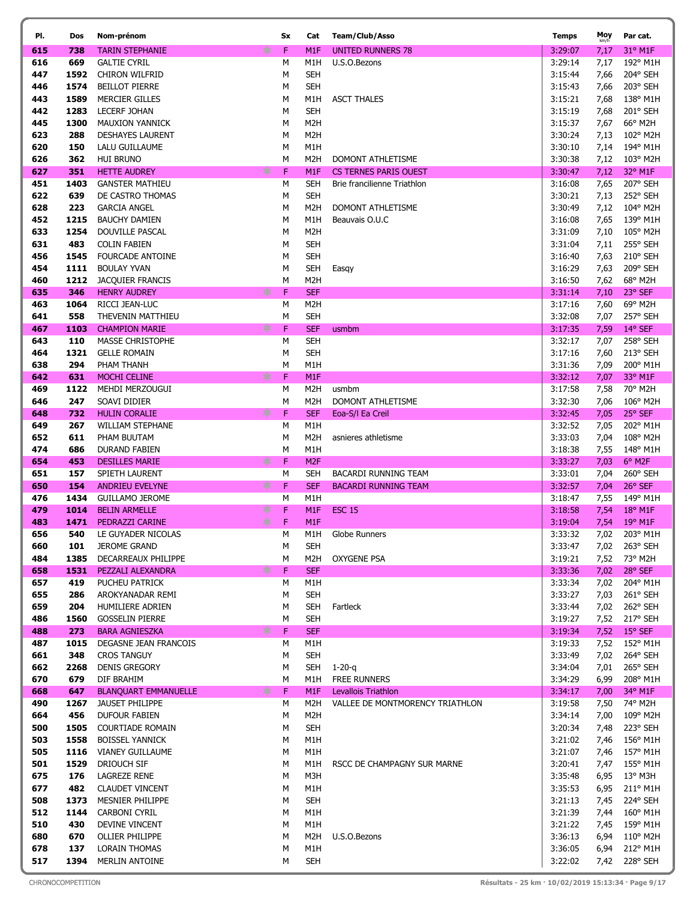| PI.        | Dos          | Nom-prénom                                     | Sx               | Cat                      | <b>Team/Club/Asso</b>           | <b>Temps</b>       | Moy          | Par cat.             |
|------------|--------------|------------------------------------------------|------------------|--------------------------|---------------------------------|--------------------|--------------|----------------------|
| 615        | 738          | <b>TARIN STEPHANIE</b>                         | ∗<br>$\mathsf F$ | M1F                      | UNITED RUNNERS 78               | 3:29:07            | 7,17         | 31° M1F              |
| 616        | 669          | <b>GALTIE CYRIL</b>                            | М                | M1H                      | U.S.O.Bezons                    | 3:29:14            | 7,17         | 192° M1H             |
| 447        | 1592         | CHIRON WILFRID                                 | М                | <b>SEH</b>               |                                 | 3:15:44            | 7,66         | 204° SEH             |
| 446        | 1574         | <b>BEILLOT PIERRE</b>                          | М                | <b>SEH</b>               |                                 | 3:15:43            | 7,66         | 203° SEH             |
| 443        | 1589         | <b>MERCIER GILLES</b>                          | М                | M1H                      | <b>ASCT THALES</b>              | 3:15:21            | 7,68         | 138° M1H             |
| 442        | 1283         | <b>LECERF JOHAN</b>                            | М                | <b>SEH</b>               |                                 | 3:15:19            | 7,68         | 201° SEH             |
| 445        | 1300         | <b>MAUXION YANNICK</b>                         | М                | M <sub>2</sub> H         |                                 | 3:15:37            | 7,67         | 66° M2H              |
| 623        | 288          | <b>DESHAYES LAURENT</b>                        | М                | M <sub>2</sub> H         |                                 | 3:30:24            | 7,13         | 102° M2H             |
| 620        | 150          | LALU GUILLAUME                                 | М                | M1H                      |                                 | 3:30:10            | 7,14         | 194° M1H             |
| 626        | 362          | <b>HUI BRUNO</b>                               | М                | M <sub>2</sub> H         | <b>DOMONT ATHLETISME</b>        | 3:30:38            | 7,12         | 103° M2H             |
| 627        | 351          | <b>HETTE AUDREY</b>                            | F<br>∗           | M <sub>1</sub> F         | <b>CS TERNES PARIS OUEST</b>    | 3:30:47            | 7,12         | 32° M1F              |
| 451        | 1403         | <b>GANSTER MATHIEU</b>                         | М                | <b>SEH</b>               | Brie francilienne Triathlon     | 3:16:08            | 7,65         | 207° SEH             |
| 622        | 639          | DE CASTRO THOMAS                               | М                | <b>SEH</b>               |                                 | 3:30:21            | 7,13         | 252° SEH             |
| 628        | 223          | <b>GARCIA ANGEL</b>                            | М                | M2H                      | DOMONT ATHLETISME               | 3:30:49            | 7,12         | 104° M2H             |
| 452        | 1215         | <b>BAUCHY DAMIEN</b>                           | М                | M1H                      | Beauvais O.U.C                  | 3:16:08            | 7,65         | 139° M1H             |
| 633        | 1254         | DOUVILLE PASCAL                                | М                | M2H                      |                                 | 3:31:09            | 7,10         | 105° M2H             |
| 631<br>456 | 483<br>1545  | <b>COLIN FABIEN</b>                            | М<br>М           | <b>SEH</b><br><b>SEH</b> |                                 | 3:31:04            | 7,11<br>7,63 | 255° SEH<br>210° SEH |
| 454        | 1111         | <b>FOURCADE ANTOINE</b><br><b>BOULAY YVAN</b>  | М                | <b>SEH</b>               |                                 | 3:16:40<br>3:16:29 | 7,63         | 209° SEH             |
| 460        | 1212         | <b>JACQUIER FRANCIS</b>                        | М                | M <sub>2</sub> H         | Easgy                           | 3:16:50            | 7,62         | 68° M2H              |
| 635        | 346          | <b>HENRY AUDREY</b>                            | F<br>∗           | <b>SEF</b>               |                                 | 3:31:14            | 7,10         | 23° SEF              |
| 463        | 1064         | RICCI JEAN-LUC                                 | М                | M <sub>2</sub> H         |                                 | 3:17:16            | 7,60         | 69° M2H              |
| 641        | 558          | THEVENIN MATTHIEU                              | М                | <b>SEH</b>               |                                 | 3:32:08            | 7,07         | 257° SEH             |
| 467        | 1103         | <b>CHAMPION MARIE</b>                          | ∗<br>F           | <b>SEF</b>               | usmbm                           | 3:17:35            | 7,59         | 14° SEF              |
| 643        | 110          | <b>MASSE CHRISTOPHE</b>                        | М                | <b>SEH</b>               |                                 | 3:32:17            | 7,07         | 258° SEH             |
| 464        | 1321         | <b>GELLE ROMAIN</b>                            | М                | <b>SEH</b>               |                                 | 3:17:16            | 7,60         | 213° SEH             |
| 638        | 294          | PHAM THANH                                     | М                | M1H                      |                                 | 3:31:36            | 7,09         | 200° M1H             |
| 642        | 631          | MOCHI CELINE                                   | ∗<br>$\mathsf F$ | M <sub>1</sub> F         |                                 | 3:32:12            | 7,07         | 33° M1F              |
| 469        | 1122         | MEHDI MERZOUGUI                                | М                | M2H                      | usmbm                           | 3:17:58            | 7,58         | 70° M2H              |
| 646        | 247          | SOAVI DIDIER                                   | М                | M <sub>2</sub> H         | DOMONT ATHLETISME               | 3:32:30            | 7,06         | 106° M2H             |
| 648        | 732          | <b>HULIN CORALIE</b>                           | ∗<br>F           | <b>SEF</b>               | Eoa-S/I Ea Creil                | 3:32:45            | 7,05         | 25° SEF              |
| 649        | 267          | WILLIAM STEPHANE                               | М                | M1H                      |                                 | 3:32:52            | 7,05         | 202° M1H             |
| 652        | 611          | PHAM BUUTAM                                    | М                | M <sub>2</sub> H         | asnieres athletisme             | 3:33:03            | 7,04         | 108° M2H             |
| 474        | 686          | <b>DURAND FABIEN</b>                           | М                | M1H                      |                                 | 3:18:38            | 7,55         | 148° M1H             |
| 654        | 453          | <b>DESILLES MARIE</b>                          | ∗<br>F           | M <sub>2F</sub>          |                                 | 3:33:27            | 7,03         | 6° M2F               |
| 651        | 157          | SPIETH LAURENT                                 | М                | <b>SEH</b>               | BACARDI RUNNING TEAM            | 3:33:01            | 7,04         | 260° SEH             |
| 650        | 154          | <b>ANDRIEU EVELYNE</b>                         | ∗<br>$\mathsf F$ | <b>SEF</b>               | <b>BACARDI RUNNING TEAM</b>     | 3:32:57            | 7,04         | $26°$ SEF            |
| 476<br>479 | 1434<br>1014 | <b>GUILLAMO JEROME</b><br><b>BELIN ARMELLE</b> | М<br>∗<br>F      | M1H<br>M <sub>1</sub> F  | <b>ESC 15</b>                   | 3:18:47<br>3:18:58 | 7,55<br>7,54 | 149° M1H<br>18° M1F  |
| 483        | 1471         | PEDRAZZI CARINE                                | ∗<br>F           | M <sub>1</sub> F         |                                 | 3:19:04            | 7,54         | $19°$ M1F            |
| 656        | 540          | LE GUYADER NICOLAS                             | М                | M1H                      | Globe Runners                   | 3:33:32            | 7,02         | 203° M1H             |
| 660        | 101          | <b>JEROME GRAND</b>                            | М                | <b>SEH</b>               |                                 | 3:33:47            |              | 7,02 263° SEH        |
| 484        | 1385         | DECARREAUX PHILIPPE                            | М                | M2H                      | <b>OXYGENE PSA</b>              | 3:19:21            | 7,52         | 73° M2H              |
| 658        | 1531         | PEZZALI ALEXANDRA                              | ∗<br>F           | <b>SEF</b>               |                                 | 3:33:36            | 7,02         | 28° SEF              |
| 657        | 419          | PUCHEU PATRICK                                 | М                | M1H                      |                                 | 3:33:34            | 7,02         | 204° M1H             |
| 655        | 286          | AROKYANADAR REMI                               | м                | <b>SEH</b>               |                                 | 3:33:27            | 7,03         | 261° SEH             |
| 659        | 204          | HUMILIERE ADRIEN                               | М                | SEH                      | Fartleck                        | 3:33:44            | 7,02         | 262° SEH             |
| 486        | 1560         | <b>GOSSELIN PIERRE</b>                         | М                | <b>SEH</b>               |                                 | 3:19:27            | 7,52         | 217° SEH             |
| 488        | 273          | <b>BARA AGNIESZKA</b>                          | $\mathsf F$<br>∗ | <b>SEF</b>               |                                 | 3:19:34            | 7,52         | $15^{\circ}$ SEF     |
| 487        | 1015         | DEGASNE JEAN FRANCOIS                          | М                | M1H                      |                                 | 3:19:33            | 7,52         | 152° M1H             |
| 661        | 348          | <b>CROS TANGUY</b>                             | М                | <b>SEH</b>               |                                 | 3:33:49            | 7,02         | 264° SEH             |
| 662        | 2268         | <b>DENIS GREGORY</b>                           | М                | SEH                      | $1 - 20 - q$                    | 3:34:04            | 7,01         | 265° SEH             |
| 670        | 679          | DIF BRAHIM                                     | М                | M1H                      | FREE RUNNERS                    | 3:34:29            | 6,99         | 208° M1H             |
| 668        | 647          | <b>BLANQUART EMMANUELLE</b>                    | ∗<br>$\mathsf F$ | M1F                      | Levallois Triathlon             | 3:34:17            | 7,00         | 34° M1F              |
| 490<br>664 | 1267<br>456  | <b>JAUSET PHILIPPE</b><br><b>DUFOUR FABIEN</b> | М<br>М           | M2H<br>M2H               | VALLEE DE MONTMORENCY TRIATHLON | 3:19:58<br>3:34:14 | 7,50<br>7,00 | 74° M2H<br>109° M2H  |
| 500        | 1505         | <b>COURTIADE ROMAIN</b>                        | М                | <b>SEH</b>               |                                 | 3:20:34            | 7,48         | 223° SEH             |
| 503        | 1558         | <b>BOISSEL YANNICK</b>                         | М                | M1H                      |                                 | 3:21:02            | 7,46         | 156° M1H             |
| 505        | 1116         | VIANEY GUILLAUME                               | М                | M1H                      |                                 | 3:21:07            | 7,46         | 157° M1H             |
| 501        | 1529         | DRIOUCH SIF                                    | М                | M1H                      | RSCC DE CHAMPAGNY SUR MARNE     | 3:20:41            | 7,47         | 155° M1H             |
| 675        | 176          | <b>LAGREZE RENE</b>                            | М                | M3H                      |                                 | 3:35:48            | 6,95         | 13° M3H              |
| 677        | 482          | <b>CLAUDET VINCENT</b>                         | М                | M1H                      |                                 | 3:35:53            | 6,95         | 211° M1H             |
| 508        | 1373         | MESNIER PHILIPPE                               | М                | <b>SEH</b>               |                                 | 3:21:13            | 7,45         | 224° SEH             |
| 512        | 1144         | CARBONI CYRIL                                  | М                | M1H                      |                                 | 3:21:39            | 7,44         | 160° M1H             |
| 510        | 430          | DEVINE VINCENT                                 | М                | M1H                      |                                 | 3:21:22            | 7,45         | 159° M1H             |
| 680        | 670          | OLLIER PHILIPPE                                | М                | M2H                      | U.S.O.Bezons                    | 3:36:13            | 6,94         | 110° M2H             |
| 678        | 137          | <b>LORAIN THOMAS</b>                           | М                | M1H                      |                                 | 3:36:05            | 6,94         | 212° M1H             |
| 517        | 1394         | <b>MERLIN ANTOINE</b>                          | М                | <b>SEH</b>               |                                 | 3:22:02            | 7,42         | 228° SEH             |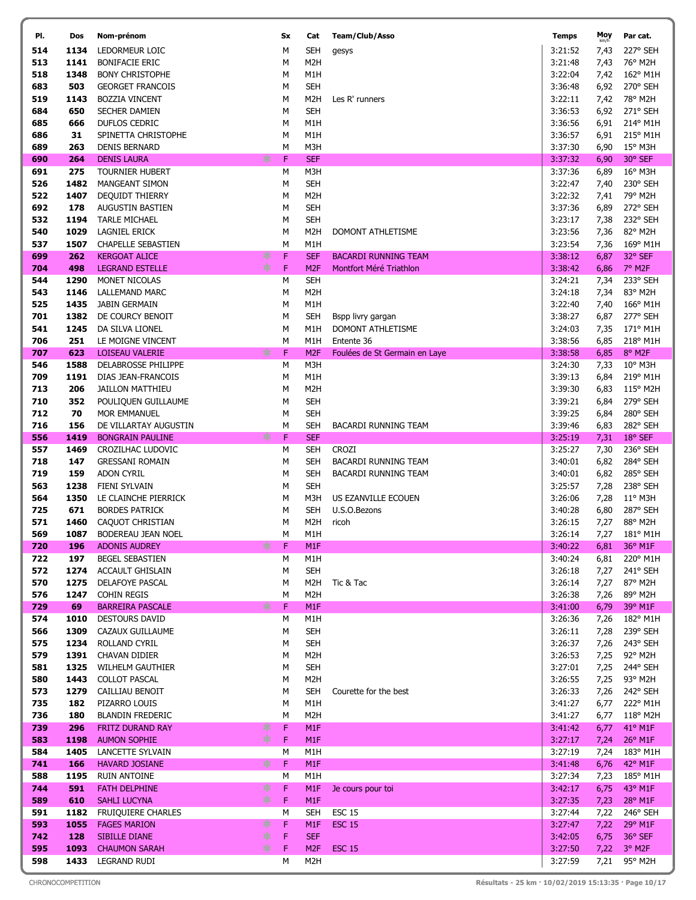| PI.        | Dos          | Nom-prénom                                              | Sx               | Cat                                  | Team/Club/Asso                         | <b>Temps</b>       | Moy          | Par cat.                    |
|------------|--------------|---------------------------------------------------------|------------------|--------------------------------------|----------------------------------------|--------------------|--------------|-----------------------------|
| 514        | 1134         | LEDORMEUR LOIC                                          | M                | <b>SEH</b>                           | gesys                                  | 3:21:52            | 7,43         | 227° SEH                    |
| 513        | 1141         | <b>BONIFACIE ERIC</b>                                   | М                | M <sub>2</sub> H                     |                                        | 3:21:48            | 7,43         | 76° M2H                     |
| 518        | 1348         | <b>BONY CHRISTOPHE</b>                                  | М                | M1H                                  |                                        | 3:22:04            | 7,42         | 162° M1H                    |
| 683        | 503          | <b>GEORGET FRANCOIS</b>                                 | М                | <b>SEH</b>                           |                                        | 3:36:48            | 6,92         | 270° SEH                    |
| 519        | 1143         | <b>BOZZIA VINCENT</b>                                   | М                | M <sub>2</sub> H                     | Les R' runners                         | 3:22:11            | 7,42         | 78° M2H                     |
| 684        | 650          | SECHER DAMIEN                                           | М                | <b>SEH</b>                           |                                        | 3:36:53            | 6,92         | 271° SEH                    |
| 685        | 666          | DUFLOS CEDRIC                                           | М                | M1H                                  |                                        | 3:36:56            | 6,91         | 214° M1H                    |
| 686        | 31           | SPINETTA CHRISTOPHE                                     | М                | M1H                                  |                                        | 3:36:57            | 6,91         | 215° M1H                    |
| 689        | 263<br>264   | <b>DENIS BERNARD</b>                                    | М<br>$\mathsf F$ | M3H<br><b>SEF</b>                    |                                        | 3:37:30<br>3:37:32 | 6,90         | $15^{\circ}$ M3H<br>30° SEF |
| 690<br>691 | 275          | <b>DENIS LAURA</b><br>$\ast$<br><b>TOURNIER HUBERT</b>  | М                | M3H                                  |                                        | 3:37:36            | 6,90<br>6,89 | 16° M3H                     |
| 526        | 1482         | <b>MANGEANT SIMON</b>                                   | М                | <b>SEH</b>                           |                                        | 3:22:47            | 7,40         | 230° SEH                    |
| 522        | 1407         | <b>DEQUIDT THIERRY</b>                                  | М                | M <sub>2</sub> H                     |                                        | 3:22:32            | 7,41         | 79° M2H                     |
| 692        | 178          | AUGUSTIN BASTIEN                                        | М                | <b>SEH</b>                           |                                        | 3:37:36            | 6,89         | 272° SEH                    |
| 532        | 1194         | <b>TARLE MICHAEL</b>                                    | М                | <b>SEH</b>                           |                                        | 3:23:17            | 7,38         | 232° SEH                    |
| 540        | 1029         | LAGNIEL ERICK                                           | М                | M <sub>2</sub> H                     | DOMONT ATHLETISME                      | 3:23:56            | 7,36         | 82° M2H                     |
| 537        | 1507         | <b>CHAPELLE SEBASTIEN</b>                               | М                | M1H                                  |                                        | 3:23:54            | 7,36         | 169° M1H                    |
| 699        | 262          | ∗<br><b>KERGOAT ALICE</b>                               | F                | <b>SEF</b>                           | <b>BACARDI RUNNING TEAM</b>            | 3:38:12            | 6,87         | 32° SEF                     |
| 704        | 498          | $*$<br><b>LEGRAND ESTELLE</b>                           | $\mathsf F$      | M <sub>2F</sub>                      | Montfort Méré Triathlon                | 3:38:42            | 6,86         | 7° M2F                      |
| 544        | 1290         | MONET NICOLAS                                           | М                | <b>SEH</b>                           |                                        | 3:24:21            | 7,34         | 233° SEH                    |
| 543        | 1146         | <b>LALLEMAND MARC</b>                                   | М                | M <sub>2</sub> H                     |                                        | 3:24:18            | 7,34         | 83° M2H                     |
| 525<br>701 | 1435<br>1382 | <b>JABIN GERMAIN</b>                                    | М<br>М           | M1H                                  |                                        | 3:22:40<br>3:38:27 | 7,40         | 166° M1H<br>277° SEH        |
| 541        | 1245         | DE COURCY BENOIT<br>DA SILVA LIONEL                     | М                | SEH<br>M1H                           | Bspp livry gargan<br>DOMONT ATHLETISME | 3:24:03            | 6,87<br>7,35 | 171° M1H                    |
| 706        | 251          | LE MOIGNE VINCENT                                       | М                | M1H                                  | Entente 36                             | 3:38:56            | 6,85         | 218° M1H                    |
| 707        | 623          | ∗<br><b>LOISEAU VALERIE</b>                             | $\mathsf F$      | M <sub>2F</sub>                      | Foulées de St Germain en Laye          | 3:38:58            | 6,85         | 8° M2F                      |
| 546        | 1588         | DELABROSSE PHILIPPE                                     | М                | M3H                                  |                                        | 3:24:30            | 7,33         | 10° M3H                     |
| 709        | 1191         | DIAS JEAN-FRANCOIS                                      | М                | M1H                                  |                                        | 3:39:13            | 6,84         | 219° M1H                    |
| 713        | 206          | <b>JAILLON MATTHIEU</b>                                 | М                | M <sub>2</sub> H                     |                                        | 3:39:30            | 6,83         | 115° M2H                    |
| 710        | 352          | POULIQUEN GUILLAUME                                     | М                | <b>SEH</b>                           |                                        | 3:39:21            | 6,84         | 279° SEH                    |
| 712        | 70           | MOR EMMANUEL                                            | М                | <b>SEH</b>                           |                                        | 3:39:25            | 6,84         | 280° SEH                    |
| 716        | 156          | DE VILLARTAY AUGUSTIN                                   | М                | <b>SEH</b>                           | <b>BACARDI RUNNING TEAM</b>            | 3:39:46            | 6,83         | 282° SEH                    |
| 556        | 1419         | ∗<br><b>BONGRAIN PAULINE</b>                            | F                | <b>SEF</b>                           |                                        | 3:25:19            | 7,31         | 18° SEF                     |
| 557<br>718 | 1469<br>147  | CROZILHAC LUDOVIC<br><b>GRESSANI ROMAIN</b>             | M<br>М           | <b>SEH</b><br><b>SEH</b>             | <b>CROZI</b><br>BACARDI RUNNING TEAM   | 3:25:27<br>3:40:01 | 7,30         | 236° SEH<br>284° SEH        |
| 719        | 159          | <b>ADON CYRIL</b>                                       | M                | <b>SEH</b>                           | BACARDI RUNNING TEAM                   | 3:40:01            | 6,82<br>6,82 | 285° SEH                    |
| 563        | 1238         | FIENI SYLVAIN                                           | М                | <b>SEH</b>                           |                                        | 3:25:57            | 7,28         | 238° SEH                    |
| 564        | 1350         | LE CLAINCHE PIERRICK                                    | М                | M3H                                  | US EZANVILLE ECOUEN                    | 3:26:06            | 7,28         | $11^{\circ}$ M3H            |
| 725        | 671          | <b>BORDES PATRICK</b>                                   | М                | <b>SEH</b>                           | U.S.O.Bezons                           | 3:40:28            | 6,80         | 287° SEH                    |
| 571        | 1460         | CAQUOT CHRISTIAN                                        | М                | M <sub>2</sub> H                     | ricoh                                  | 3:26:15            | 7,27         | 88° M2H                     |
| 569        | 1087         | BODEREAU JEAN NOEL                                      | M                | M1H                                  |                                        | 3:26:14            | 7,27         | 181° M1H                    |
| 720        | 196          | $*$<br><b>ADONIS AUDREY</b>                             | F                | M1F                                  |                                        | 3:40:22            | 6,81         | 36° M1F                     |
| 722        | 197          | <b>BEGEL SEBASTIEN</b>                                  | M                | M1H                                  |                                        | 3:40:24            | 6,81         | 220° M1H                    |
| 572        | 1274         | ACCAULT GHISLAIN                                        | М                | <b>SEH</b>                           |                                        | 3:26:18            | 7,27         | 241° SEH                    |
| 570<br>576 | 1275         | DELAFOYE PASCAL                                         | М                | M2H<br>M <sub>2</sub> H              | Tic & Tac                              | 3:26:14<br>3:26:38 | 7,27         | 87° M2H<br>89° M2H          |
| 729        | 1247<br>69   | <b>COHIN REGIS</b><br>∗<br><b>BARREIRA PASCALE</b>      | М<br>$\mathsf F$ | M <sub>1</sub> F                     |                                        | 3:41:00            | 7,26<br>6,79 | 39° M1F                     |
| 574        | 1010         | <b>DESTOURS DAVID</b>                                   | М                | M1H                                  |                                        | 3:26:36            | 7,26         | 182° M1H                    |
| 566        | 1309         | CAZAUX GUILLAUME                                        | М                | <b>SEH</b>                           |                                        | 3:26:11            | 7,28         | 239° SEH                    |
| 575        | 1234         | ROLLAND CYRIL                                           | М                | <b>SEH</b>                           |                                        | 3:26:37            | 7,26         | 243° SEH                    |
| 579        | 1391         | CHAVAN DIDIER                                           | М                | M <sub>2</sub> H                     |                                        | 3:26:53            | 7,25         | 92° M2H                     |
| 581        | 1325         | WILHELM GAUTHIER                                        | М                | <b>SEH</b>                           |                                        | 3:27:01            | 7,25         | 244° SEH                    |
| 580        | 1443         | <b>COLLOT PASCAL</b>                                    | М                | M <sub>2</sub> H                     |                                        | 3:26:55            | 7,25         | 93° M2H                     |
| 573        | 1279         | CAILLIAU BENOIT                                         | М                | SEH                                  | Courette for the best                  | 3:26:33            | 7,26         | 242° SEH                    |
| 735        | 182          | PIZARRO LOUIS                                           | М                | M1H                                  |                                        | 3:41:27            | 6,77         | 222° M1H                    |
| 736<br>739 | 180<br>296   | <b>BLANDIN FREDERIC</b><br>∗<br><b>FRITZ DURAND RAY</b> | м<br>$\mathsf F$ | M <sub>2</sub> H<br>M <sub>1</sub> F |                                        | 3:41:27<br>3:41:42 | 6,77<br>6,77 | 118° M2H<br>41° M1F         |
| 583        | 1198         | ∗<br><b>AUMON SOPHIE</b>                                | F                | M1F                                  |                                        | 3:27:17            | 7,24         | $26^{\circ}$ M1F            |
| 584        | 1405         | LANCETTE SYLVAIN                                        | М                | M1H                                  |                                        | 3:27:19            | 7,24         | 183° M1H                    |
| 741        | 166          | *<br><b>HAVARD JOSIANE</b>                              | F                | M1F                                  |                                        | 3:41:48            | 6,76         | 42° M1F                     |
| 588        | 1195         | RUIN ANTOINE                                            | М                | M1H                                  |                                        | 3:27:34            | 7,23         | 185° M1H                    |
| 744        | 591          | ∗<br><b>FATH DELPHINE</b>                               | F                | M <sub>1</sub> F                     | Je cours pour toi                      | 3:42:17            | 6,75         | 43° M1F                     |
| 589        | 610          | *<br>SAHLI LUCYNA                                       | F                | M <sub>1</sub> F                     |                                        | 3:27:35            | 7,23         | 28° M1F                     |
| 591        | 1182         | <b>FRUIQUIERE CHARLES</b>                               | М                | <b>SEH</b>                           | <b>ESC 15</b>                          | 3:27:44            | 7,22         | 246° SEH                    |
| 593        | 1055         | ∗<br><b>FAGES MARION</b>                                | F                | M <sub>1</sub> F                     | <b>ESC 15</b>                          | 3:27:47            | 7,22         | 29° M1F                     |
| 742        | 128          | ∗<br><b>SIBILLE DIANE</b>                               | F                | <b>SEF</b>                           |                                        | 3:42:05            | 6,75         | 36° SEF                     |
| 595        | 1093         | 氺<br><b>CHAUMON SARAH</b>                               | F                | M <sub>2F</sub>                      | <b>ESC 15</b>                          | 3:27:50            | 7,22         | 3° M2F                      |
| 598        |              | 1433 LEGRAND RUDI                                       | М                | M2H                                  |                                        | 3:27:59            | 7,21         | 95° M2H                     |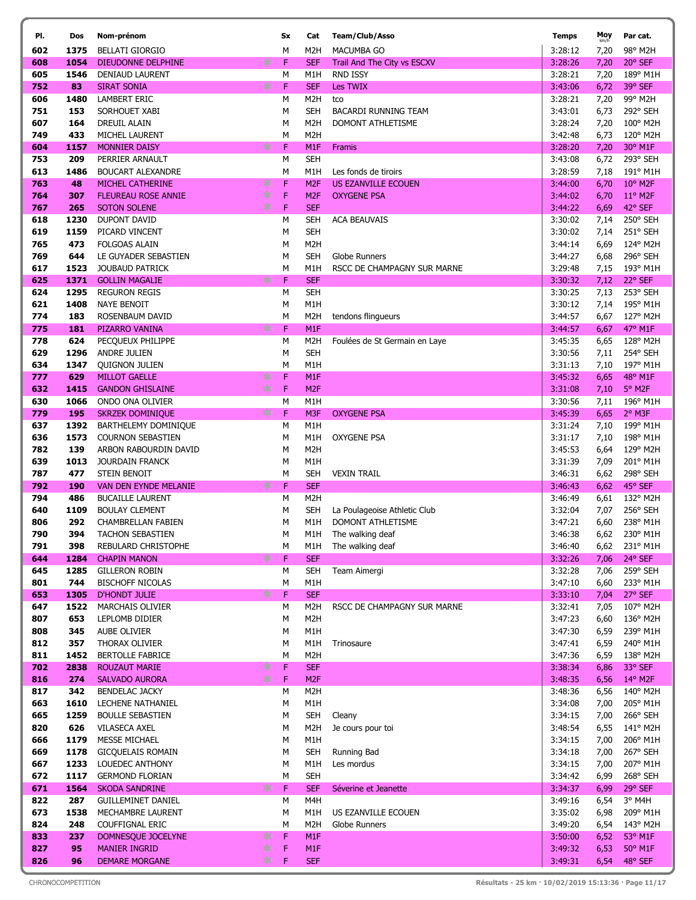| PI.        | Dos         | Nom-prénom                                      |        | Sx          | Cat                      | Team/Club/Asso                | <b>Temps</b>       | Moy<br>km/h  | Par cat.                     |
|------------|-------------|-------------------------------------------------|--------|-------------|--------------------------|-------------------------------|--------------------|--------------|------------------------------|
| 602        | 1375        | <b>BELLATI GIORGIO</b>                          |        | м           | M2H                      | MACUMBA GO                    | 3:28:12            | 7,20         | 98° M2H                      |
| 608        | 1054        | <b>DIEUDONNE DELPHINE</b>                       | ∗      | F           | <b>SEF</b>               | Trail And The City vs ESCXV   | 3:28:26            | 7,20         | 20° SEF                      |
| 605        | 1546        | DENIAUD LAURENT                                 |        | M           | M1H                      | <b>RND ISSY</b>               | 3:28:21            | 7,20         | 189° M1H                     |
| 752        | 83          | <b>SIRAT SONIA</b>                              | ∗      | F           | <b>SEF</b>               | Les TWIX                      | 3:43:06            | 6,72         | 39° SEF                      |
| 606        | 1480        | <b>LAMBERT ERIC</b>                             |        | М           | M <sub>2</sub> H         | tco                           | 3:28:21            | 7,20         | 99° M2H                      |
| 751        | 153         | SORHOUET XABI                                   |        | М           | <b>SEH</b>               | <b>BACARDI RUNNING TEAM</b>   | 3:43:01            | 6,73         | 292° SEH                     |
| 607        | 164         | DREUIL ALAIN                                    |        | М           | M <sub>2</sub> H         | DOMONT ATHLETISME             | 3:28:24            | 7,20         | 100° M2H                     |
| 749        | 433         | MICHEL LAURENT                                  |        | M           | M <sub>2</sub> H         |                               | 3:42:48            | 6,73         | 120° M2H                     |
| 604        | 1157        | <b>MONNIER DAISY</b>                            | ∗      | $\mathsf F$ | M <sub>1F</sub>          | Framis                        | 3:28:20            | 7,20         | 30° M1F                      |
| 753        | 209         | PERRIER ARNAULT                                 |        | М           | <b>SEH</b>               |                               | 3:43:08            | 6,72         | 293° SEH                     |
| 613        | 1486        | <b>BOUCART ALEXANDRE</b>                        |        | М           | M1H                      | Les fonds de tiroirs          | 3:28:59            | 7,18         | 191° M1H                     |
| 763        | 48          | <b>MICHEL CATHERINE</b>                         | ∗      | $\mathsf F$ | M <sub>2F</sub>          | US EZANVILLE ECOUEN           | 3:44:00            | 6,70         | $10^{\circ}$ M <sub>2F</sub> |
| 764        | 307         | <b>FLEUREAU ROSE ANNIE</b>                      | ∗<br>∗ | $\mathsf F$ | M <sub>2F</sub>          | <b>OXYGENE PSA</b>            | 3:44:02            | 6,70         | 11° M2F                      |
| 767<br>618 | 265<br>1230 | <b>SOTON SOLENE</b><br>DUPONT DAVID             |        | F<br>М      | <b>SEF</b><br><b>SEH</b> | <b>ACA BEAUVAIS</b>           | 3:44:22<br>3:30:02 | 6,69         | 42° SEF<br>250° SEH          |
| 619        | 1159        | PICARD VINCENT                                  |        | М           | <b>SEH</b>               |                               | 3:30:02            | 7,14<br>7,14 | 251° SEH                     |
| 765        | 473         | <b>FOLGOAS ALAIN</b>                            |        | М           | M <sub>2</sub> H         |                               | 3:44:14            | 6,69         | 124° M2H                     |
| 769        | 644         | LE GUYADER SEBASTIEN                            |        | М           | <b>SEH</b>               | Globe Runners                 | 3:44:27            | 6,68         | 296° SEH                     |
| 617        | 1523        | <b>JOUBAUD PATRICK</b>                          |        | М           | M1H                      | RSCC DE CHAMPAGNY SUR MARNE   | 3:29:48            | 7,15         | 193° M1H                     |
| 625        | 1371        | <b>GOLLIN MAGALIE</b>                           | ∗      | F           | <b>SEF</b>               |                               | 3:30:32            | 7,12         | 22° SEF                      |
| 624        | 1295        | <b>REGURON REGIS</b>                            |        | M           | <b>SEH</b>               |                               | 3:30:25            | 7,13         | 253° SEH                     |
| 621        | 1408        | <b>NAYE BENOIT</b>                              |        | М           | M1H                      |                               | 3:30:12            | 7,14         | 195° M1H                     |
| 774        | 183         | ROSENBAUM DAVID                                 |        | М           | M <sub>2</sub> H         | tendons flingueurs            | 3:44:57            | 6,67         | 127° M2H                     |
| 775        | 181         | PIZARRO VANINA                                  | ∗      | F           | M <sub>1</sub> F         |                               | 3:44:57            | 6,67         | 47° M1F                      |
| 778        | 624         | PECOUEUX PHILIPPE                               |        | M           | M <sub>2</sub> H         | Foulées de St Germain en Laye | 3:45:35            | 6,65         | 128° M2H                     |
| 629        | 1296        | <b>ANDRE JULIEN</b>                             |        | М           | <b>SEH</b>               |                               | 3:30:56            | 7,11         | 254° SEH                     |
| 634        | 1347        | <b>QUIGNON JULIEN</b>                           |        | М           | M1H                      |                               | 3:31:13            | 7,10         | 197° M1H                     |
| 777        | 629         | <b>MILLOT GAELLE</b>                            | ∗      | F           | M <sub>1</sub> F         |                               | 3:45:32            | 6,65         | 48° M1F                      |
| 632        | 1415        | <b>GANDON GHISLAINE</b>                         | ∗      | $\mathsf F$ | M <sub>2F</sub>          |                               | 3:31:08            | 7,10         | 5° M2F                       |
| 630        | 1066        | ONDO ONA OLIVIER                                |        | M           | M1H                      |                               | 3:30:56            | 7,11         | 196° M1H                     |
| 779        | 195         | <b>SKRZEK DOMINIQUE</b>                         | ∗      | $\mathsf F$ | M3F                      | <b>OXYGENE PSA</b>            | 3:45:39            | 6,65         | 2° M3F                       |
| 637        | 1392        | BARTHELEMY DOMINIQUE                            |        | M           | M1H                      |                               | 3:31:24            | 7,10         | 199° M1H                     |
| 636        | 1573        | <b>COURNON SEBASTIEN</b>                        |        | М           | M1H                      | OXYGENE PSA                   | 3:31:17            | 7,10         | 198° M1H                     |
| 782<br>639 | 139<br>1013 | ARBON RABOURDIN DAVID<br><b>JOURDAIN FRANCK</b> |        | М<br>М      | M <sub>2</sub> H<br>M1H  |                               | 3:45:53<br>3:31:39 | 6,64<br>7,09 | 129° M2H<br>201° M1H         |
| 787        | 477         | STEIN BENOIT                                    |        | М           | <b>SEH</b>               | <b>VEXIN TRAIL</b>            | 3:46:31            | 6,62         | 298° SEH                     |
| 792        | 190         | <b>VAN DEN EYNDE MELANIE</b>                    | ∗      | F           | <b>SEF</b>               |                               | 3:46:43            | 6,62         | 45° SEF                      |
| 794        | 486         | <b>BUCAILLE LAURENT</b>                         |        | М           | M <sub>2</sub> H         |                               | 3:46:49            | 6,61         | 132° M2H                     |
| 640        | 1109        | <b>BOULAY CLEMENT</b>                           |        | м           | <b>SEH</b>               | La Poulageoise Athletic Club  | 3:32:04            | 7,07         | 256° SEH                     |
| 806        | 292         | CHAMBRELLAN FABIEN                              |        | М           | M1H                      | <b>DOMONT ATHLETISME</b>      | 3:47:21            | 6,60         | 238° M1H                     |
| 790        | 394         | <b>TACHON SEBASTIEN</b>                         |        | м           | M1H                      | The walking deaf              | 3:46:38            | 6,62         | 230° M1H                     |
| 791        | 398         | REBULARD CHRISTOPHE                             |        | м           | M1H                      | The walking deaf              | 3:46:40            | 6,62         | 231° M1H                     |
| 644        | 1284        | <b>CHAPIN MANON</b>                             | ∗      | Æ           | <b>SEF</b>               |                               | 3:32:26            | 7,06         | 24° SEF                      |
| 645        | 1285        | <b>GILLERON ROBIN</b>                           |        | М           | <b>SEH</b>               | Team Aimergi                  | 3:32:28            | 7,06         | 259° SEH                     |
| 801        | 744         | <b>BISCHOFF NICOLAS</b>                         |        | М           | M1H                      |                               | 3:47:10            | 6,60         | 233° M1H                     |
| 653        | 1305        | <b>D'HONDT JULIE</b>                            | ∗      | F           | <b>SEF</b>               |                               | 3:33:10            | 7,04         | 27° SEF                      |
| 647        | 1522        | <b>MARCHAIS OLIVIER</b>                         |        | М           | M2H                      | RSCC DE CHAMPAGNY SUR MARNE   | 3:32:41            | 7,05         | 107° M2H                     |
| 807        | 653         | LEPLOMB DIDIER                                  |        | м           | M <sub>2</sub> H         |                               | 3:47:23            | 6,60         | 136° M2H                     |
| 808<br>812 | 345<br>357  | AUBE OLIVIER                                    |        | м<br>м      | M1H                      |                               | 3:47:30<br>3:47:41 | 6,59         | 239° M1H<br>240° M1H         |
| 811        | 1452        | THORAX OLIVIER<br><b>BERTOLLE FABRICE</b>       |        | М           | M1H<br>M <sub>2</sub> H  | Trinosaure                    | 3:47:36            | 6,59<br>6,59 | 138° M2H                     |
| 702        | 2838        | <b>ROUZAUT MARIE</b>                            | ∗      | F           | <b>SEF</b>               |                               | 3:38:34            | 6,86         | 33° SEF                      |
| 816        | 274         | <b>SALVADO AURORA</b>                           | ∗      | $\mathsf F$ | M <sub>2F</sub>          |                               | 3:48:35            | 6,56         | $14^{\circ}$ M2F             |
| 817        | 342         | BENDELAC JACKY                                  |        | М           | M <sub>2</sub> H         |                               | 3:48:36            | 6,56         | 140° M2H                     |
| 663        | 1610        | LECHENE NATHANIEL                               |        | М           | M1H                      |                               | 3:34:08            | 7,00         | 205° M1H                     |
| 665        | 1259        | <b>BOULLE SEBASTIEN</b>                         |        | М           | <b>SEH</b>               | Cleany                        | 3:34:15            | 7,00         | 266° SEH                     |
| 820        | 626         | <b>VILASECA AXEL</b>                            |        | М           | M <sub>2</sub> H         | Je cours pour toi             | 3:48:54            | 6,55         | 141° M2H                     |
| 666        | 1179        | MESSE MICHAEL                                   |        | М           | M1H                      |                               | 3:34:15            | 7,00         | 206° M1H                     |
| 669        | 1178        | <b>GICQUELAIS ROMAIN</b>                        |        | М           | <b>SEH</b>               | Running Bad                   | 3:34:18            | 7,00         | 267° SEH                     |
| 667        | 1233        | LOUEDEC ANTHONY                                 |        | М           | M1H                      | Les mordus                    | 3:34:15            | 7,00         | 207° M1H                     |
| 672        | 1117        | <b>GERMOND FLORIAN</b>                          |        | М           | <b>SEH</b>               |                               | 3:34:42            | 6,99         | 268° SEH                     |
| 671        | 1564        | <b>SKODA SANDRINE</b>                           | ∗      | $\mathsf F$ | <b>SEF</b>               | Séverine et Jeanette          | 3:34:37            | 6,99         | 29° SEF                      |
| 822        | 287         | <b>GUILLEMINET DANIEL</b>                       |        | М           | M4H                      |                               | 3:49:16            | 6,54         | $3^{\circ}$ M4H              |
| 673        | 1538        | MECHAMBRE LAURENT                               |        | м           | M1H                      | US EZANVILLE ECOUEN           | 3:35:02            | 6,98         | 209° M1H                     |
| 824<br>833 | 248<br>237  | COUFFIGNAL ERIC<br>DOMNESQUE JOCELYNE           | ∗      | М<br>F      | M2H<br>M <sub>1F</sub>   | Globe Runners                 | 3:49:20<br>3:50:00 | 6,54<br>6,52 | 143° M2H<br>53° M1F          |
| 827        | 95          | <b>MANIER INGRID</b>                            | ∗      | F           | M <sub>1</sub> F         |                               | 3:49:32            | 6,53         | 50° M1F                      |
| 826        | 96          | <b>DEMARE MORGANE</b>                           | ∗      | F           | <b>SEF</b>               |                               | 3:49:31            | 6,54         | 48° SEF                      |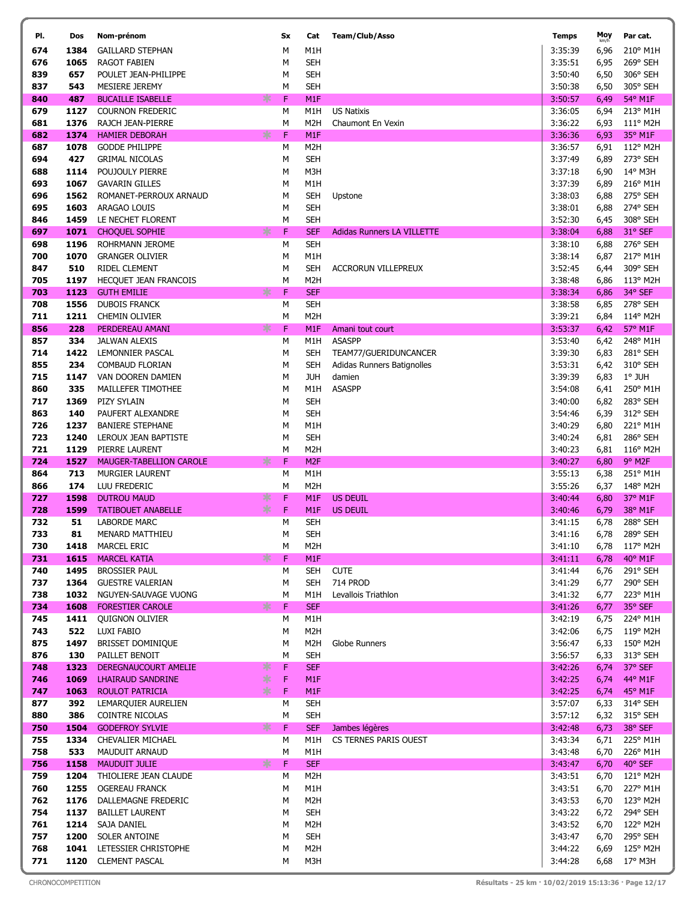| PI.        | Dos          | Nom-prénom                                  | Sx            | Cat                            | Team/Club/Asso                    | <b>Temps</b>       | Moy          | Par cat.                  |
|------------|--------------|---------------------------------------------|---------------|--------------------------------|-----------------------------------|--------------------|--------------|---------------------------|
| 674        | 1384         | <b>GAILLARD STEPHAN</b>                     | M             | M1H                            |                                   | 3:35:39            | 6,96         | 210° M1H                  |
| 676        | 1065         | <b>RAGOT FABIEN</b>                         | M             | <b>SEH</b>                     |                                   | 3:35:51            | 6,95         | 269° SEH                  |
| 839        | 657          | POULET JEAN-PHILIPPE                        | M             | <b>SEH</b>                     |                                   | 3:50:40            | 6,50         | 306° SEH                  |
| 837        | 543          | MESIERE JEREMY                              | M             | <b>SEH</b>                     |                                   | 3:50:38            | 6,50         | 305° SEH                  |
| 840        | 487          | <b>BUCAILLE ISABELLE</b>                    | ∗<br>F        | M <sub>1F</sub>                |                                   | 3:50:57            | 6,49         | 54° M1F                   |
| 679        | 1127         | <b>COURNON FREDERIC</b>                     | М             | M1H                            | <b>US Natixis</b>                 | 3:36:05            | 6,94         | 213° M1H                  |
| 681        | 1376         | RAJCH JEAN-PIERRE                           | M             | M <sub>2</sub> H               | Chaumont En Vexin                 | 3:36:22            | 6,93         | 111° M2H                  |
| 682        | 1374         | <b>HAMIER DEBORAH</b>                       | 氺<br>F        | M <sub>1</sub> F               |                                   | 3:36:36            | 6,93         | 35° M1F                   |
| 687        | 1078         | <b>GODDE PHILIPPE</b>                       | М             | M <sub>2</sub> H               |                                   | 3:36:57            | 6,91         | 112° M2H                  |
| 694        | 427          | <b>GRIMAL NICOLAS</b>                       | М             | <b>SEH</b>                     |                                   | 3:37:49            | 6,89         | 273° SEH                  |
| 688<br>693 | 1114<br>1067 | POUJOULY PIERRE<br><b>GAVARIN GILLES</b>    | M<br>М        | M3H<br>M1H                     |                                   | 3:37:18<br>3:37:39 | 6,90<br>6,89 | 14° M3H<br>216° M1H       |
| 696        | 1562         | ROMANET-PERROUX ARNAUD                      | M             | <b>SEH</b>                     | Upstone                           | 3:38:03            | 6,88         | 275° SEH                  |
| 695        | 1603         | ARAGAO LOUIS                                | M             | <b>SEH</b>                     |                                   | 3:38:01            | 6,88         | 274° SEH                  |
| 846        | 1459         | LE NECHET FLORENT                           | М             | <b>SEH</b>                     |                                   | 3:52:30            | 6,45         | 308° SEH                  |
| 697        | 1071         | <b>CHOQUEL SOPHIE</b>                       | 氺<br>F        | <b>SEF</b>                     | <b>Adidas Runners LA VILLETTE</b> | 3:38:04            | 6,88         | 31° SEF                   |
| 698        | 1196         | ROHRMANN JEROME                             | М             | <b>SEH</b>                     |                                   | 3:38:10            | 6,88         | 276° SEH                  |
| 700        | 1070         | <b>GRANGER OLIVIER</b>                      | М             | M1H                            |                                   | 3:38:14            | 6,87         | 217° M1H                  |
| 847        | 510          | <b>RIDEL CLEMENT</b>                        | М             | <b>SEH</b>                     | <b>ACCRORUN VILLEPREUX</b>        | 3:52:45            | 6,44         | 309° SEH                  |
| 705        | 1197         | HECQUET JEAN FRANCOIS                       | М             | M <sub>2</sub> H               |                                   | 3:38:48            | 6,86         | 113° M2H                  |
| 703        | 1123         | <b>GUTH EMILIE</b>                          | $\ast$<br>F   | <b>SEF</b>                     |                                   | 3:38:34            | 6,86         | 34° SEF                   |
| 708        | 1556         | <b>DUBOIS FRANCK</b>                        | М             | <b>SEH</b>                     |                                   | 3:38:58            | 6,85         | 278° SEH                  |
| 711        | 1211         | <b>CHEMIN OLIVIER</b>                       | M             | M <sub>2</sub> H               |                                   | 3:39:21            | 6,84         | 114° M2H                  |
| 856        | 228          | PERDEREAU AMANI                             | F<br>氺        | M <sub>1</sub> F               | Amani tout court                  | 3:53:37            | 6,42         | 57° M1F                   |
| 857        | 334          | <b>JALWAN ALEXIS</b>                        | М             | M1H                            | <b>ASASPP</b>                     | 3:53:40            | 6,42         | 248° M1H                  |
| 714        | 1422         | LEMONNIER PASCAL                            | М             | <b>SEH</b>                     | TEAM77/GUERIDUNCANCER             | 3:39:30            | 6,83         | 281° SEH                  |
| 855        | 234          | <b>COMBAUD FLORIAN</b>                      | М             | <b>SEH</b>                     | Adidas Runners Batignolles        | 3:53:31            | 6,42         | 310° SEH                  |
| 715<br>860 | 1147<br>335  | VAN DOOREN DAMIEN<br>MAILLEFER TIMOTHEE     | М<br>М        | JUH<br>M1H                     | damien<br><b>ASASPP</b>           | 3:39:39<br>3:54:08 | 6,83<br>6,41 | $1^\circ$ JUH<br>250° M1H |
| 717        | 1369         | PIZY SYLAIN                                 | М             | <b>SEH</b>                     |                                   | 3:40:00            | 6,82         | 283° SEH                  |
| 863        | 140          | PAUFERT ALEXANDRE                           | M             | <b>SEH</b>                     |                                   | 3:54:46            | 6,39         | 312° SEH                  |
| 726        | 1237         | <b>BANIERE STEPHANE</b>                     | M             | M1H                            |                                   | 3:40:29            | 6,80         | 221° M1H                  |
| 723        | 1240         | LEROUX JEAN BAPTISTE                        | M             | <b>SEH</b>                     |                                   | 3:40:24            | 6,81         | 286° SEH                  |
| 721        | 1129         | PIERRE LAURENT                              | M             | M <sub>2</sub> H               |                                   | 3:40:23            | 6,81         | 116° M2H                  |
| 724        | 1527         | <b>MAUGER-TABELLION CAROLE</b>              | ∗<br>F        | M <sub>2F</sub>                |                                   | 3:40:27            | 6,80         | 9° M2F                    |
| 864        | 713          | MURGIER LAURENT                             | M             | M1H                            |                                   | 3:55:13            | 6,38         | 251° M1H                  |
| 866        | 174          | LUU FREDERIC                                | М             | M <sub>2</sub> H               |                                   | 3:55:26            | 6,37         | 148° M2H                  |
| 727        | 1598         | <b>DUTROU MAUD</b>                          | *<br>F        | M <sub>1</sub> F               | <b>US DEUIL</b>                   | 3:40:44            | 6,80         | 37° M1F                   |
| 728        | 1599         | <b>TATIBOUET ANABELLE</b>                   | ∗<br>F        | M <sub>1</sub> F               | <b>US DEUIL</b>                   | 3:40:46            | 6,79         | 38° M1F                   |
| 732        | 51           | <b>LABORDE MARC</b>                         | M             | <b>SEH</b>                     |                                   | 3:41:15            | 6,78         | 288° SEH                  |
| 733        | 81           | MENARD MATTHIEU                             | M             | <b>SEH</b>                     |                                   | 3:41:16            | 6,78         | 289° SEH                  |
| 730        | 1418         | MARCEL ERIC                                 | М             | M <sub>2</sub> H               |                                   | 3:41:10            | 6,78         | 117° M2H                  |
| 731<br>740 | 1615<br>1495 | <b>MARCEL KATIA</b><br><b>BROSSIER PAUL</b> | $*$<br>F<br>М | M <sub>1</sub> F<br><b>SEH</b> | <b>CUTE</b>                       | 3:41:11<br>3:41:44 | 6,78<br>6,76 | 40° M1F<br>291° SEH       |
| 737        | 1364         | <b>GUESTRE VALERIAN</b>                     | М             | <b>SEH</b>                     | <b>714 PROD</b>                   | 3:41:29            | 6,77         | 290° SEH                  |
| 738        | 1032         | NGUYEN-SAUVAGE VUONG                        | М             | M1H                            | Levallois Triathlon               | 3:41:32            | 6,77         | 223° M1H                  |
| 734        | 1608         | <b>FORESTIER CAROLE</b>                     | F<br>$*$      | <b>SEF</b>                     |                                   | 3:41:26            | 6,77         | 35° SEF                   |
| 745        | 1411         | <b>QUIGNON OLIVIER</b>                      | М             | M1H                            |                                   | 3:42:19            | 6,75         | 224° M1H                  |
| 743        | 522          | LUXI FABIO                                  | М             | M <sub>2</sub> H               |                                   | 3:42:06            | 6,75         | 119° M2H                  |
| 875        | 1497         | BRISSET DOMINIQUE                           | М             | M <sub>2</sub> H               | Globe Runners                     | 3:56:47            | 6,33         | 150° M2H                  |
| 876        | 130          | PAILLET BENOIT                              | М             | <b>SEH</b>                     |                                   | 3:56:57            | 6,33         | 313° SEH                  |
| 748        | 1323         | DEREGNAUCOURT AMELIE                        | 氺<br>F        | <b>SEF</b>                     |                                   | 3:42:26            | 6,74         | 37° SEF                   |
| 746        | 1069         | <b>LHAIRAUD SANDRINE</b>                    | *<br>F        | M1F                            |                                   | 3:42:25            | 6,74         | 44° M1F                   |
| 747        | 1063         | ROULOT PATRICIA                             | *<br>F        | M <sub>1</sub> F               |                                   | 3:42:25            | 6,74         | 45° M1F                   |
| 877        | 392          | LEMARQUIER AURELIEN                         | М             | <b>SEH</b>                     |                                   | 3:57:07            | 6,33         | 314° SEH                  |
| 880<br>750 | 386<br>1504  | COINTRE NICOLAS<br><b>GODEFROY SYLVIE</b>   | М<br>∗<br>F   | <b>SEH</b><br><b>SEF</b>       | Jambes légères                    | 3:57:12<br>3:42:48 | 6,32<br>6,73 | 315° SEH<br>38° SEF       |
| 755        |              | 1334 CHEVALIER MICHAEL                      | М             | M1H                            | CS TERNES PARIS OUEST             | 3:43:34            | 6,71         | 225° M1H                  |
| 758        | 533          | MAUDUIT ARNAUD                              | М             | M1H                            |                                   | 3:43:48            | 6,70         | 226° M1H                  |
| 756        | 1158         | <b>MAUDUIT JULIE</b>                        | $\ast$<br>F   | <b>SEF</b>                     |                                   | 3:43:47            | 6,70         | 40° SEF                   |
| 759        |              | 1204 THIOLIERE JEAN CLAUDE                  | М             | M <sub>2</sub> H               |                                   | 3:43:51            | 6,70         | 121° M2H                  |
| 760        | 1255         | <b>OGEREAU FRANCK</b>                       | М             | M1H                            |                                   | 3:43:51            | 6,70         | 227° M1H                  |
| 762        | 1176         | DALLEMAGNE FREDERIC                         | М             | M <sub>2</sub> H               |                                   | 3:43:53            | 6,70         | 123° M2H                  |
| 754        | 1137         | <b>BAILLET LAURENT</b>                      | М             | <b>SEH</b>                     |                                   | 3:43:22            | 6,72         | 294° SEH                  |
| 761        |              | 1214 SAJA DANIEL                            | М             | M <sub>2</sub> H               |                                   | 3:43:52            | 6,70         | 122° M2H                  |
| 757        | 1200         | SOLER ANTOINE                               | М             | <b>SEH</b>                     |                                   | 3:43:47            | 6,70         | 295° SEH                  |
| 768        |              | 1041 LETESSIER CHRISTOPHE                   | М             | M <sub>2</sub> H               |                                   | 3:44:22            | 6,69         | 125° M2H                  |
| 771        |              | 1120 CLEMENT PASCAL                         | М             | M3H                            |                                   | 3:44:28            |              | 6,68 17° M3H              |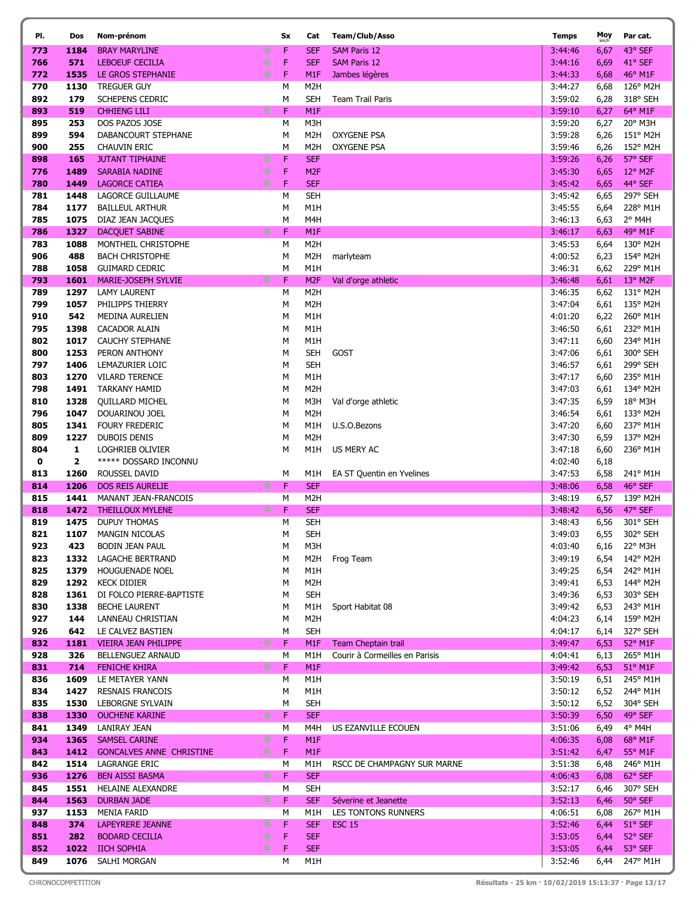| PI.        | Dos               | Nom-prénom                                     |     | Sx          | Cat                                  | Team/Club/Asso                           | <b>Temps</b>       | Moy          | Par cat.             |
|------------|-------------------|------------------------------------------------|-----|-------------|--------------------------------------|------------------------------------------|--------------------|--------------|----------------------|
| 773        | 1184              | <b>BRAY MARYLINE</b>                           | ∗   | F           | <b>SEF</b>                           | <b>SAM Paris 12</b>                      | 3:44:46            | 6,67         | 43° SEF              |
| 766        | 571               | <b>LEBOEUF CECILIA</b>                         | ∗   | F           | <b>SEF</b>                           | <b>SAM Paris 12</b>                      | 3:44:16            | 6,69         | 41° SEF              |
| 772        | 1535              | LE GROS STEPHANIE                              | ∗   | F           | M <sub>1</sub> F                     | Jambes légères                           | 3:44:33            | 6,68         | 46° M1F              |
| 770        | 1130              | <b>TREGUER GUY</b>                             |     | М           | M <sub>2</sub> H                     |                                          | 3:44:27            | 6,68         | 126° M2H             |
| 892        | 179               | SCHEPENS CEDRIC                                |     | М           | <b>SEH</b>                           | <b>Team Trail Paris</b>                  | 3:59:02            | 6,28         | 318° SEH             |
| 893        | 519               | <b>CHHIENG LILI</b>                            | 氺   | F           | M <sub>1</sub> F                     |                                          | 3:59:10            | 6,27         | 64° M1F              |
| 895        | 253               | DOS PAZOS JOSE                                 |     | М           | M3H                                  |                                          | 3:59:20            | 6,27         | 20° M3H              |
| 899<br>900 | 594<br>255        | DABANCOURT STEPHANE<br><b>CHAUVIN ERIC</b>     |     | М<br>М      | M <sub>2</sub> H<br>M <sub>2</sub> H | <b>OXYGENE PSA</b><br><b>OXYGENE PSA</b> | 3:59:28<br>3:59:46 | 6,26         | 151° M2H<br>152° M2H |
| 898        | 165               | <b>JUTANT TIPHAINE</b>                         | ∗   | F           | <b>SEF</b>                           |                                          | 3:59:26            | 6,26<br>6,26 | 57° SEF              |
| 776        | 1489              | <b>SARABIA NADINE</b>                          | ∗   | F           | M <sub>2F</sub>                      |                                          | 3:45:30            | 6,65         | $12^{\circ}$ M2F     |
| 780        | 1449              | <b>LAGORCE CATIEA</b>                          | $*$ | F           | <b>SEF</b>                           |                                          | 3:45:42            | 6,65         | 44° SEF              |
| 781        | 1448              | LAGORCE GUILLAUME                              |     | М           | <b>SEH</b>                           |                                          | 3:45:42            | 6,65         | 297° SEH             |
| 784        | 1177              | <b>BAILLEUL ARTHUR</b>                         |     | М           | M <sub>1</sub> H                     |                                          | 3:45:55            | 6,64         | 228° M1H             |
| 785        | 1075              | DIAZ JEAN JACQUES                              |     | М           | M <sub>4</sub> H                     |                                          | 3:46:13            | 6,63         | 2° M4H               |
| 786        | 1327              | <b>DACQUET SABINE</b>                          | 氺   | F           | M <sub>1</sub> F                     |                                          | 3:46:17            | 6,63         | 49° M1F              |
| 783        | 1088              | MONTHEIL CHRISTOPHE                            |     | М           | M <sub>2</sub> H                     |                                          | 3:45:53            | 6,64         | 130° M2H             |
| 906        | 488               | <b>BACH CHRISTOPHE</b>                         |     | М           | M <sub>2</sub> H                     | marlyteam                                | 4:00:52            | 6,23         | 154° M2H             |
| 788        | 1058              | <b>GUIMARD CEDRIC</b>                          |     | M           | M <sub>1</sub> H                     |                                          | 3:46:31            | 6,62         | 229° M1H             |
| 793        | 1601              | MARIE-JOSEPH SYLVIE                            | ∗   | F           | M <sub>2F</sub><br>M <sub>2</sub> H  | Val d'orge athletic                      | 3:46:48            | 6,61         | 13° M2F<br>131° M2H  |
| 789<br>799 | 1297<br>1057      | LAMY LAURENT<br>PHILIPPS THIERRY               |     | М<br>М      | M <sub>2</sub> H                     |                                          | 3:46:35<br>3:47:04 | 6,62<br>6,61 | 135° M2H             |
| 910        | 542               | MEDINA AURELIEN                                |     | М           | M1H                                  |                                          | 4:01:20            | 6,22         | 260° M1H             |
| 795        | 1398              | CACADOR ALAIN                                  |     | М           | M1H                                  |                                          | 3:46:50            | 6,61         | 232° M1H             |
| 802        | 1017              | <b>CAUCHY STEPHANE</b>                         |     | М           | M <sub>1</sub> H                     |                                          | 3:47:11            | 6,60         | 234° M1H             |
| 800        | 1253              | PERON ANTHONY                                  |     | М           | SEH                                  | GOST                                     | 3:47:06            | 6,61         | 300° SEH             |
| 797        | 1406              | LEMAZURIER LOIC                                |     | М           | <b>SEH</b>                           |                                          | 3:46:57            | 6,61         | 299° SEH             |
| 803        | 1270              | <b>VILARD TERENCE</b>                          |     | М           | M1H                                  |                                          | 3:47:17            | 6,60         | 235° M1H             |
| 798        | 1491              | TARKANY HAMID                                  |     | М           | M <sub>2</sub> H                     |                                          | 3:47:03            | 6,61         | 134° M2H             |
| 810        | 1328              | <b>QUILLARD MICHEL</b>                         |     | М           | M3H                                  | Val d'orge athletic                      | 3:47:35            | 6,59         | 18° M3H              |
| 796        | 1047              | DOUARINOU JOEL                                 |     | М           | M <sub>2</sub> H                     |                                          | 3:46:54            | 6,61         | 133° M2H             |
| 805        | 1341              | <b>FOURY FREDERIC</b>                          |     | М           | M1H                                  | U.S.O.Bezons                             | 3:47:20            | 6,60         | 237° M1H             |
| 809        | 1227              | DUBOIS DENIS                                   |     | М           | M <sub>2</sub> H                     |                                          | 3:47:30            | 6,59         | 137° M2H             |
| 804<br>0   | 1<br>$\mathbf{2}$ | LOGHRIEB OLIVIER<br>***** DOSSARD INCONNU      |     | М           | M1H                                  | US MERY AC                               | 3:47:18<br>4:02:40 | 6,60<br>6,18 | 236° M1H             |
| 813        | 1260              | ROUSSEL DAVID                                  |     | М           | M1H                                  | EA ST Quentin en Yvelines                | 3:47:53            | 6,58         | 241° M1H             |
| 814        | 1206              | <b>DOS REIS AURELIE</b>                        | ∗   | F           | <b>SEF</b>                           |                                          | 3:48:06            | 6,58         | 46° SEF              |
| 815        | 1441              | MANANT JEAN-FRANCOIS                           |     | М           | M <sub>2</sub> H                     |                                          | 3:48:19            | 6,57         | 139° M2H             |
| 818        | 1472              | <b>THEILLOUX MYLENE</b>                        | ∗   | F           | <b>SEF</b>                           |                                          | 3:48:42            | 6,56         | 47° SEF              |
| 819        | 1475              | <b>DUPUY THOMAS</b>                            |     | М           | <b>SEH</b>                           |                                          | 3:48:43            | 6,56         | 301° SEH             |
| 821        | 1107              | <b>MANGIN NICOLAS</b>                          |     | М           | <b>SEH</b>                           |                                          | 3:49:03            | 6,55         | 302° SEH             |
| 923        | 423               | <b>BODIN JEAN PAUL</b>                         |     | М           | M3H                                  |                                          | 4:03:40            | 6,16         | 22° M3H              |
| 823        |                   | 1332 LAGACHE BERTRAND                          |     | М           | M <sub>2</sub> H                     | Frog Team                                | 3:49:19            | 6,54         | 142° M2H             |
| 825        | 1379              | HOUGUENADE NOEL                                |     | М           | M1H                                  |                                          | 3:49:25            | 6,54         | 242° M1H             |
| 829<br>828 | 1292<br>1361      | <b>KECK DIDIER</b><br>DI FOLCO PIERRE-BAPTISTE |     | М<br>М      | M <sub>2</sub> H<br><b>SEH</b>       |                                          | 3:49:41<br>3:49:36 | 6,53<br>6,53 | 144° M2H<br>303° SEH |
| 830        | 1338              | <b>BECHE LAURENT</b>                           |     | М           | M1H                                  | Sport Habitat 08                         | 3:49:42            | 6,53         | 243° M1H             |
| 927        | 144               | LANNEAU CHRISTIAN                              |     | М           | M <sub>2</sub> H                     |                                          | 4:04:23            | 6,14         | 159° M2H             |
| 926        | 642               | LE CALVEZ BASTIEN                              |     | М           | <b>SEH</b>                           |                                          | 4:04:17            | 6,14         | 327° SEH             |
| 832        | 1181              | <b>VIEIRA JEAN PHILIPPE</b>                    | ∗   | F           | M <sub>1</sub> F                     | Team Cheptain trail                      | 3:49:47            | 6,53         | 52° M1F              |
| 928        | 326               | <b>BELLENGUEZ ARNAUD</b>                       |     | М           | M1H                                  | Courir à Cormeilles en Parisis           | 4:04:41            | 6,13         | 265° M1H             |
| 831        | 714               | <b>FENICHE KHIRA</b>                           | $*$ | F           | M <sub>1</sub> F                     |                                          | 3:49:42            | 6,53         | $51^{\circ}$ M1F     |
| 836        | 1609              | LE METAYER YANN                                |     | М           | M1H                                  |                                          | 3:50:19            | 6,51         | 245° M1H             |
| 834        | 1427              | <b>RESNAIS FRANCOIS</b>                        |     | М           | M1H                                  |                                          | 3:50:12            | 6,52         | 244° M1H             |
| 835        | 1530              | LEBORGNE SYLVAIN                               |     | М           | <b>SEH</b>                           |                                          | 3:50:12            | 6,52         | 304° SEH             |
| 838<br>841 | 1330              | <b>OUCHENE KARINE</b>                          | $*$ | F<br>М      | <b>SEF</b><br>M4H                    |                                          | 3:50:39<br>3:51:06 | 6,50         | 49° SEF<br>4° M4H    |
| 934        | 1349<br>1365      | LANIRAY JEAN<br><b>SAMSEL CARINE</b>           | ∗   | F           | M <sub>1</sub> F                     | US EZANVILLE ECOUEN                      | 4:06:35            | 6,49<br>6,08 | 68° M1F              |
| 843        | 1412              | <b>GONCALVES ANNE CHRISTINE</b>                | $*$ | F           | M <sub>1</sub> F                     |                                          | 3:51:42            | 6,47         | 55° M1F              |
| 842        |                   | 1514 LAGRANGE ERIC                             |     | М           | M1H                                  | RSCC DE CHAMPAGNY SUR MARNE              | 3:51:38            | 6,48         | 246° M1H             |
| 936        | 1276              | <b>BEN AISSI BASMA</b>                         | $*$ | F           | <b>SEF</b>                           |                                          | 4:06:43            | 6,08         | 62° SEF              |
| 845        | 1551              | <b>HELAINE ALEXANDRE</b>                       |     | М           | <b>SEH</b>                           |                                          | 3:52:17            | 6,46         | 307° SEH             |
| 844        | 1563              | <b>DURBAN JADE</b>                             | *   | F           | <b>SEF</b>                           | Séverine et Jeanette                     | 3:52:13            | 6,46         | 50° SEF              |
| 937        | 1153              | <b>MENIA FARID</b>                             |     | М           | M1H                                  | LES TONTONS RUNNERS                      | 4:06:51            | 6,08         | 267° M1H             |
| 848        | 374               | <b>LAPEYRERE JEANNE</b>                        | *   | F           | <b>SEF</b>                           | <b>ESC 15</b>                            | 3:52:46            | 6,44         | 51° SEF              |
| 851        | 282               | <b>BODARD CECILIA</b>                          | ∗   | $\mathsf F$ | <b>SEF</b>                           |                                          | 3:53:05            | 6,44         | 52° SEF              |
| 852        | 1022              | <b>IICH SOPHIA</b>                             | $*$ | F           | <b>SEF</b>                           |                                          | 3:53:05            | 6,44         | 53° SEF              |
| 849        | 1076              | SALHI MORGAN                                   |     | М           | M1H                                  |                                          | 3:52:46            | 6,44         | 247° M1H             |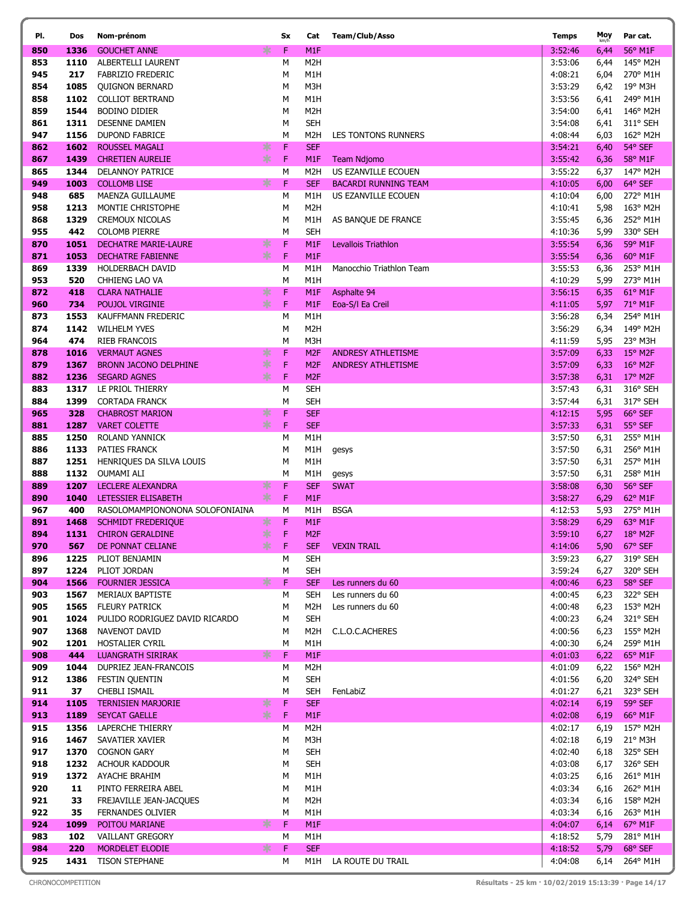| PI.        | Dos          | Nom-prénom                                      | Sx                         | Cat                                  | Team/Club/Asso              | <b>Temps</b>       | Moy<br>km/h  | Par cat.                     |
|------------|--------------|-------------------------------------------------|----------------------------|--------------------------------------|-----------------------------|--------------------|--------------|------------------------------|
| 850        | 1336         | <b>GOUCHET ANNE</b>                             | ∗<br>F                     | M <sub>1</sub> F                     |                             | 3:52:46            | 6,44         | 56° M1F                      |
| 853        | 1110         | ALBERTELLI LAURENT                              | М                          | M <sub>2</sub> H                     |                             | 3:53:06            | 6,44         | 145° M2H                     |
| 945        | 217          | <b>FABRIZIO FREDERIC</b>                        | М                          | M1H                                  |                             | 4:08:21            | 6,04         | 270° M1H                     |
| 854        | 1085         | <b>QUIGNON BERNARD</b>                          | М                          | M3H                                  |                             | 3:53:29            | 6,42         | 19° M3H                      |
| 858        | 1102         | <b>COLLIOT BERTRAND</b>                         | М                          | M1H                                  |                             | 3:53:56            | 6,41         | 249° M1H                     |
| 859        | 1544         | <b>BODINO DIDIER</b>                            | М                          | M <sub>2</sub> H                     |                             | 3:54:00            | 6,41         | 146° M2H                     |
| 861        | 1311         | <b>DESENNE DAMIEN</b>                           | М                          | <b>SEH</b>                           |                             | 3:54:08            | 6,41         | 311° SEH                     |
| 947        | 1156         | <b>DUPOND FABRICE</b>                           | M                          | M2H                                  | LES TONTONS RUNNERS         | 4:08:44            | 6,03         | 162° M2H                     |
| 862        | 1602         | ROUSSEL MAGALI                                  | ∗<br>F                     | <b>SEF</b>                           |                             | 3:54:21            | 6,40         | 54° SEF                      |
| 867        | 1439         | <b>CHRETIEN AURELIE</b>                         | $*$<br>F                   | M <sub>1</sub> F                     | Team Ndjomo                 | 3:55:42            | 6,36         | 58° M1F                      |
| 865        | 1344         | DELANNOY PATRICE                                | М                          | M2H                                  | US EZANVILLE ECOUEN         | 3:55:22            | 6,37         | 147° M2H                     |
| 949        | 1003         | <b>COLLOMB LISE</b>                             | ∗<br>F                     | <b>SEF</b>                           | <b>BACARDI RUNNING TEAM</b> | 4:10:05            | 6,00         | 64° SEF                      |
| 948        | 685          | MAENZA GUILLAUME                                | М                          | M1H                                  | US EZANVILLE ECOUEN         | 4:10:04            | 6,00         | 272° M1H                     |
| 958        | 1213         | MONTIE CHRISTOPHE                               | М                          | M <sub>2</sub> H                     |                             | 4:10:41            | 5,98         | 163° M2H                     |
| 868        | 1329         | <b>CREMOUX NICOLAS</b>                          | M                          | M1H                                  | AS BANQUE DE FRANCE         | 3:55:45            | 6,36         | 252° M1H                     |
| 955        | 442          | <b>COLOMB PIERRE</b>                            | М                          | <b>SEH</b>                           |                             | 4:10:36            | 5,99         | 330° SEH                     |
| 870        | 1051         | <b>DECHATRE MARIE-LAURE</b>                     | ∗<br>F                     | M1F                                  | Levallois Triathlon         | 3:55:54            | 6,36         | 59° M1F                      |
| 871        | 1053         | <b>DECHATRE FABIENNE</b>                        | ∗<br>F                     | M <sub>1</sub> F                     |                             | 3:55:54            | 6,36         | 60° M1F                      |
| 869        | 1339         | <b>HOLDERBACH DAVID</b>                         | М                          | M1H                                  | Manocchio Triathlon Team    | 3:55:53            | 6,36         | 253° M1H                     |
| 953        | 520          | CHHIENG LAO VA                                  | М                          | M1H                                  |                             | 4:10:29            | 5,99         | 273° M1H<br>61° M1F          |
| 872<br>960 | 418<br>734   | <b>CLARA NATHALIE</b><br><b>POUJOL VIRGINIE</b> | ∗<br>F<br>∗<br>$\mathsf F$ | M <sub>1</sub> F<br>M <sub>1</sub> F | Asphalte 94                 | 3:56:15<br>4:11:05 | 6,35         | 71° M1F                      |
| 873        | 1553         | KAUFFMANN FREDERIC                              | М                          | M1H                                  | Eoa-S/I Ea Creil            | 3:56:28            | 5,97<br>6,34 | 254° M1H                     |
| 874        | 1142         | WILHELM YVES                                    | М                          | M <sub>2</sub> H                     |                             | 3:56:29            | 6,34         | 149° M2H                     |
| 964        | 474          | <b>RIEB FRANCOIS</b>                            | M                          | M3H                                  |                             | 4:11:59            | 5,95         | 23° M3H                      |
| 878        | 1016         | <b>VERMAUT AGNES</b>                            | ∗<br>F                     | M <sub>2F</sub>                      | <b>ANDRESY ATHLETISME</b>   | 3:57:09            | 6,33         | 15° M2F                      |
| 879        | 1367         | <b>BRONN JACONO DELPHINE</b>                    | $\ast$<br>F                | M <sub>2F</sub>                      | <b>ANDRESY ATHLETISME</b>   | 3:57:09            | 6,33         | $16^{\circ}$ M <sub>2F</sub> |
| 882        | 1236         | <b>SEGARD AGNES</b>                             | ∗<br>F                     | M <sub>2F</sub>                      |                             | 3:57:38            | 6,31         | $17^{\circ}$ M2F             |
| 883        | 1317         | LE PRIOL THIERRY                                | М                          | <b>SEH</b>                           |                             | 3:57:43            | 6,31         | 316° SEH                     |
| 884        | 1399         | <b>CORTADA FRANCK</b>                           | M                          | <b>SEH</b>                           |                             | 3:57:44            | 6,31         | 317° SEH                     |
| 965        | 328          | <b>CHABROST MARION</b>                          | ∗<br>F                     | <b>SEF</b>                           |                             | 4:12:15            | 5,95         | 66° SEF                      |
| 881        | 1287         | <b>VARET COLETTE</b>                            | ∗<br>F                     | <b>SEF</b>                           |                             | 3:57:33            | 6,31         | 55° SEF                      |
| 885        | 1250         | ROLAND YANNICK                                  | М                          | M1H                                  |                             | 3:57:50            | 6,31         | 255° M1H                     |
| 886        | 1133         | PATIES FRANCK                                   | М                          | M1H                                  | gesys                       | 3:57:50            | 6,31         | 256° M1H                     |
| 887        | 1251         | HENRIQUES DA SILVA LOUIS                        | М                          | M1H                                  |                             | 3:57:50            | 6,31         | 257° M1H                     |
| 888        | 1132         | OUMAMI ALI                                      | M                          | M1H                                  | gesys                       | 3:57:50            | 6,31         | 258° M1H                     |
| 889        | 1207         | <b>LECLERE ALEXANDRA</b>                        | F<br>⋇                     | <b>SEF</b>                           | <b>SWAT</b>                 | 3:58:08            | 6,30         | 56° SEF                      |
| 890        | 1040         | LETESSIER ELISABETH                             | *<br>F                     | M <sub>1</sub> F                     |                             | 3:58:27            | 6,29         | 62° M1F                      |
| 967        | 400          | RASOLOMAMPIONONONA SOLOFONIAINA                 | М                          | M1H                                  | <b>BSGA</b>                 | 4:12:53            | 5,93         | 275° M1H                     |
| 891        | 1468         | <b>SCHMIDT FREDERIQUE</b>                       | F<br>∗                     | M <sub>1</sub> F                     |                             | 3:58:29            | 6,29         | 63° M1F                      |
| 894        | 1131         | <b>CHIRON GERALDINE</b>                         | ∗<br>F                     | M <sub>2F</sub>                      |                             | 3:59:10            | 6,27         | 18° M2F                      |
| 970        | 567          | DE PONNAT CELIANE                               | $*$<br>F                   | <b>SEF</b>                           | <b>VEXIN TRAIL</b>          | 4:14:06            | 5,90         | 67° SEF                      |
| 896        | 1225         | PLIOT BENJAMIN                                  | м                          | <b>SEH</b>                           |                             | 3:59:23            | 6,27         | 319° SEH<br>320° SEH         |
| 897<br>904 | 1224<br>1566 | PLIOT JORDAN<br><b>FOURNIER JESSICA</b>         | М<br>∗<br>F                | <b>SEH</b><br><b>SEF</b>             | Les runners du 60           | 3:59:24<br>4:00:46 | 6,27<br>6,23 | 58° SEF                      |
| 903        | 1567         | MERIAUX BAPTISTE                                | М                          | <b>SEH</b>                           | Les runners du 60           | 4:00:45            | 6,23         | 322° SEH                     |
| 905        | 1565         | <b>FLEURY PATRICK</b>                           | М                          | M2H                                  | Les runners du 60           | 4:00:48            | 6,23         | 153° M2H                     |
| 901        | 1024         | PULIDO RODRIGUEZ DAVID RICARDO                  | М                          | SEH                                  |                             | 4:00:23            | 6,24         | 321° SEH                     |
| 907        | 1368         | NAVENOT DAVID                                   | М                          | M2H                                  | C.L.O.C.ACHERES             | 4:00:56            | 6,23         | 155° M2H                     |
| 902        | 1201         | HOSTALIER CYRIL                                 | М                          | M1H                                  |                             | 4:00:30            | 6,24         | 259° M1H                     |
| 908        | 444          | <b>LUANGRATH SIRIRAK</b>                        | ∗<br>F.                    | M <sub>1F</sub>                      |                             | 4:01:03            | 6,22         | 65° M1F                      |
| 909        | 1044         | DUPRIEZ JEAN-FRANCOIS                           | М                          | M <sub>2</sub> H                     |                             | 4:01:09            | 6,22         | 156° M2H                     |
| 912        | 1386         | FESTIN QUENTIN                                  | М                          | <b>SEH</b>                           |                             | 4:01:56            | 6,20         | 324° SEH                     |
| 911        | 37           | CHEBLI ISMAIL                                   | М                          | SEH                                  | FenLabiZ                    | 4:01:27            | 6,21         | 323° SEH                     |
| 914        | 1105         | <b>TERNISIEN MARJORIE</b>                       | ∗<br>F                     | <b>SEF</b>                           |                             | 4:02:14            | 6,19         | 59° SEF                      |
| 913        | 1189         | <b>SEYCAT GAELLE</b>                            | *<br>$\mathsf F$           | M <sub>1F</sub>                      |                             | 4:02:08            | 6,19         | 66° M1F                      |
| 915        | 1356         | LAPERCHE THIERRY                                | М                          | M2H                                  |                             | 4:02:17            | 6,19         | 157° M2H                     |
| 916        | 1467         | SAVATIER XAVIER                                 | М                          | M3H                                  |                             | 4:02:18            | 6,19         | $21^{\circ}$ M3H             |
| 917        | 1370         | <b>COGNON GARY</b>                              | М                          | <b>SEH</b>                           |                             | 4:02:40            | 6,18         | 325° SEH                     |
| 918        | 1232         | ACHOUR KADDOUR                                  | М                          | <b>SEH</b>                           |                             | 4:03:08            | 6,17         | 326° SEH                     |
| 919        | 1372         | AYACHE BRAHIM                                   | М                          | M1H                                  |                             | 4:03:25            | 6,16         | 261° M1H                     |
| 920        | 11           | PINTO FERREIRA ABEL                             | М                          | M1H                                  |                             | 4:03:34            | 6,16         | 262° M1H                     |
| 921        | 33           | FREJAVILLE JEAN-JACQUES                         | М                          | M2H                                  |                             | 4:03:34            | 6,16         | 158° M2H                     |
| 922        | 35           | FERNANDES OLIVIER                               | М<br>$*$                   | M1H                                  |                             | 4:03:34            | 6,16         | 263° M1H                     |
| 924        | 1099         | POITOU MARIANE                                  | F                          | M <sub>1F</sub>                      |                             | 4:04:07            | 6,14         | 67° M1F                      |
| 983<br>984 | 102<br>220   | VAILLANT GREGORY<br>MORDELET ELODIE             | М<br>∗<br>F                | M1H<br><b>SEF</b>                    |                             | 4:18:52<br>4:18:52 | 5,79<br>5,79 | 281° M1H<br>68° SEF          |
| 925        |              | 1431 TISON STEPHANE                             | М                          |                                      | M1H LA ROUTE DU TRAIL       | 4:04:08            | 6,14         | 264° M1H                     |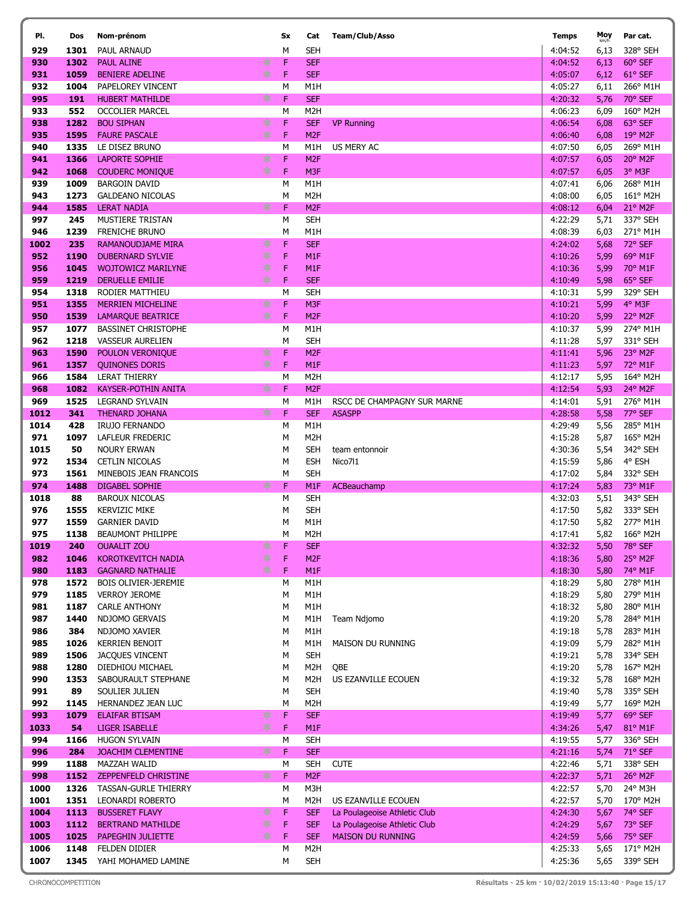| PI.          | Dos          | Nom-prénom                                                     |               | Sx     | Cat                                 | Team/Club/Asso                                           | <b>Temps</b>       | Moy          | Par cat.                     |
|--------------|--------------|----------------------------------------------------------------|---------------|--------|-------------------------------------|----------------------------------------------------------|--------------------|--------------|------------------------------|
| 929          | 1301         | <b>PAUL ARNAUD</b>                                             |               | M      | SEH                                 |                                                          | 4:04:52            | 6,13         | 328° SEH                     |
| 930          | 1302         | *<br><b>PAUL ALINE</b>                                         |               | F      | <b>SEF</b>                          |                                                          | 4:04:52            | 6,13         | 60° SEF                      |
| 931          | 1059         | <b>BENIERE ADELINE</b>                                         | $*$           | F      | <b>SEF</b>                          |                                                          | 4:05:07            | 6,12         | 61° SEF                      |
| 932          | 1004         | PAPELOREY VINCENT                                              |               | М      | M1H                                 |                                                          | 4:05:27            | 6,11         | 266° M1H                     |
| 995          | 191          | <b>HUBERT MATHILDE</b>                                         | ∗             | F      | <b>SEF</b>                          |                                                          | 4:20:32            | 5,76         | 70° SEF                      |
| 933          | 552          | <b>OCCOLIER MARCEL</b>                                         |               | М      | M <sub>2</sub> H                    |                                                          | 4:06:23            | 6,09         | 160° M2H                     |
| 938          | 1282         | *<br><b>BOU SIPHAN</b>                                         |               | F      | <b>SEF</b>                          | <b>VP Running</b>                                        | 4:06:54            | 6,08         | 63° SEF                      |
| 935          | 1595         | <b>FAURE PASCALE</b>                                           | $*$           | F      | M <sub>2F</sub>                     |                                                          | 4:06:40            | 6,08         | 19° M2F                      |
| 940          | 1335         | LE DISEZ BRUNO                                                 |               | M      | M1H                                 | US MERY AC                                               | 4:07:50            | 6,05         | 269° M1H                     |
| 941          | 1366         | *<br><b>LAPORTE SOPHIE</b>                                     |               | F      | M <sub>2F</sub>                     |                                                          | 4:07:57            | 6,05         | 20° M2F                      |
| 942<br>939   | 1068<br>1009 | <b>COUDERC MONIQUE</b><br><b>BARGOIN DAVID</b>                 | $*$           | F<br>M | M3F<br>M1H                          |                                                          | 4:07:57<br>4:07:41 | 6,05<br>6,06 | 3° M3F<br>268° M1H           |
| 943          | 1273         | <b>GALDEANO NICOLAS</b>                                        |               | М      | M <sub>2</sub> H                    |                                                          | 4:08:00            | 6,05         | 161° M2H                     |
| 944          | 1585         | <b>LERAT NADIA</b>                                             | ∗             | F      | M <sub>2F</sub>                     |                                                          | 4:08:12            | 6,04         | 21° M2F                      |
| 997          | 245          | MUSTIERE TRISTAN                                               |               | М      | <b>SEH</b>                          |                                                          | 4:22:29            | 5,71         | 337° SEH                     |
| 946          | 1239         | <b>FRENICHE BRUNO</b>                                          |               | M      | M1H                                 |                                                          | 4:08:39            | 6,03         | 271° M1H                     |
| 1002         | 235          | *<br>RAMANOUDJAME MIRA                                         |               | F      | <b>SEF</b>                          |                                                          | 4:24:02            | 5,68         | 72° SEF                      |
| 952          | 1190         | *<br><b>DUBERNARD SYLVIE</b>                                   |               | F      | M <sub>1</sub> F                    |                                                          | 4:10:26            | 5,99         | 69° M1F                      |
| 956          | 1045         | *<br><b>WOJTOWICZ MARILYNE</b>                                 |               | F      | M <sub>1</sub> F                    |                                                          | 4:10:36            | 5,99         | 70° M1F                      |
| 959          | 1219         | <b>DERUELLE EMILIE</b>                                         | ∗             | F      | <b>SEF</b>                          |                                                          | 4:10:49            | 5,98         | 65° SEF                      |
| 954          | 1318         | RODIER MATTHIEU                                                |               | M      | <b>SEH</b>                          |                                                          | 4:10:31            | 5,99         | 329° SEH                     |
| 951          | 1355         | *<br><b>MERRIEN MICHELINE</b>                                  |               | F      | M3F                                 |                                                          | 4:10:21            | 5,99         | 4° M3F                       |
| 950          | 1539         | <b>LAMARQUE BEATRICE</b>                                       | $*$           | F      | M <sub>2F</sub>                     |                                                          | 4:10:20            | 5,99         | 22° M2F                      |
| 957          | 1077         | <b>BASSINET CHRISTOPHE</b>                                     |               | M      | M1H                                 |                                                          | 4:10:37            | 5,99         | 274° M1H                     |
| 962          | 1218         | <b>VASSEUR AURELIEN</b>                                        |               | M      | <b>SEH</b>                          |                                                          | 4:11:28            | 5,97         | 331° SEH                     |
| 963          | 1590         | POULON VERONIQUE                                               | ∗<br>$*$      | F<br>F | M <sub>2F</sub><br>M <sub>1</sub> F |                                                          | 4:11:41            | 5,96         | 23° M2F<br>72° M1F           |
| 961<br>966   | 1357<br>1584 | <b>QUINONES DORIS</b><br><b>LERAT THIERRY</b>                  |               | М      | M <sub>2</sub> H                    |                                                          | 4:11:23<br>4:12:17 | 5,97<br>5,95 | 164° M2H                     |
| 968          | 1082         | KAYSER-POTHIN ANITA                                            | ∗             | F      | M <sub>2F</sub>                     |                                                          | 4:12:54            | 5,93         | 24° M2F                      |
| 969          | 1525         | <b>LEGRAND SYLVAIN</b>                                         |               | М      | M1H                                 | RSCC DE CHAMPAGNY SUR MARNE                              | 4:14:01            | 5,91         | 276° M1H                     |
| 1012         | 341          | <b>THENARD JOHANA</b>                                          | ∗             | F      | <b>SEF</b>                          | <b>ASASPP</b>                                            | 4:28:58            | 5,58         | 77° SEF                      |
| 1014         | 428          | <b>IRUJO FERNANDO</b>                                          |               | М      | M1H                                 |                                                          | 4:29:49            | 5,56         | 285° M1H                     |
| 971          | 1097         | LAFLEUR FREDERIC                                               |               | M      | M <sub>2</sub> H                    |                                                          | 4:15:28            | 5,87         | 165° M2H                     |
| 1015         | 50           | <b>NOURY ERWAN</b>                                             |               | M      | SEH                                 | team entonnoir                                           | 4:30:36            | 5,54         | 342° SEH                     |
| 972          | 1534         | <b>CETLIN NICOLAS</b>                                          |               | М      | <b>ESH</b>                          | Nico711                                                  | 4:15:59            | 5,86         | 4° ESH                       |
| 973          | 1561         | MINEBOIS JEAN FRANCOIS                                         |               | M      | <b>SEH</b>                          |                                                          | 4:17:02            | 5,84         | 332° SEH                     |
| 974          | 1488         | <b>DIGABEL SOPHIE</b>                                          | ∗             | F      | M <sub>1</sub> F                    | <b>ACBeauchamp</b>                                       | 4:17:24            | 5,83         | 73° M1F                      |
| 1018         | 88           | <b>BAROUX NICOLAS</b>                                          |               | М      | <b>SEH</b>                          |                                                          | 4:32:03            | 5,51         | 343° SEH                     |
| 976<br>977   | 1555<br>1559 | <b>KERVIZIC MIKE</b><br><b>GARNIER DAVID</b>                   |               | М<br>М | <b>SEH</b><br>M1H                   |                                                          | 4:17:50<br>4:17:50 | 5,82<br>5,82 | 333° SEH<br>277° M1H         |
| 975          | 1138         | <b>BEAUMONT PHILIPPE</b>                                       |               | M      | M <sub>2</sub> H                    |                                                          | 4:17:41            | 5,82         | 166° M2H                     |
| 1019         | 240          | <b>OUAALIT ZOU</b>                                             | 氺             | F      | <b>SEF</b>                          |                                                          | 4:32:32            | 5,50         | 78° SEF                      |
| 982          | 1046         | <b>KOROTKEVITCH NADIA</b>                                      | $\frac{1}{2}$ | F      | M <sub>2F</sub>                     |                                                          | 4:18:36            | 5,80         | $25^{\circ}$ M <sub>2F</sub> |
| 980          | 1183         | <b>GAGNARD NATHALIE</b>                                        | $*$           | F      | M <sub>1F</sub>                     |                                                          | 4:18:30            | 5,80         | 74° M1F                      |
| 978          | 1572         | BOIS OLIVIER-JEREMIE                                           |               | М      | M1H                                 |                                                          | 4:18:29            | 5,80         | 278° M1H                     |
| 979          | 1185         | <b>VERROY JEROME</b>                                           |               | М      | M1H                                 |                                                          | 4:18:29            | 5,80         | 279° M1H                     |
| 981          | 1187         | <b>CARLE ANTHONY</b>                                           |               | М      | M1H                                 |                                                          | 4:18:32            | 5,80         | 280° M1H                     |
| 987          | 1440         | NDJOMO GERVAIS                                                 |               | M      | M1H                                 | Team Ndjomo                                              | 4:19:20            | 5,78         | 284° M1H                     |
| 986          | 384          | NDJOMO XAVIER                                                  |               | М      | M1H                                 |                                                          | 4:19:18            | 5,78         | 283° M1H                     |
| 985          | 1026         | <b>KERRIEN BENOIT</b>                                          |               | М      | M1H                                 | MAISON DU RUNNING                                        | 4:19:09            | 5,79         | 282° M1H                     |
| 989          | 1506         | <b>JACOUES VINCENT</b>                                         |               | М      | <b>SEH</b>                          |                                                          | 4:19:21            | 5,78         | 334° SEH                     |
| 988<br>990   | 1280<br>1353 | DIEDHIOU MICHAEL<br>SABOURAULT STEPHANE                        |               | M<br>M | M2H<br>M2H                          | QBE<br>US EZANVILLE ECOUEN                               | 4:19:20<br>4:19:32 | 5,78<br>5,78 | 167° M2H<br>168° M2H         |
| 991          | 89           | SOULIER JULIEN                                                 |               | M      | <b>SEH</b>                          |                                                          | 4:19:40            | 5,78         | 335° SEH                     |
| 992          | 1145         | HERNANDEZ JEAN LUC                                             |               | M      | M <sub>2</sub> H                    |                                                          | 4:19:49            | 5,77         | 169° M2H                     |
| 993          | 1079         | <b>ELAIFAR BTISAM</b>                                          | ∗             | F      | <b>SEF</b>                          |                                                          | 4:19:49            | 5,77         | 69° SEF                      |
| 1033         | 54           | <b>LIGER ISABELLE</b>                                          | $*$           | F      | M <sub>1</sub> F                    |                                                          | 4:34:26            | 5,47         | 81° M1F                      |
| 994          | 1166         | <b>HUGON SYLVAIN</b>                                           |               | М      | SEH                                 |                                                          | 4:19:55            | 5,77         | 336° SEH                     |
| 996          | 284          | JOACHIM CLEMENTINE                                             | ∗             | F      | <b>SEF</b>                          |                                                          | 4:21:16            | 5,74         | 71° SEF                      |
| 999          | 1188         | MAZZAH WALID                                                   |               | М      | <b>SEH</b>                          | <b>CUTE</b>                                              | 4:22:46            | 5,71         | 338° SEH                     |
| 998          | 1152         | ZEPPENFELD CHRISTINE                                           | ∗             | F      | M <sub>2F</sub>                     |                                                          | 4:22:37            | 5,71         | 26° M2F                      |
| 1000         | 1326         | <b>TASSAN-GURLE THIERRY</b>                                    |               | М      | M3H                                 |                                                          | 4:22:57            | 5,70         | 24° M3H                      |
| 1001         | 1351         | LEONARDI ROBERTO                                               |               | М      | M <sub>2</sub> H                    | US EZANVILLE ECOUEN                                      | 4:22:57            | 5,70         | 170° M2H                     |
| 1004         | 1113         | $\ast$<br><b>BUSSERET FLAVY</b>                                |               | F      | <b>SEF</b>                          | La Poulageoise Athletic Club                             | 4:24:30            | 5,67         | 74° SEF                      |
| 1003<br>1005 | 1112<br>1025 | $\ast$<br><b>BERTRAND MATHILDE</b><br><b>PAPEGHIN JULIETTE</b> | ∗             | F<br>F | <b>SEF</b><br><b>SEF</b>            | La Poulageoise Athletic Club<br><b>MAISON DU RUNNING</b> | 4:24:29<br>4:24:59 | 5,67         | 73° SEF<br>75° SEF           |
| 1006         | 1148         | FELDEN DIDIER                                                  |               | M      | M <sub>2</sub> H                    |                                                          | 4:25:33            | 5,66<br>5,65 | 171° M2H                     |
| 1007         |              | 1345 YAHI MOHAMED LAMINE                                       |               | М      | <b>SEH</b>                          |                                                          | 4:25:36            |              | 5,65 339° SEH                |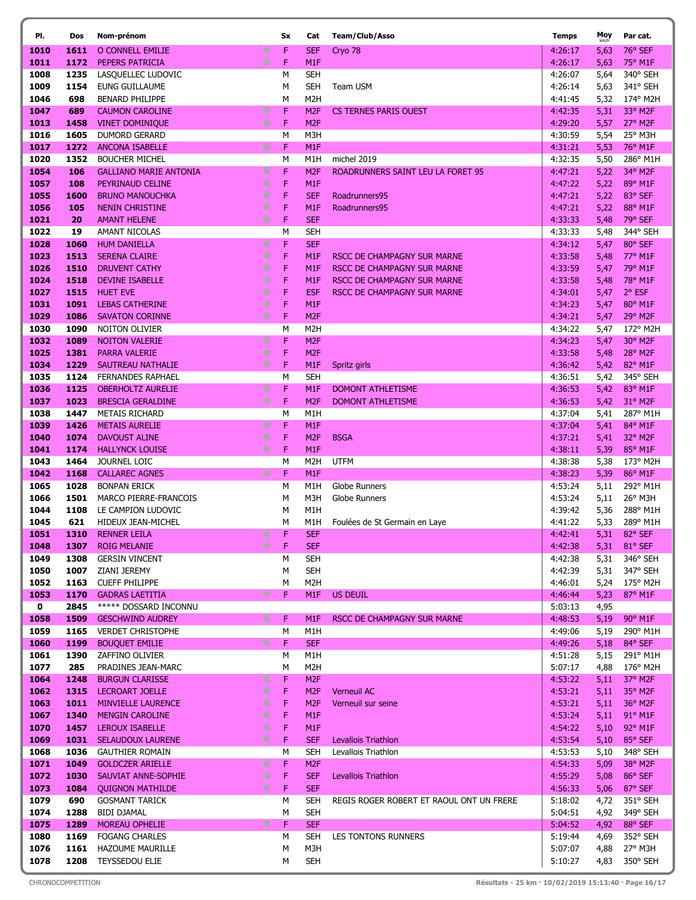| PI.          | Dos          | Nom-prénom                                             |             | Sx     | Cat                                 | Team/Club/Asso                           | <b>Temps</b>       | Moy<br>km/h  | Par cat.                     |
|--------------|--------------|--------------------------------------------------------|-------------|--------|-------------------------------------|------------------------------------------|--------------------|--------------|------------------------------|
| 1010         | 1611         | O CONNELL EMILIE                                       | ∗           | F      | <b>SEF</b>                          | Cryo 78                                  | 4:26:17            | 5,63         | 76° SEF                      |
| 1011         | 1172         | PEPERS PATRICIA                                        | $*$         | F      | M <sub>1</sub> F                    |                                          | 4:26:17            | 5,63         | 75° M1F                      |
| 1008         | 1235         | LASQUELLEC LUDOVIC                                     |             | М      | <b>SEH</b>                          |                                          | 4:26:07            | 5,64         | 340° SEH                     |
| 1009         | 1154         | EUNG GUILLAUME                                         |             | М      | <b>SEH</b>                          | Team USM                                 | 4:26:14            | 5,63         | 341° SEH                     |
| 1046         | 698          | <b>BENARD PHILIPPE</b>                                 |             | М      | M <sub>2</sub> H                    |                                          | 4:41:45            | 5,32         | 174° M2H                     |
| 1047         | 689          | <b>CAUMON CAROLINE</b>                                 | ∗           | F      | M <sub>2F</sub>                     | <b>CS TERNES PARIS OUEST</b>             | 4:42:35            | 5,31         | 33° M2F                      |
| 1013         | 1458         | <b>VINET DOMINIQUE</b>                                 | ∗           | F      | M <sub>2F</sub>                     |                                          | 4:29:20            | 5,57         | 27° M2F                      |
| 1016         | 1605         | <b>DUMORD GERARD</b>                                   |             | M      | M3H                                 |                                          | 4:30:59            | 5,54         | 25° M3H                      |
| 1017         | 1272         | <b>ANCONA ISABELLE</b>                                 | ∗           | F      | M <sub>1</sub> F                    |                                          | 4:31:21            | 5,53         | 76° M1F                      |
| 1020         | 1352         | <b>BOUCHER MICHEL</b><br><b>GALLIANO MARIE ANTONIA</b> |             | M<br>F | M1H                                 | michel 2019                              | 4:32:35            | 5,50         | 286° M1H<br>34° M2F          |
| 1054<br>1057 | 106<br>108   | PEYRINAUD CELINE                                       | ∗<br>$\ast$ | F      | M <sub>2F</sub><br>M <sub>1</sub> F | ROADRUNNERS SAINT LEU LA FORET 95        | 4:47:21<br>4:47:22 | 5,22<br>5,22 | 89° M1F                      |
| 1055         | 1600         | <b>BRUNO MANOUCHKA</b>                                 | ∗           | F      | <b>SEF</b>                          | Roadrunners95                            | 4:47:21            | 5,22         | 83° SEF                      |
| 1056         | 105          | <b>NENIN CHRISTINE</b>                                 | ∗           | F      | M <sub>1</sub> F                    | Roadrunners95                            | 4:47:21            | 5,22         | 88° M1F                      |
| 1021         | 20           | <b>AMANT HELENE</b>                                    | $*$         | F      | <b>SEF</b>                          |                                          | 4:33:33            | 5,48         | 79° SEF                      |
| 1022         | 19           | AMANT NICOLAS                                          |             | M      | <b>SEH</b>                          |                                          | 4:33:33            | 5,48         | 344° SEH                     |
| 1028         | 1060         | <b>HUM DANIELLA</b>                                    | ∗           | F      | <b>SEF</b>                          |                                          | 4:34:12            | 5,47         | 80° SEF                      |
| 1023         | 1513         | <b>SERENA CLAIRE</b>                                   | ∗           | F      | M <sub>1</sub> F                    | RSCC DE CHAMPAGNY SUR MARNE              | 4:33:58            | 5,48         | 77° M1F                      |
| 1026         | 1510         | <b>DRUVENT CATHY</b>                                   | $\ast$      | F      | M <sub>1</sub> F                    | RSCC DE CHAMPAGNY SUR MARNE              | 4:33:59            | 5,47         | 79° M1F                      |
| 1024         | 1518         | <b>DEVINE ISABELLE</b>                                 | ∗           | F      | M <sub>1</sub> F                    | RSCC DE CHAMPAGNY SUR MARNE              | 4:33:58            | 5,48         | 78° M1F                      |
| 1027         | 1515         | <b>HUET EVE</b>                                        | *           | F      | <b>ESF</b>                          | RSCC DE CHAMPAGNY SUR MARNE              | 4:34:01            | 5,47         | 2° ESF                       |
| 1031         | 1091         | <b>LEBAS CATHERINE</b>                                 | *           | F      | M <sub>1</sub> F                    |                                          | 4:34:23            | 5,47         | 80° M1F                      |
| 1029         | 1086         | <b>SAVATON CORINNE</b>                                 | ∗           | F      | M <sub>2F</sub>                     |                                          | 4:34:21            | 5,47         | 29° M2F                      |
| 1030         | 1090         | <b>NOITON OLIVIER</b>                                  |             | M      | M <sub>2</sub> H                    |                                          | 4:34:22            | 5,47         | 172° M2H                     |
| 1032         | 1089         | <b>NOITON VALERIE</b>                                  | ∗           | F      | M <sub>2F</sub>                     |                                          | 4:34:23            | 5,47         | 30° M2F                      |
| 1025         | 1381         | <b>PARRA VALERIE</b>                                   | ∗           | F      | M <sub>2F</sub>                     |                                          | 4:33:58            | 5,48         | 28° M2F                      |
| 1034<br>1035 | 1229<br>1124 | SAUTREAU NATHALIE<br><b>FERNANDES RAPHAEL</b>          | ∗           | F<br>M | M <sub>1</sub> F<br><b>SEH</b>      | Spritz girls                             | 4:36:42<br>4:36:51 | 5,42         | 82° M1F<br>345° SEH          |
| 1036         | 1125         | <b>OBERHOLTZ AURELIE</b>                               | ∗           | F      | M <sub>1</sub> F                    | <b>DOMONT ATHLETISME</b>                 | 4:36:53            | 5,42<br>5,42 | 83° M1F                      |
| 1037         | 1023         | <b>BRESCIA GERALDINE</b>                               | ∗           | F      | M <sub>2F</sub>                     | <b>DOMONT ATHLETISME</b>                 | 4:36:53            | 5,42         | 31° M2F                      |
| 1038         | 1447         | <b>METAIS RICHARD</b>                                  |             | M      | M1H                                 |                                          | 4:37:04            | 5,41         | 287° M1H                     |
| 1039         | 1426         | <b>METAIS AURELIE</b>                                  | ∗           | F      | M <sub>1</sub> F                    |                                          | 4:37:04            | 5,41         | 84° M1F                      |
| 1040         | 1074         | <b>DAVOUST ALINE</b>                                   | ∗           | F      | M <sub>2F</sub>                     | <b>BSGA</b>                              | 4:37:21            | 5,41         | 32° M2F                      |
| 1041         | 1174         | <b>HALLYNCK LOUISE</b>                                 | ∗           | F      | M <sub>1</sub> F                    |                                          | 4:38:11            | 5,39         | 85° M1F                      |
| 1043         | 1464         | JOURNEL LOIC                                           |             | M      | M <sub>2</sub> H                    | <b>UTFM</b>                              | 4:38:38            | 5,38         | 173° M2H                     |
| 1042         | 1168         | <b>CALLAREC AGNES</b>                                  | ∗           | F      | M <sub>1</sub> F                    |                                          | 4:38:23            | 5,39         | 86° M1F                      |
| 1065         | 1028         | <b>BONPAN ERICK</b>                                    |             | M      | M1H                                 | <b>Globe Runners</b>                     | 4:53:24            | 5,11         | 292° M1H                     |
| 1066         | 1501         | MARCO PIERRE-FRANCOIS                                  |             | М      | M3H                                 | <b>Globe Runners</b>                     | 4:53:24            | 5,11         | 26° M3H                      |
| 1044         | 1108         | LE CAMPION LUDOVIC                                     |             | M      | M <sub>1</sub> H                    |                                          | 4:39:42            | 5,36         | 288° M1H                     |
| 1045         | 621<br>1310  | <b>HIDEUX JEAN-MICHEL</b><br><b>RENNER LEILA</b>       | ∗           | М<br>F | M1H<br><b>SEF</b>                   | Foulées de St Germain en Laye            | 4:41:22            | 5,33         | 289° M1H<br>82° SEF          |
| 1051<br>1048 | 1307         | <b>ROIG MELANIE</b>                                    | ∗           | F      | <b>SEF</b>                          |                                          | 4:42:41<br>4:42:38 | 5,31<br>5,31 | 81° SEF                      |
| 1049         | 1308         | <b>GERSIN VINCENT</b>                                  |             | М      | <b>SEH</b>                          |                                          | 4:42:38            | 5,31         | 346° SEH                     |
| 1050         | 1007         | ZIANI JEREMY                                           |             | М      | SEH                                 |                                          | 4:42:39            | 5,31         | 347° SEH                     |
| 1052         | 1163         | <b>CUEFF PHILIPPE</b>                                  |             | М      | M <sub>2</sub> H                    |                                          | 4:46:01            | 5,24         | 175° M2H                     |
| 1053         | 1170         | <b>GADRAS LAETITIA</b>                                 | ∗           | F      | M1F                                 | <b>US DEUIL</b>                          | 4:46:44            | 5,23         | 87° M1F                      |
| $\mathbf 0$  | 2845         | ***** DOSSARD INCONNU                                  |             |        |                                     |                                          | 5:03:13            | 4,95         |                              |
| 1058         | 1509         | <b>GESCHWIND AUDREY</b>                                | ∗           | F      | M <sub>1</sub> F                    | RSCC DE CHAMPAGNY SUR MARNE              | 4:48:53            | 5,19         | 90° M1F                      |
| 1059         | 1165         | <b>VERDET CHRISTOPHE</b>                               |             | М      | M1H                                 |                                          | 4:49:06            | 5,19         | 290° M1H                     |
| 1060         | 1199         | <b>BOUQUET EMILIE</b>                                  | ∗           | F      | <b>SEF</b>                          |                                          | 4:49:26            | 5,18         | 84° SEF                      |
| 1061         | 1390         | ZAFFINO OLIVIER                                        |             | М      | M1H                                 |                                          | 4:51:28            | 5,15         | 291° M1H                     |
| 1077         | 285          | PRADINES JEAN-MARC                                     |             | М      | M <sub>2</sub> H                    |                                          | 5:07:17            | 4,88         | 176° M2H                     |
| 1064<br>1062 | 1248<br>1315 | <b>BURGUN CLARISSE</b><br>LECROART JOELLE              | ∗<br>∗      | F<br>F | M <sub>2F</sub><br>M <sub>2F</sub>  | <b>Verneuil AC</b>                       | 4:53:22<br>4:53:21 | 5,11<br>5,11 | 37° M2F<br>35° M2F           |
| 1063         | 1011         | <b>MINVIELLE LAURENCE</b>                              | ∗           | F      | M <sub>2F</sub>                     | Verneuil sur seine                       | 4:53:21            | 5,11         | 36° M2F                      |
| 1067         | 1340         | <b>MENGIN CAROLINE</b>                                 | ∗           | F      | M <sub>1</sub> F                    |                                          | 4:53:24            | 5,11         | 91° M1F                      |
| 1070         | 1457         | LEROUX ISABELLE                                        | ∗           | F      | M <sub>1F</sub>                     |                                          | 4:54:22            | 5,10         | 92° M1F                      |
| 1069         | 1031         | <b>SELAUDOUX LAURENE</b>                               | ∗           | F      | <b>SEF</b>                          | Levallois Triathlon                      | 4:53:54            | 5,10         | 85° SEF                      |
| 1068         | 1036         | <b>GAUTHIER ROMAIN</b>                                 |             | М      | SEH                                 | Levallois Triathlon                      | 4:53:53            | 5,10         | 348° SEH                     |
| 1071         | 1049         | <b>GOLDCZER ARIELLE</b>                                | ∗           | F      | M <sub>2F</sub>                     |                                          | 4:54:33            | 5,09         | $38^{\circ}$ M <sub>2F</sub> |
| 1072         | 1030         | SAUVIAT ANNE-SOPHIE                                    | $*$         | F      | <b>SEF</b>                          | Levallois Triathlon                      | 4:55:29            | 5,08         | 86° SEF                      |
| 1073         | 1084         | <b>QUIGNON MATHILDE</b>                                | ∗           | F      | <b>SEF</b>                          |                                          | 4:56:33            | 5,06         | 87° SEF                      |
| 1079         | 690          | <b>GOSMANT TARICK</b>                                  |             | М      | <b>SEH</b>                          | REGIS ROGER ROBERT ET RAOUL ONT UN FRERE | 5:18:02            | 4,72         | 351° SEH                     |
| 1074         | 1288         | <b>BIDI DJAMAL</b>                                     |             | М      | <b>SEH</b>                          |                                          | 5:04:51            | 4,92         | 349° SEH                     |
| 1075         | 1289         | MOREAU OPHELIE                                         | ∗           | F      | <b>SEF</b>                          |                                          | 5:04:52            | 4,92         | 88° SEF                      |
| 1080<br>1076 | 1169<br>1161 | <b>FOGANG CHARLES</b><br>HAZOUME MAURILLE              |             | М      | SEH<br>M3H                          | LES TONTONS RUNNERS                      | 5:19:44            | 4,69         | 352° SEH<br>27° M3H          |
| 1078         | 1208         | <b>TEYSSEDOU ELIE</b>                                  |             | М<br>М | <b>SEH</b>                          |                                          | 5:07:07<br>5:10:27 | 4,88<br>4,83 | 350° SEH                     |
|              |              |                                                        |             |        |                                     |                                          |                    |              |                              |